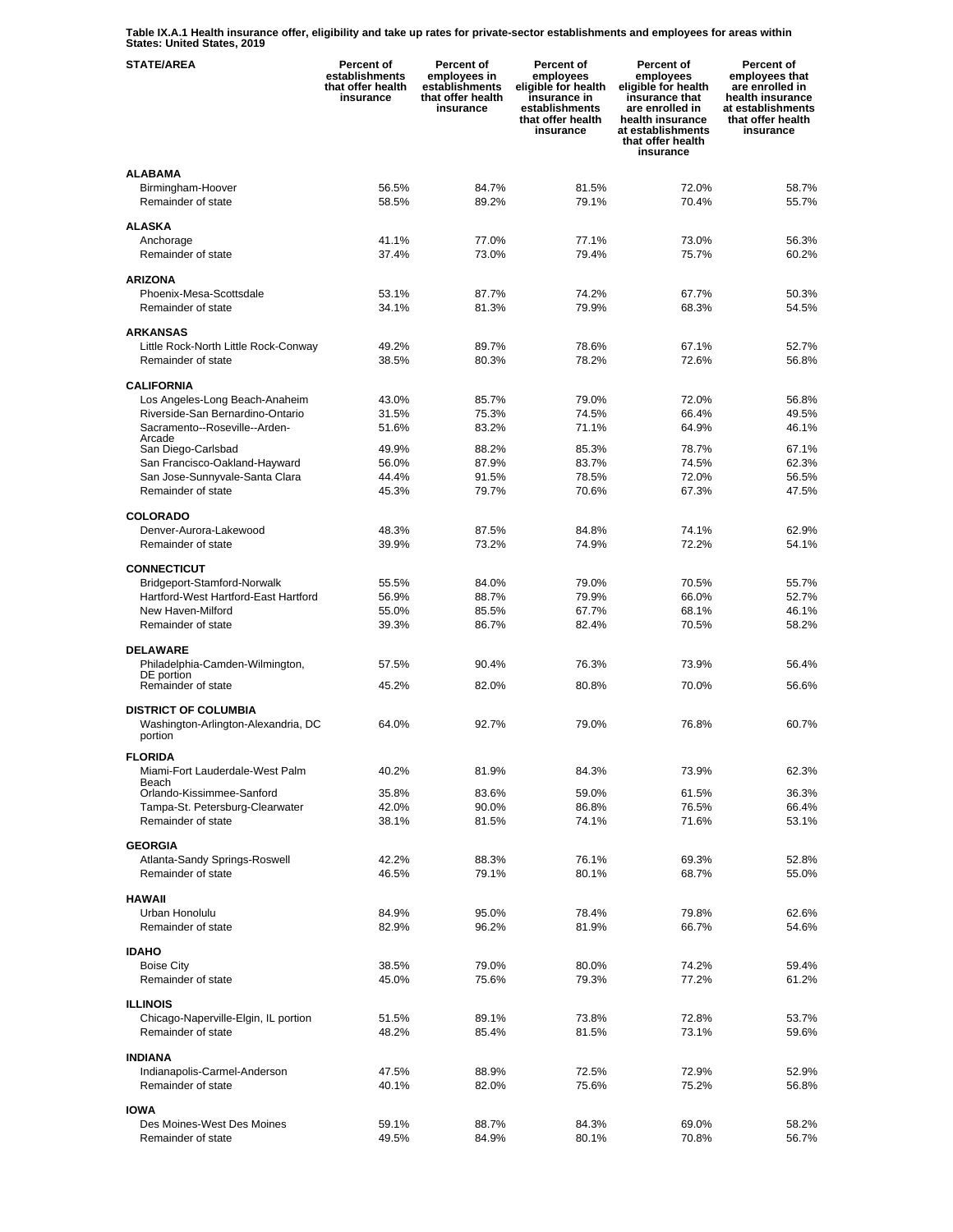**Table IX.A.1 Health insurance offer, eligibility and take up rates for private-sector establishments and employees for areas within States: United States, 2019** 

| <b>STATE/AREA</b>                    | Percent of<br>establishments<br>that offer health<br>insurance | Percent of<br>employees in<br>establishments<br>that offer health<br>insurance | Percent of<br>employees<br>eligible for health<br>insurance in<br>establishments<br>that offer health<br>insurance | Percent of<br>employees<br>eligible for health<br>insurance that<br>are enrolled in<br>health insurance<br>at establishments<br>that offer health<br>insurance | Percent of<br>employees that<br>are enrolled in<br>health insurance<br>at establishments<br>that offer health<br>insurance |
|--------------------------------------|----------------------------------------------------------------|--------------------------------------------------------------------------------|--------------------------------------------------------------------------------------------------------------------|----------------------------------------------------------------------------------------------------------------------------------------------------------------|----------------------------------------------------------------------------------------------------------------------------|
| <b>ALABAMA</b>                       |                                                                |                                                                                |                                                                                                                    |                                                                                                                                                                |                                                                                                                            |
| Birmingham-Hoover                    | 56.5%                                                          | 84.7%                                                                          | 81.5%                                                                                                              | 72.0%                                                                                                                                                          | 58.7%                                                                                                                      |
| Remainder of state                   | 58.5%                                                          | 89.2%                                                                          | 79.1%                                                                                                              | 70.4%                                                                                                                                                          | 55.7%                                                                                                                      |
|                                      |                                                                |                                                                                |                                                                                                                    |                                                                                                                                                                |                                                                                                                            |
| <b>ALASKA</b>                        |                                                                |                                                                                |                                                                                                                    |                                                                                                                                                                |                                                                                                                            |
| Anchorage                            | 41.1%                                                          | 77.0%                                                                          | 77.1%                                                                                                              | 73.0%                                                                                                                                                          | 56.3%                                                                                                                      |
| Remainder of state                   | 37.4%                                                          | 73.0%                                                                          | 79.4%                                                                                                              | 75.7%                                                                                                                                                          | 60.2%                                                                                                                      |
|                                      |                                                                |                                                                                |                                                                                                                    |                                                                                                                                                                |                                                                                                                            |
| <b>ARIZONA</b>                       |                                                                |                                                                                |                                                                                                                    |                                                                                                                                                                |                                                                                                                            |
| Phoenix-Mesa-Scottsdale              | 53.1%                                                          | 87.7%                                                                          | 74.2%                                                                                                              | 67.7%                                                                                                                                                          | 50.3%                                                                                                                      |
| Remainder of state                   | 34.1%                                                          | 81.3%                                                                          | 79.9%                                                                                                              | 68.3%                                                                                                                                                          | 54.5%                                                                                                                      |
| <b>ARKANSAS</b>                      |                                                                |                                                                                |                                                                                                                    |                                                                                                                                                                |                                                                                                                            |
| Little Rock-North Little Rock-Conway | 49.2%                                                          | 89.7%                                                                          | 78.6%                                                                                                              | 67.1%                                                                                                                                                          | 52.7%                                                                                                                      |
| Remainder of state                   | 38.5%                                                          | 80.3%                                                                          | 78.2%                                                                                                              | 72.6%                                                                                                                                                          | 56.8%                                                                                                                      |
|                                      |                                                                |                                                                                |                                                                                                                    |                                                                                                                                                                |                                                                                                                            |
| <b>CALIFORNIA</b>                    |                                                                |                                                                                |                                                                                                                    |                                                                                                                                                                |                                                                                                                            |
| Los Angeles-Long Beach-Anaheim       | 43.0%                                                          | 85.7%                                                                          | 79.0%                                                                                                              | 72.0%                                                                                                                                                          | 56.8%                                                                                                                      |
| Riverside-San Bernardino-Ontario     | 31.5%                                                          | 75.3%                                                                          | 74.5%                                                                                                              | 66.4%                                                                                                                                                          | 49.5%                                                                                                                      |
| Sacramento--Roseville--Arden-        | 51.6%                                                          | 83.2%                                                                          | 71.1%                                                                                                              | 64.9%                                                                                                                                                          | 46.1%                                                                                                                      |
| Arcade                               |                                                                |                                                                                |                                                                                                                    |                                                                                                                                                                |                                                                                                                            |
| San Diego-Carlsbad                   | 49.9%                                                          | 88.2%                                                                          | 85.3%                                                                                                              | 78.7%                                                                                                                                                          | 67.1%                                                                                                                      |
| San Francisco-Oakland-Hayward        | 56.0%                                                          | 87.9%                                                                          | 83.7%                                                                                                              | 74.5%                                                                                                                                                          | 62.3%                                                                                                                      |
| San Jose-Sunnyvale-Santa Clara       | 44.4%                                                          | 91.5%                                                                          | 78.5%                                                                                                              | 72.0%                                                                                                                                                          | 56.5%                                                                                                                      |
| Remainder of state                   | 45.3%                                                          | 79.7%                                                                          | 70.6%                                                                                                              | 67.3%                                                                                                                                                          | 47.5%                                                                                                                      |
| <b>COLORADO</b>                      |                                                                |                                                                                |                                                                                                                    |                                                                                                                                                                |                                                                                                                            |
| Denver-Aurora-Lakewood               | 48.3%                                                          | 87.5%                                                                          | 84.8%                                                                                                              | 74.1%                                                                                                                                                          | 62.9%                                                                                                                      |
| Remainder of state                   | 39.9%                                                          | 73.2%                                                                          | 74.9%                                                                                                              | 72.2%                                                                                                                                                          | 54.1%                                                                                                                      |
|                                      |                                                                |                                                                                |                                                                                                                    |                                                                                                                                                                |                                                                                                                            |
| <b>CONNECTICUT</b>                   |                                                                |                                                                                |                                                                                                                    |                                                                                                                                                                |                                                                                                                            |
| Bridgeport-Stamford-Norwalk          | 55.5%                                                          | 84.0%                                                                          | 79.0%                                                                                                              | 70.5%                                                                                                                                                          | 55.7%                                                                                                                      |
| Hartford-West Hartford-East Hartford | 56.9%                                                          | 88.7%                                                                          | 79.9%                                                                                                              | 66.0%                                                                                                                                                          | 52.7%                                                                                                                      |
| New Haven-Milford                    | 55.0%                                                          | 85.5%                                                                          | 67.7%                                                                                                              | 68.1%                                                                                                                                                          | 46.1%                                                                                                                      |
| Remainder of state                   | 39.3%                                                          | 86.7%                                                                          | 82.4%                                                                                                              | 70.5%                                                                                                                                                          | 58.2%                                                                                                                      |
|                                      |                                                                |                                                                                |                                                                                                                    |                                                                                                                                                                |                                                                                                                            |
| <b>DELAWARE</b>                      |                                                                |                                                                                |                                                                                                                    |                                                                                                                                                                |                                                                                                                            |
| Philadelphia-Camden-Wilmington,      | 57.5%                                                          | 90.4%                                                                          | 76.3%                                                                                                              | 73.9%                                                                                                                                                          | 56.4%                                                                                                                      |
| DE portion<br>Remainder of state     | 45.2%                                                          | 82.0%                                                                          | 80.8%                                                                                                              | 70.0%                                                                                                                                                          | 56.6%                                                                                                                      |
|                                      |                                                                |                                                                                |                                                                                                                    |                                                                                                                                                                |                                                                                                                            |
| <b>DISTRICT OF COLUMBIA</b>          |                                                                |                                                                                |                                                                                                                    |                                                                                                                                                                |                                                                                                                            |
| Washington-Arlington-Alexandria, DC  | 64.0%                                                          | 92.7%                                                                          | 79.0%                                                                                                              | 76.8%                                                                                                                                                          | 60.7%                                                                                                                      |
| portion                              |                                                                |                                                                                |                                                                                                                    |                                                                                                                                                                |                                                                                                                            |
| <b>FLORIDA</b>                       |                                                                |                                                                                |                                                                                                                    |                                                                                                                                                                |                                                                                                                            |
| Miami-Fort Lauderdale-West Palm      | 40.2%                                                          | 81.9%                                                                          | 84.3%                                                                                                              | 73.9%                                                                                                                                                          | 62.3%                                                                                                                      |
| Beach                                |                                                                |                                                                                |                                                                                                                    |                                                                                                                                                                |                                                                                                                            |
| Orlando-Kissimmee-Sanford            | 35.8%                                                          | 83.6%                                                                          | 59.0%                                                                                                              | 61.5%                                                                                                                                                          | 36.3%                                                                                                                      |
| Tampa-St. Petersburg-Clearwater      | 42.0%                                                          | 90.0%                                                                          | 86.8%                                                                                                              | 76.5%                                                                                                                                                          | 66.4%                                                                                                                      |
| Remainder of state                   | 38.1%                                                          | 81.5%                                                                          | 74.1%                                                                                                              | 71.6%                                                                                                                                                          | 53.1%                                                                                                                      |
|                                      |                                                                |                                                                                |                                                                                                                    |                                                                                                                                                                |                                                                                                                            |
| <b>GEORGIA</b>                       |                                                                |                                                                                |                                                                                                                    |                                                                                                                                                                |                                                                                                                            |
| Atlanta-Sandy Springs-Roswell        | 42.2%                                                          | 88.3%                                                                          | 76.1%                                                                                                              | 69.3%                                                                                                                                                          | 52.8%                                                                                                                      |
| Remainder of state                   | 46.5%                                                          | 79.1%                                                                          | 80.1%                                                                                                              | 68.7%                                                                                                                                                          | 55.0%                                                                                                                      |
| <b>HAWAII</b>                        |                                                                |                                                                                |                                                                                                                    |                                                                                                                                                                |                                                                                                                            |
| Urban Honolulu                       | 84.9%                                                          | 95.0%                                                                          | 78.4%                                                                                                              | 79.8%                                                                                                                                                          | 62.6%                                                                                                                      |
| Remainder of state                   | 82.9%                                                          | 96.2%                                                                          | 81.9%                                                                                                              | 66.7%                                                                                                                                                          | 54.6%                                                                                                                      |
|                                      |                                                                |                                                                                |                                                                                                                    |                                                                                                                                                                |                                                                                                                            |
| <b>IDAHO</b>                         |                                                                |                                                                                |                                                                                                                    |                                                                                                                                                                |                                                                                                                            |
| <b>Boise City</b>                    | 38.5%                                                          | 79.0%                                                                          | 80.0%                                                                                                              | 74.2%                                                                                                                                                          | 59.4%                                                                                                                      |
| Remainder of state                   | 45.0%                                                          | 75.6%                                                                          | 79.3%                                                                                                              | 77.2%                                                                                                                                                          | 61.2%                                                                                                                      |
|                                      |                                                                |                                                                                |                                                                                                                    |                                                                                                                                                                |                                                                                                                            |
| <b>ILLINOIS</b>                      |                                                                |                                                                                |                                                                                                                    |                                                                                                                                                                |                                                                                                                            |
| Chicago-Naperville-Elgin, IL portion | 51.5%                                                          | 89.1%                                                                          | 73.8%                                                                                                              | 72.8%                                                                                                                                                          | 53.7%                                                                                                                      |
| Remainder of state                   | 48.2%                                                          | 85.4%                                                                          | 81.5%                                                                                                              | 73.1%                                                                                                                                                          | 59.6%                                                                                                                      |
| <b>INDIANA</b>                       |                                                                |                                                                                |                                                                                                                    |                                                                                                                                                                |                                                                                                                            |
| Indianapolis-Carmel-Anderson         | 47.5%                                                          | 88.9%                                                                          | 72.5%                                                                                                              | 72.9%                                                                                                                                                          | 52.9%                                                                                                                      |
| Remainder of state                   | 40.1%                                                          | 82.0%                                                                          | 75.6%                                                                                                              | 75.2%                                                                                                                                                          | 56.8%                                                                                                                      |
|                                      |                                                                |                                                                                |                                                                                                                    |                                                                                                                                                                |                                                                                                                            |
| <b>IOWA</b>                          |                                                                |                                                                                |                                                                                                                    |                                                                                                                                                                |                                                                                                                            |
| Des Moines-West Des Moines           | 59.1%                                                          | 88.7%                                                                          | 84.3%                                                                                                              | 69.0%                                                                                                                                                          | 58.2%                                                                                                                      |
| Remainder of state                   | 49.5%                                                          | 84.9%                                                                          | 80.1%                                                                                                              | 70.8%                                                                                                                                                          | 56.7%                                                                                                                      |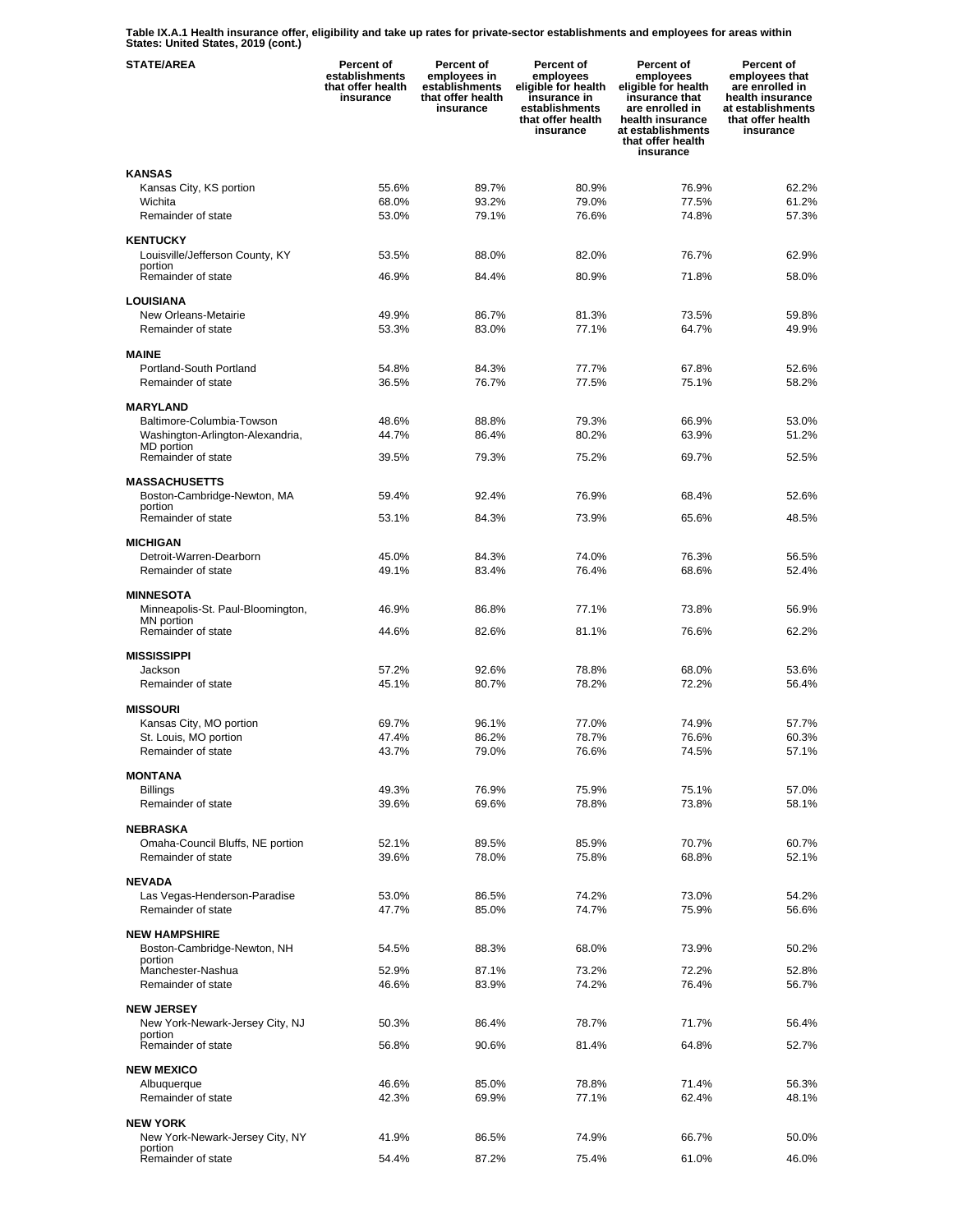**Table IX.A.1 Health insurance offer, eligibility and take up rates for private-sector establishments and employees for areas within States: United States, 2019 (cont.)** 

| <b>STATE/AREA</b>                              | Percent of<br>establishments<br>that offer health<br>insurance | Percent of<br>employees in<br>establishments<br>that offer health<br>insurance | Percent of<br>employees<br>eligible for health<br>insurance in<br>establishments<br>that offer health<br>insurance | Percent of<br>employees<br>eligible for health<br>insurance that<br>are enrolled in<br>health insurance<br>at establishments<br>that offer health<br>insurance | Percent of<br>employees that<br>are enrolled in<br>health insurance<br>at establishments<br>that offer health<br>insurance |
|------------------------------------------------|----------------------------------------------------------------|--------------------------------------------------------------------------------|--------------------------------------------------------------------------------------------------------------------|----------------------------------------------------------------------------------------------------------------------------------------------------------------|----------------------------------------------------------------------------------------------------------------------------|
| <b>KANSAS</b>                                  |                                                                |                                                                                |                                                                                                                    |                                                                                                                                                                |                                                                                                                            |
| Kansas City, KS portion                        | 55.6%                                                          | 89.7%                                                                          | 80.9%                                                                                                              | 76.9%                                                                                                                                                          | 62.2%                                                                                                                      |
| Wichita                                        | 68.0%                                                          | 93.2%                                                                          | 79.0%                                                                                                              | 77.5%                                                                                                                                                          | 61.2%                                                                                                                      |
| Remainder of state                             | 53.0%                                                          | 79.1%                                                                          | 76.6%                                                                                                              | 74.8%                                                                                                                                                          | 57.3%                                                                                                                      |
|                                                |                                                                |                                                                                |                                                                                                                    |                                                                                                                                                                |                                                                                                                            |
| <b>KENTUCKY</b>                                |                                                                |                                                                                |                                                                                                                    |                                                                                                                                                                |                                                                                                                            |
| Louisville/Jefferson County, KY<br>portion     | 53.5%                                                          | 88.0%                                                                          | 82.0%                                                                                                              | 76.7%                                                                                                                                                          | 62.9%                                                                                                                      |
| Remainder of state                             | 46.9%                                                          | 84.4%                                                                          | 80.9%                                                                                                              | 71.8%                                                                                                                                                          | 58.0%                                                                                                                      |
|                                                |                                                                |                                                                                |                                                                                                                    |                                                                                                                                                                |                                                                                                                            |
| <b>LOUISIANA</b>                               |                                                                |                                                                                |                                                                                                                    |                                                                                                                                                                |                                                                                                                            |
| New Orleans-Metairie<br>Remainder of state     | 49.9%                                                          | 86.7%<br>83.0%                                                                 | 81.3%<br>77.1%                                                                                                     | 73.5%<br>64.7%                                                                                                                                                 | 59.8%<br>49.9%                                                                                                             |
|                                                | 53.3%                                                          |                                                                                |                                                                                                                    |                                                                                                                                                                |                                                                                                                            |
| <b>MAINE</b>                                   |                                                                |                                                                                |                                                                                                                    |                                                                                                                                                                |                                                                                                                            |
| Portland-South Portland                        | 54.8%                                                          | 84.3%                                                                          | 77.7%                                                                                                              | 67.8%                                                                                                                                                          | 52.6%                                                                                                                      |
| Remainder of state                             | 36.5%                                                          | 76.7%                                                                          | 77.5%                                                                                                              | 75.1%                                                                                                                                                          | 58.2%                                                                                                                      |
|                                                |                                                                |                                                                                |                                                                                                                    |                                                                                                                                                                |                                                                                                                            |
| <b>MARYLAND</b>                                |                                                                |                                                                                |                                                                                                                    |                                                                                                                                                                |                                                                                                                            |
| Baltimore-Columbia-Towson                      | 48.6%                                                          | 88.8%                                                                          | 79.3%                                                                                                              | 66.9%                                                                                                                                                          | 53.0%                                                                                                                      |
| Washington-Arlington-Alexandria,<br>MD portion | 44.7%                                                          | 86.4%                                                                          | 80.2%                                                                                                              | 63.9%                                                                                                                                                          | 51.2%                                                                                                                      |
| Remainder of state                             | 39.5%                                                          | 79.3%                                                                          | 75.2%                                                                                                              | 69.7%                                                                                                                                                          | 52.5%                                                                                                                      |
|                                                |                                                                |                                                                                |                                                                                                                    |                                                                                                                                                                |                                                                                                                            |
| <b>MASSACHUSETTS</b>                           |                                                                |                                                                                |                                                                                                                    |                                                                                                                                                                |                                                                                                                            |
| Boston-Cambridge-Newton, MA<br>portion         | 59.4%                                                          | 92.4%                                                                          | 76.9%                                                                                                              | 68.4%                                                                                                                                                          | 52.6%                                                                                                                      |
| Remainder of state                             | 53.1%                                                          | 84.3%                                                                          | 73.9%                                                                                                              | 65.6%                                                                                                                                                          | 48.5%                                                                                                                      |
|                                                |                                                                |                                                                                |                                                                                                                    |                                                                                                                                                                |                                                                                                                            |
| <b>MICHIGAN</b>                                |                                                                |                                                                                |                                                                                                                    |                                                                                                                                                                |                                                                                                                            |
| Detroit-Warren-Dearborn                        | 45.0%                                                          | 84.3%                                                                          | 74.0%                                                                                                              | 76.3%                                                                                                                                                          | 56.5%                                                                                                                      |
| Remainder of state                             | 49.1%                                                          | 83.4%                                                                          | 76.4%                                                                                                              | 68.6%                                                                                                                                                          | 52.4%                                                                                                                      |
| <b>MINNESOTA</b>                               |                                                                |                                                                                |                                                                                                                    |                                                                                                                                                                |                                                                                                                            |
| Minneapolis-St. Paul-Bloomington,              | 46.9%                                                          | 86.8%                                                                          | 77.1%                                                                                                              | 73.8%                                                                                                                                                          | 56.9%                                                                                                                      |
| MN portion                                     |                                                                |                                                                                |                                                                                                                    |                                                                                                                                                                |                                                                                                                            |
| Remainder of state                             | 44.6%                                                          | 82.6%                                                                          | 81.1%                                                                                                              | 76.6%                                                                                                                                                          | 62.2%                                                                                                                      |
| <b>MISSISSIPPI</b>                             |                                                                |                                                                                |                                                                                                                    |                                                                                                                                                                |                                                                                                                            |
| Jackson                                        | 57.2%                                                          | 92.6%                                                                          | 78.8%                                                                                                              | 68.0%                                                                                                                                                          | 53.6%                                                                                                                      |
| Remainder of state                             | 45.1%                                                          | 80.7%                                                                          | 78.2%                                                                                                              | 72.2%                                                                                                                                                          | 56.4%                                                                                                                      |
|                                                |                                                                |                                                                                |                                                                                                                    |                                                                                                                                                                |                                                                                                                            |
| <b>MISSOURI</b>                                |                                                                |                                                                                |                                                                                                                    |                                                                                                                                                                |                                                                                                                            |
| Kansas City, MO portion                        | 69.7%                                                          | 96.1%                                                                          | 77.0%                                                                                                              | 74.9%                                                                                                                                                          | 57.7%                                                                                                                      |
| St. Louis, MO portion                          | 47.4%                                                          | 86.2%                                                                          | 78.7%                                                                                                              | 76.6%                                                                                                                                                          | 60.3%                                                                                                                      |
| Remainder of state                             | 43.7%                                                          | 79.0%                                                                          | 76.6%                                                                                                              | 74.5%                                                                                                                                                          | 57.1%                                                                                                                      |
| <b>MONTANA</b>                                 |                                                                |                                                                                |                                                                                                                    |                                                                                                                                                                |                                                                                                                            |
| <b>Billings</b>                                | 49.3%                                                          | 76.9%                                                                          | 75.9%                                                                                                              | 75.1%                                                                                                                                                          | 57.0%                                                                                                                      |
| Remainder of state                             | 39.6%                                                          | 69.6%                                                                          | 78.8%                                                                                                              | 73.8%                                                                                                                                                          | 58.1%                                                                                                                      |
|                                                |                                                                |                                                                                |                                                                                                                    |                                                                                                                                                                |                                                                                                                            |
| <b>NEBRASKA</b>                                |                                                                |                                                                                |                                                                                                                    |                                                                                                                                                                |                                                                                                                            |
| Omaha-Council Bluffs, NE portion               | 52.1%                                                          | 89.5%                                                                          | 85.9%                                                                                                              | 70.7%                                                                                                                                                          | 60.7%                                                                                                                      |
| Remainder of state                             | 39.6%                                                          | 78.0%                                                                          | 75.8%                                                                                                              | 68.8%                                                                                                                                                          | 52.1%                                                                                                                      |
| <b>NEVADA</b>                                  |                                                                |                                                                                |                                                                                                                    |                                                                                                                                                                |                                                                                                                            |
| Las Vegas-Henderson-Paradise                   | 53.0%                                                          | 86.5%                                                                          | 74.2%                                                                                                              | 73.0%                                                                                                                                                          | 54.2%                                                                                                                      |
| Remainder of state                             | 47.7%                                                          | 85.0%                                                                          | 74.7%                                                                                                              | 75.9%                                                                                                                                                          | 56.6%                                                                                                                      |
|                                                |                                                                |                                                                                |                                                                                                                    |                                                                                                                                                                |                                                                                                                            |
| <b>NEW HAMPSHIRE</b>                           |                                                                |                                                                                |                                                                                                                    |                                                                                                                                                                |                                                                                                                            |
| Boston-Cambridge-Newton, NH<br>portion         | 54.5%                                                          | 88.3%                                                                          | 68.0%                                                                                                              | 73.9%                                                                                                                                                          | 50.2%                                                                                                                      |
| Manchester-Nashua                              | 52.9%                                                          | 87.1%                                                                          | 73.2%                                                                                                              | 72.2%                                                                                                                                                          | 52.8%                                                                                                                      |
| Remainder of state                             | 46.6%                                                          | 83.9%                                                                          | 74.2%                                                                                                              | 76.4%                                                                                                                                                          | 56.7%                                                                                                                      |
|                                                |                                                                |                                                                                |                                                                                                                    |                                                                                                                                                                |                                                                                                                            |
| <b>NEW JERSEY</b>                              |                                                                |                                                                                |                                                                                                                    | 71.7%                                                                                                                                                          |                                                                                                                            |
| New York-Newark-Jersey City, NJ<br>portion     | 50.3%                                                          | 86.4%                                                                          | 78.7%                                                                                                              |                                                                                                                                                                | 56.4%                                                                                                                      |
| Remainder of state                             | 56.8%                                                          | 90.6%                                                                          | 81.4%                                                                                                              | 64.8%                                                                                                                                                          | 52.7%                                                                                                                      |
|                                                |                                                                |                                                                                |                                                                                                                    |                                                                                                                                                                |                                                                                                                            |
| <b>NEW MEXICO</b>                              |                                                                |                                                                                |                                                                                                                    |                                                                                                                                                                |                                                                                                                            |
| Albuquerque<br>Remainder of state              | 46.6%<br>42.3%                                                 | 85.0%<br>69.9%                                                                 | 78.8%<br>77.1%                                                                                                     | 71.4%<br>62.4%                                                                                                                                                 | 56.3%<br>48.1%                                                                                                             |
|                                                |                                                                |                                                                                |                                                                                                                    |                                                                                                                                                                |                                                                                                                            |
| <b>NEW YORK</b>                                |                                                                |                                                                                |                                                                                                                    |                                                                                                                                                                |                                                                                                                            |
| New York-Newark-Jersey City, NY                | 41.9%                                                          | 86.5%                                                                          | 74.9%                                                                                                              | 66.7%                                                                                                                                                          | 50.0%                                                                                                                      |
| portion<br>Remainder of state                  | 54.4%                                                          | 87.2%                                                                          | 75.4%                                                                                                              | 61.0%                                                                                                                                                          | 46.0%                                                                                                                      |
|                                                |                                                                |                                                                                |                                                                                                                    |                                                                                                                                                                |                                                                                                                            |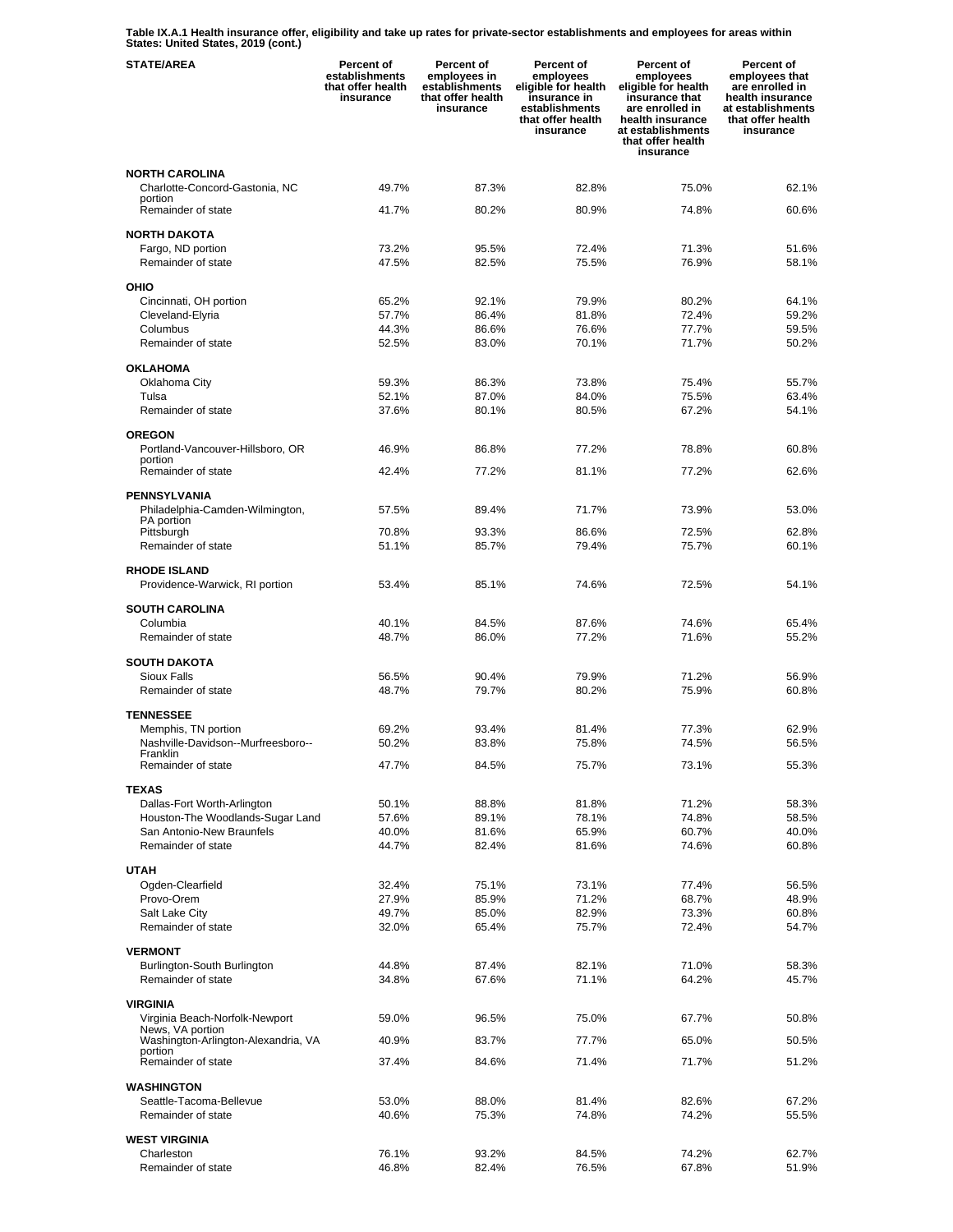**Table IX.A.1 Health insurance offer, eligibility and take up rates for private-sector establishments and employees for areas within States: United States, 2019 (cont.)** 

| <b>STATE/AREA</b>                                      | Percent of<br>establishments<br>that offer health<br>insurance | Percent of<br>employees in<br>establishments<br>that offer health<br>insurance | Percent of<br>employees<br>eligible for health<br>insurance in<br>establishments<br>that offer health<br>insurance | Percent of<br>employees<br>eligible for health<br>insurance that<br>are enrolled in<br>health insurance<br>at establishments<br>that offer health<br>insurance | Percent of<br>employees that<br>are enrolled in<br>health insurance<br>at establishments<br>that offer health<br>insurance |
|--------------------------------------------------------|----------------------------------------------------------------|--------------------------------------------------------------------------------|--------------------------------------------------------------------------------------------------------------------|----------------------------------------------------------------------------------------------------------------------------------------------------------------|----------------------------------------------------------------------------------------------------------------------------|
| <b>NORTH CAROLINA</b>                                  |                                                                |                                                                                |                                                                                                                    |                                                                                                                                                                |                                                                                                                            |
| Charlotte-Concord-Gastonia, NC                         | 49.7%                                                          | 87.3%                                                                          | 82.8%                                                                                                              | 75.0%                                                                                                                                                          | 62.1%                                                                                                                      |
| portion<br>Remainder of state                          | 41.7%                                                          | 80.2%                                                                          | 80.9%                                                                                                              | 74.8%                                                                                                                                                          | 60.6%                                                                                                                      |
|                                                        |                                                                |                                                                                |                                                                                                                    |                                                                                                                                                                |                                                                                                                            |
| <b>NORTH DAKOTA</b>                                    |                                                                |                                                                                | 72.4%                                                                                                              |                                                                                                                                                                |                                                                                                                            |
| Fargo, ND portion<br>Remainder of state                | 73.2%<br>47.5%                                                 | 95.5%<br>82.5%                                                                 | 75.5%                                                                                                              | 71.3%<br>76.9%                                                                                                                                                 | 51.6%<br>58.1%                                                                                                             |
|                                                        |                                                                |                                                                                |                                                                                                                    |                                                                                                                                                                |                                                                                                                            |
| OHIO                                                   |                                                                |                                                                                |                                                                                                                    |                                                                                                                                                                |                                                                                                                            |
| Cincinnati, OH portion                                 | 65.2%                                                          | 92.1%                                                                          | 79.9%<br>81.8%                                                                                                     | 80.2%                                                                                                                                                          | 64.1%                                                                                                                      |
| Cleveland-Elyria<br>Columbus                           | 57.7%<br>44.3%                                                 | 86.4%<br>86.6%                                                                 | 76.6%                                                                                                              | 72.4%<br>77.7%                                                                                                                                                 | 59.2%<br>59.5%                                                                                                             |
| Remainder of state                                     | 52.5%                                                          | 83.0%                                                                          | 70.1%                                                                                                              | 71.7%                                                                                                                                                          | 50.2%                                                                                                                      |
|                                                        |                                                                |                                                                                |                                                                                                                    |                                                                                                                                                                |                                                                                                                            |
| <b>OKLAHOMA</b>                                        |                                                                |                                                                                |                                                                                                                    |                                                                                                                                                                |                                                                                                                            |
| Oklahoma City                                          | 59.3%<br>52.1%                                                 | 86.3%                                                                          | 73.8%                                                                                                              | 75.4%                                                                                                                                                          | 55.7%                                                                                                                      |
| Tulsa<br>Remainder of state                            | 37.6%                                                          | 87.0%<br>80.1%                                                                 | 84.0%<br>80.5%                                                                                                     | 75.5%<br>67.2%                                                                                                                                                 | 63.4%<br>54.1%                                                                                                             |
|                                                        |                                                                |                                                                                |                                                                                                                    |                                                                                                                                                                |                                                                                                                            |
| <b>OREGON</b>                                          |                                                                |                                                                                |                                                                                                                    |                                                                                                                                                                |                                                                                                                            |
| Portland-Vancouver-Hillsboro, OR<br>portion            | 46.9%                                                          | 86.8%                                                                          | 77.2%                                                                                                              | 78.8%                                                                                                                                                          | 60.8%                                                                                                                      |
| Remainder of state                                     | 42.4%                                                          | 77.2%                                                                          | 81.1%                                                                                                              | 77.2%                                                                                                                                                          | 62.6%                                                                                                                      |
|                                                        |                                                                |                                                                                |                                                                                                                    |                                                                                                                                                                |                                                                                                                            |
| <b>PENNSYLVANIA</b><br>Philadelphia-Camden-Wilmington, | 57.5%                                                          | 89.4%                                                                          | 71.7%                                                                                                              | 73.9%                                                                                                                                                          | 53.0%                                                                                                                      |
| PA portion                                             |                                                                |                                                                                |                                                                                                                    |                                                                                                                                                                |                                                                                                                            |
| Pittsburgh                                             | 70.8%                                                          | 93.3%                                                                          | 86.6%                                                                                                              | 72.5%                                                                                                                                                          | 62.8%                                                                                                                      |
| Remainder of state                                     | 51.1%                                                          | 85.7%                                                                          | 79.4%                                                                                                              | 75.7%                                                                                                                                                          | 60.1%                                                                                                                      |
| <b>RHODE ISLAND</b>                                    |                                                                |                                                                                |                                                                                                                    |                                                                                                                                                                |                                                                                                                            |
| Providence-Warwick, RI portion                         | 53.4%                                                          | 85.1%                                                                          | 74.6%                                                                                                              | 72.5%                                                                                                                                                          | 54.1%                                                                                                                      |
| <b>SOUTH CAROLINA</b>                                  |                                                                |                                                                                |                                                                                                                    |                                                                                                                                                                |                                                                                                                            |
| Columbia                                               | 40.1%                                                          | 84.5%                                                                          | 87.6%                                                                                                              | 74.6%                                                                                                                                                          | 65.4%                                                                                                                      |
| Remainder of state                                     | 48.7%                                                          | 86.0%                                                                          | 77.2%                                                                                                              | 71.6%                                                                                                                                                          | 55.2%                                                                                                                      |
|                                                        |                                                                |                                                                                |                                                                                                                    |                                                                                                                                                                |                                                                                                                            |
| <b>SOUTH DAKOTA</b><br>Sioux Falls                     |                                                                |                                                                                |                                                                                                                    |                                                                                                                                                                |                                                                                                                            |
| Remainder of state                                     | 56.5%<br>48.7%                                                 | 90.4%<br>79.7%                                                                 | 79.9%<br>80.2%                                                                                                     | 71.2%<br>75.9%                                                                                                                                                 | 56.9%<br>60.8%                                                                                                             |
|                                                        |                                                                |                                                                                |                                                                                                                    |                                                                                                                                                                |                                                                                                                            |
| <b>TENNESSEE</b>                                       |                                                                |                                                                                |                                                                                                                    |                                                                                                                                                                |                                                                                                                            |
| Memphis, TN portion                                    | 69.2%                                                          | 93.4%                                                                          | 81.4%                                                                                                              | 77.3%                                                                                                                                                          | 62.9%                                                                                                                      |
| Nashville-Davidson--Murfreesboro--<br>Franklin         | 50.2%                                                          | 83.8%                                                                          | 75.8%                                                                                                              | 74.5%                                                                                                                                                          | 56.5%                                                                                                                      |
| Remainder of state                                     | 47.7%                                                          | 84.5%                                                                          | 75.7%                                                                                                              | 73.1%                                                                                                                                                          | 55.3%                                                                                                                      |
| <b>TEXAS</b>                                           |                                                                |                                                                                |                                                                                                                    |                                                                                                                                                                |                                                                                                                            |
| Dallas-Fort Worth-Arlington                            | 50.1%                                                          | 88.8%                                                                          | 81.8%                                                                                                              | 71.2%                                                                                                                                                          | 58.3%                                                                                                                      |
| Houston-The Woodlands-Sugar Land                       | 57.6%                                                          | 89.1%                                                                          | 78.1%                                                                                                              | 74.8%                                                                                                                                                          | 58.5%                                                                                                                      |
| San Antonio-New Braunfels                              | 40.0%                                                          | 81.6%                                                                          | 65.9%                                                                                                              | 60.7%                                                                                                                                                          | 40.0%                                                                                                                      |
| Remainder of state                                     | 44.7%                                                          | 82.4%                                                                          | 81.6%                                                                                                              | 74.6%                                                                                                                                                          | 60.8%                                                                                                                      |
| <b>UTAH</b>                                            |                                                                |                                                                                |                                                                                                                    |                                                                                                                                                                |                                                                                                                            |
| Ogden-Clearfield                                       | 32.4%                                                          | 75.1%                                                                          | 73.1%                                                                                                              | 77.4%                                                                                                                                                          | 56.5%                                                                                                                      |
| Provo-Orem                                             | 27.9%                                                          | 85.9%                                                                          | 71.2%                                                                                                              | 68.7%                                                                                                                                                          | 48.9%                                                                                                                      |
| Salt Lake City                                         | 49.7%                                                          | 85.0%                                                                          | 82.9%                                                                                                              | 73.3%                                                                                                                                                          | 60.8%                                                                                                                      |
| Remainder of state                                     | 32.0%                                                          | 65.4%                                                                          | 75.7%                                                                                                              | 72.4%                                                                                                                                                          | 54.7%                                                                                                                      |
| <b>VERMONT</b>                                         |                                                                |                                                                                |                                                                                                                    |                                                                                                                                                                |                                                                                                                            |
| Burlington-South Burlington                            | 44.8%                                                          | 87.4%                                                                          | 82.1%                                                                                                              | 71.0%                                                                                                                                                          | 58.3%                                                                                                                      |
| Remainder of state                                     | 34.8%                                                          | 67.6%                                                                          | 71.1%                                                                                                              | 64.2%                                                                                                                                                          | 45.7%                                                                                                                      |
| <b>VIRGINIA</b>                                        |                                                                |                                                                                |                                                                                                                    |                                                                                                                                                                |                                                                                                                            |
| Virginia Beach-Norfolk-Newport                         | 59.0%                                                          | 96.5%                                                                          | 75.0%                                                                                                              | 67.7%                                                                                                                                                          | 50.8%                                                                                                                      |
| News, VA portion                                       |                                                                |                                                                                |                                                                                                                    |                                                                                                                                                                |                                                                                                                            |
| Washington-Arlington-Alexandria, VA<br>portion         | 40.9%                                                          | 83.7%                                                                          | 77.7%                                                                                                              | 65.0%                                                                                                                                                          | 50.5%                                                                                                                      |
| Remainder of state                                     | 37.4%                                                          | 84.6%                                                                          | 71.4%                                                                                                              | 71.7%                                                                                                                                                          | 51.2%                                                                                                                      |
| <b>WASHINGTON</b>                                      |                                                                |                                                                                |                                                                                                                    |                                                                                                                                                                |                                                                                                                            |
| Seattle-Tacoma-Bellevue                                | 53.0%                                                          | 88.0%                                                                          | 81.4%                                                                                                              | 82.6%                                                                                                                                                          | 67.2%                                                                                                                      |
| Remainder of state                                     | 40.6%                                                          | 75.3%                                                                          | 74.8%                                                                                                              | 74.2%                                                                                                                                                          | 55.5%                                                                                                                      |
| <b>WEST VIRGINIA</b>                                   |                                                                |                                                                                |                                                                                                                    |                                                                                                                                                                |                                                                                                                            |
| Charleston                                             | 76.1%                                                          | 93.2%                                                                          | 84.5%                                                                                                              | 74.2%                                                                                                                                                          | 62.7%                                                                                                                      |
| Remainder of state                                     | 46.8%                                                          | 82.4%                                                                          | 76.5%                                                                                                              | 67.8%                                                                                                                                                          | 51.9%                                                                                                                      |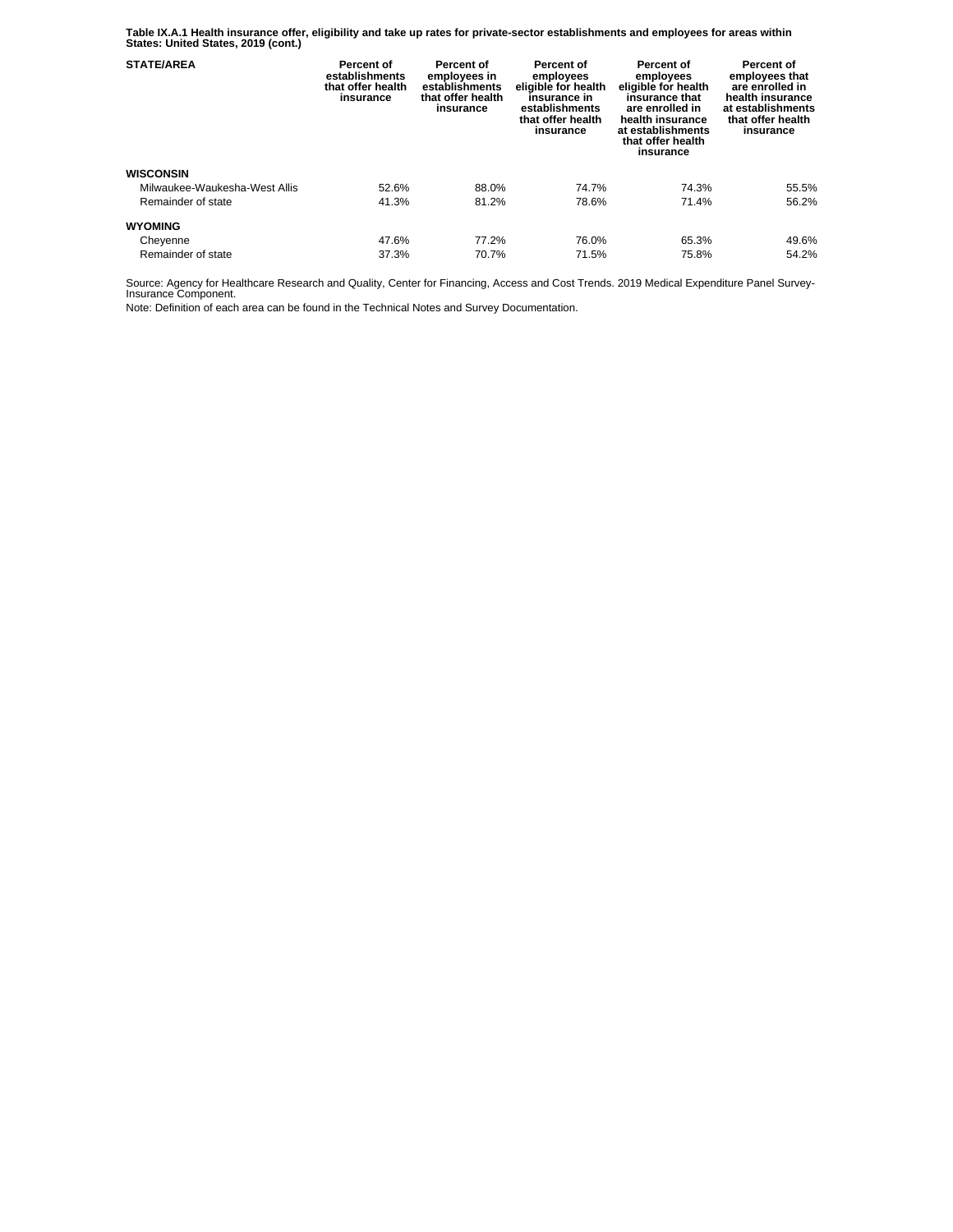**Table IX.A.1 Health insurance offer, eligibility and take up rates for private-sector establishments and employees for areas within States: United States, 2019 (cont.)** 

| <b>STATE/AREA</b>             | Percent of<br>establishments<br>that offer health<br>insurance | Percent of<br>employees in<br>establishments<br>that offer health<br>insurance | Percent of<br>employees<br>eligible for health<br>insurance in<br>establishments<br>that offer health<br>insurance | Percent of<br>employees<br>eligible for health<br>insurance that<br>are enrolled in<br>health insurance<br>at establishments<br>that offer health<br>insurance | Percent of<br>employees that<br>are enrolled in<br>health insurance<br>at establishments<br>that offer health<br>insurance |
|-------------------------------|----------------------------------------------------------------|--------------------------------------------------------------------------------|--------------------------------------------------------------------------------------------------------------------|----------------------------------------------------------------------------------------------------------------------------------------------------------------|----------------------------------------------------------------------------------------------------------------------------|
| <b>WISCONSIN</b>              |                                                                |                                                                                |                                                                                                                    |                                                                                                                                                                |                                                                                                                            |
| Milwaukee-Waukesha-West Allis | 52.6%                                                          | 88.0%                                                                          | 74.7%                                                                                                              | 74.3%                                                                                                                                                          | 55.5%                                                                                                                      |
| Remainder of state            | 41.3%                                                          | 81.2%                                                                          | 78.6%                                                                                                              | 71.4%                                                                                                                                                          | 56.2%                                                                                                                      |
| <b>WYOMING</b>                |                                                                |                                                                                |                                                                                                                    |                                                                                                                                                                |                                                                                                                            |
| Cheyenne                      | 47.6%                                                          | 77.2%                                                                          | 76.0%                                                                                                              | 65.3%                                                                                                                                                          | 49.6%                                                                                                                      |
| Remainder of state            | 37.3%                                                          | 70.7%                                                                          | 71.5%                                                                                                              | 75.8%                                                                                                                                                          | 54.2%                                                                                                                      |

Source: Agency for Healthcare Research and Quality, Center for Financing, Access and Cost Trends. 2019 Medical Expenditure Panel Survey-Insurance Component.

Note: Definition of each area can be found in the Technical Notes and Survey Documentation.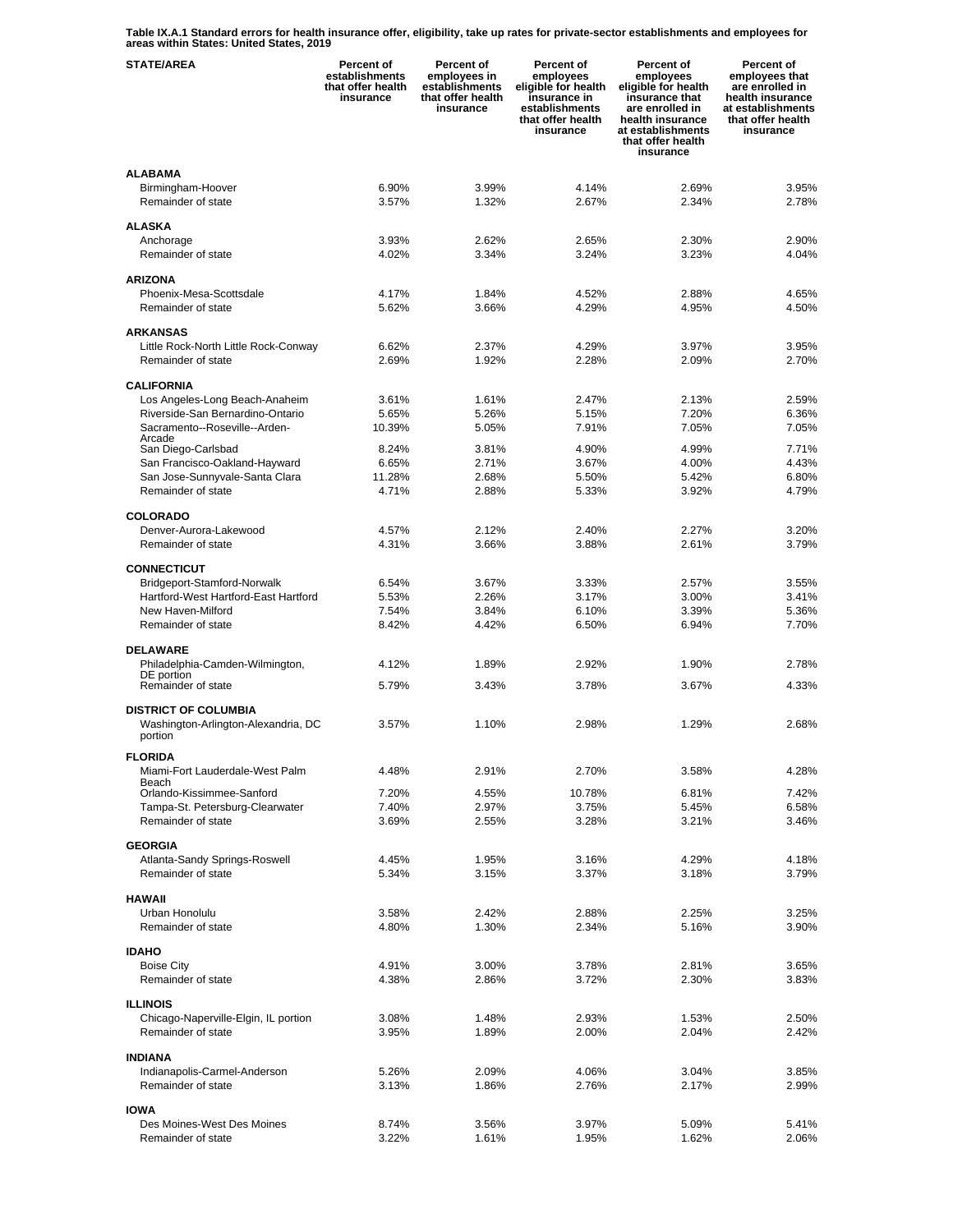**Table IX.A.1 Standard errors for health insurance offer, eligibility, take up rates for private-sector establishments and employees for areas within States: United States, 2019** 

| <b>STATE/AREA</b>                                                             | <b>Percent of</b><br>establishments<br>that offer health<br>insurance | <b>Percent of</b><br>employees in<br>establishments<br>that offer health<br>insurance | <b>Percent of</b><br>employees<br>eligible for health<br>insurance in<br>establishments<br>that offer health<br>insurance | Percent of<br>employees<br>eligible for health<br>insurance that<br>are enrolled in<br>health insurance<br>at establishments<br>that offer health<br>insurance | Percent of<br>employees that<br>are enrolled in<br>health insurance<br>at establishments<br>that offer health<br>insurance |
|-------------------------------------------------------------------------------|-----------------------------------------------------------------------|---------------------------------------------------------------------------------------|---------------------------------------------------------------------------------------------------------------------------|----------------------------------------------------------------------------------------------------------------------------------------------------------------|----------------------------------------------------------------------------------------------------------------------------|
| <b>ALABAMA</b>                                                                |                                                                       |                                                                                       |                                                                                                                           |                                                                                                                                                                |                                                                                                                            |
| Birmingham-Hoover<br>Remainder of state                                       | 6.90%<br>3.57%                                                        | 3.99%<br>1.32%                                                                        | 4.14%<br>2.67%                                                                                                            | 2.69%<br>2.34%                                                                                                                                                 | 3.95%<br>2.78%                                                                                                             |
| <b>ALASKA</b>                                                                 |                                                                       |                                                                                       |                                                                                                                           |                                                                                                                                                                |                                                                                                                            |
| Anchorage                                                                     | 3.93%                                                                 | 2.62%                                                                                 | 2.65%                                                                                                                     | 2.30%                                                                                                                                                          | 2.90%                                                                                                                      |
| Remainder of state                                                            | 4.02%                                                                 | 3.34%                                                                                 | 3.24%                                                                                                                     | 3.23%                                                                                                                                                          | 4.04%                                                                                                                      |
| <b>ARIZONA</b>                                                                |                                                                       |                                                                                       |                                                                                                                           |                                                                                                                                                                |                                                                                                                            |
| Phoenix-Mesa-Scottsdale<br>Remainder of state                                 | 4.17%<br>5.62%                                                        | 1.84%<br>3.66%                                                                        | 4.52%<br>4.29%                                                                                                            | 2.88%<br>4.95%                                                                                                                                                 | 4.65%<br>4.50%                                                                                                             |
|                                                                               |                                                                       |                                                                                       |                                                                                                                           |                                                                                                                                                                |                                                                                                                            |
| <b>ARKANSAS</b><br>Little Rock-North Little Rock-Conway                       | 6.62%                                                                 | 2.37%                                                                                 | 4.29%                                                                                                                     | 3.97%                                                                                                                                                          | 3.95%                                                                                                                      |
| Remainder of state                                                            | 2.69%                                                                 | 1.92%                                                                                 | 2.28%                                                                                                                     | 2.09%                                                                                                                                                          | 2.70%                                                                                                                      |
| <b>CALIFORNIA</b>                                                             |                                                                       |                                                                                       |                                                                                                                           |                                                                                                                                                                |                                                                                                                            |
| Los Angeles-Long Beach-Anaheim                                                | 3.61%                                                                 | 1.61%                                                                                 | 2.47%                                                                                                                     | 2.13%                                                                                                                                                          | 2.59%                                                                                                                      |
| Riverside-San Bernardino-Ontario<br>Sacramento--Roseville--Arden-             | 5.65%<br>10.39%                                                       | 5.26%<br>5.05%                                                                        | 5.15%<br>7.91%                                                                                                            | 7.20%<br>7.05%                                                                                                                                                 | 6.36%<br>7.05%                                                                                                             |
| Arcade<br>San Diego-Carlsbad                                                  | 8.24%                                                                 | 3.81%                                                                                 | 4.90%                                                                                                                     | 4.99%                                                                                                                                                          | 7.71%                                                                                                                      |
| San Francisco-Oakland-Hayward                                                 | 6.65%                                                                 | 2.71%                                                                                 | 3.67%                                                                                                                     | 4.00%                                                                                                                                                          | 4.43%                                                                                                                      |
| San Jose-Sunnyvale-Santa Clara                                                | 11.28%                                                                | 2.68%                                                                                 | 5.50%                                                                                                                     | 5.42%                                                                                                                                                          | 6.80%                                                                                                                      |
| Remainder of state                                                            | 4.71%                                                                 | 2.88%                                                                                 | 5.33%                                                                                                                     | 3.92%                                                                                                                                                          | 4.79%                                                                                                                      |
| <b>COLORADO</b>                                                               |                                                                       |                                                                                       |                                                                                                                           |                                                                                                                                                                |                                                                                                                            |
| Denver-Aurora-Lakewood<br>Remainder of state                                  | 4.57%<br>4.31%                                                        | 2.12%<br>3.66%                                                                        | 2.40%<br>3.88%                                                                                                            | 2.27%<br>2.61%                                                                                                                                                 | 3.20%<br>3.79%                                                                                                             |
|                                                                               |                                                                       |                                                                                       |                                                                                                                           |                                                                                                                                                                |                                                                                                                            |
| <b>CONNECTICUT</b><br>Bridgeport-Stamford-Norwalk                             | 6.54%                                                                 | 3.67%                                                                                 | 3.33%                                                                                                                     | 2.57%                                                                                                                                                          | 3.55%                                                                                                                      |
| Hartford-West Hartford-East Hartford                                          | 5.53%                                                                 | 2.26%                                                                                 | 3.17%                                                                                                                     | 3.00%                                                                                                                                                          | 3.41%                                                                                                                      |
| New Haven-Milford<br>Remainder of state                                       | 7.54%<br>8.42%                                                        | 3.84%<br>4.42%                                                                        | 6.10%<br>6.50%                                                                                                            | 3.39%<br>6.94%                                                                                                                                                 | 5.36%<br>7.70%                                                                                                             |
|                                                                               |                                                                       |                                                                                       |                                                                                                                           |                                                                                                                                                                |                                                                                                                            |
| <b>DELAWARE</b><br>Philadelphia-Camden-Wilmington,                            | 4.12%                                                                 | 1.89%                                                                                 | 2.92%                                                                                                                     | 1.90%                                                                                                                                                          | 2.78%                                                                                                                      |
| DE portion                                                                    |                                                                       | 3.43%                                                                                 |                                                                                                                           |                                                                                                                                                                | 4.33%                                                                                                                      |
| Remainder of state                                                            | 5.79%                                                                 |                                                                                       | 3.78%                                                                                                                     | 3.67%                                                                                                                                                          |                                                                                                                            |
| <b>DISTRICT OF COLUMBIA</b><br>Washington-Arlington-Alexandria, DC<br>portion | 3.57%                                                                 | 1.10%                                                                                 | 2.98%                                                                                                                     | 1.29%                                                                                                                                                          | 2.68%                                                                                                                      |
| <b>FLORIDA</b>                                                                |                                                                       |                                                                                       |                                                                                                                           |                                                                                                                                                                |                                                                                                                            |
| Miami-Fort Lauderdale-West Palm<br>Beach                                      | 4.48%                                                                 | 2.91%                                                                                 | 2.70%                                                                                                                     | 3.58%                                                                                                                                                          | 4.28%                                                                                                                      |
| Orlando-Kissimmee-Sanford                                                     | 7.20%                                                                 | 4.55%                                                                                 | 10.78%                                                                                                                    | 6.81%                                                                                                                                                          | 7.42%                                                                                                                      |
| Tampa-St. Petersburg-Clearwater<br>Remainder of state                         | 7.40%<br>3.69%                                                        | 2.97%<br>2.55%                                                                        | 3.75%<br>3.28%                                                                                                            | 5.45%<br>3.21%                                                                                                                                                 | 6.58%<br>3.46%                                                                                                             |
|                                                                               |                                                                       |                                                                                       |                                                                                                                           |                                                                                                                                                                |                                                                                                                            |
| <b>GEORGIA</b><br>Atlanta-Sandy Springs-Roswell                               | 4.45%                                                                 | 1.95%                                                                                 | 3.16%                                                                                                                     | 4.29%                                                                                                                                                          | 4.18%                                                                                                                      |
| Remainder of state                                                            | 5.34%                                                                 | 3.15%                                                                                 | 3.37%                                                                                                                     | 3.18%                                                                                                                                                          | 3.79%                                                                                                                      |
| <b>HAWAII</b>                                                                 |                                                                       |                                                                                       |                                                                                                                           |                                                                                                                                                                |                                                                                                                            |
| Urban Honolulu                                                                | 3.58%                                                                 | 2.42%                                                                                 | 2.88%                                                                                                                     | 2.25%                                                                                                                                                          | 3.25%                                                                                                                      |
| Remainder of state                                                            | 4.80%                                                                 | 1.30%                                                                                 | 2.34%                                                                                                                     | 5.16%                                                                                                                                                          | 3.90%                                                                                                                      |
| <b>IDAHO</b>                                                                  |                                                                       |                                                                                       |                                                                                                                           |                                                                                                                                                                |                                                                                                                            |
| <b>Boise City</b><br>Remainder of state                                       | 4.91%<br>4.38%                                                        | 3.00%<br>2.86%                                                                        | 3.78%<br>3.72%                                                                                                            | 2.81%<br>2.30%                                                                                                                                                 | 3.65%<br>3.83%                                                                                                             |
|                                                                               |                                                                       |                                                                                       |                                                                                                                           |                                                                                                                                                                |                                                                                                                            |
| <b>ILLINOIS</b><br>Chicago-Naperville-Elgin, IL portion                       | 3.08%                                                                 | 1.48%                                                                                 | 2.93%                                                                                                                     | 1.53%                                                                                                                                                          | 2.50%                                                                                                                      |
| Remainder of state                                                            | 3.95%                                                                 | 1.89%                                                                                 | 2.00%                                                                                                                     | 2.04%                                                                                                                                                          | 2.42%                                                                                                                      |
| <b>INDIANA</b>                                                                |                                                                       |                                                                                       |                                                                                                                           |                                                                                                                                                                |                                                                                                                            |
| Indianapolis-Carmel-Anderson                                                  | 5.26%                                                                 | 2.09%                                                                                 | 4.06%                                                                                                                     | 3.04%                                                                                                                                                          | 3.85%                                                                                                                      |
| Remainder of state                                                            | 3.13%                                                                 | 1.86%                                                                                 | 2.76%                                                                                                                     | 2.17%                                                                                                                                                          | 2.99%                                                                                                                      |
| <b>IOWA</b>                                                                   |                                                                       |                                                                                       |                                                                                                                           |                                                                                                                                                                |                                                                                                                            |
| Des Moines-West Des Moines<br>Remainder of state                              | 8.74%<br>3.22%                                                        | 3.56%<br>1.61%                                                                        | 3.97%<br>1.95%                                                                                                            | 5.09%<br>1.62%                                                                                                                                                 | 5.41%<br>2.06%                                                                                                             |
|                                                                               |                                                                       |                                                                                       |                                                                                                                           |                                                                                                                                                                |                                                                                                                            |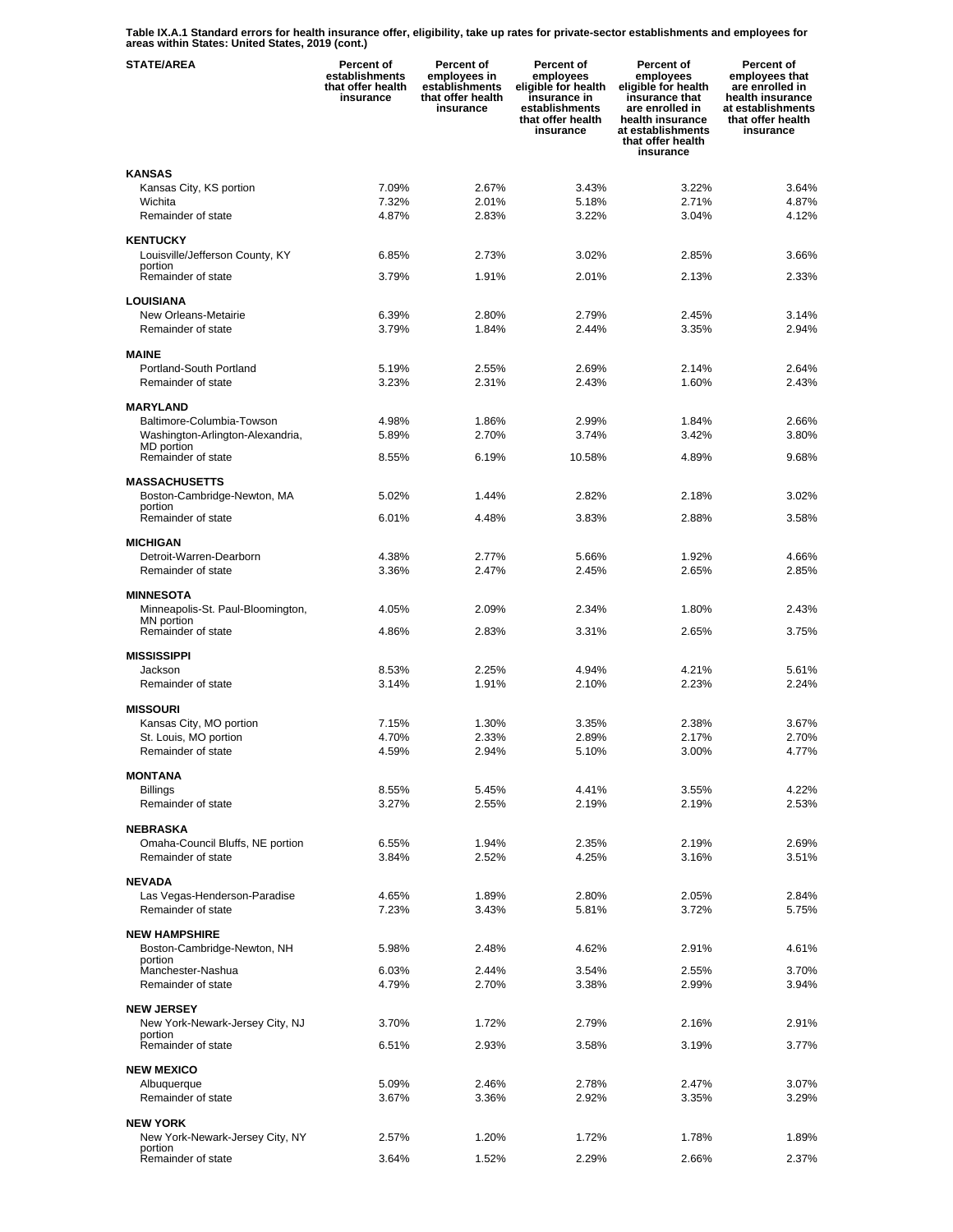**Table IX.A.1 Standard errors for health insurance offer, eligibility, take up rates for private-sector establishments and employees for areas within States: United States, 2019 (cont.)** 

| <b>STATE/AREA</b>                                   | <b>Percent of</b><br>establishments<br>that offer health<br>insurance | Percent of<br>employees in<br>establishments<br>that offer health<br>insurance | Percent of<br>employees<br>eligible for health<br>insurance in<br>establishments<br>that offer health<br>insurance | Percent of<br>employees<br>eligible for health<br>insurance that<br>are enrolled in<br>health insurance<br>at establishments<br>that offer health<br>insurance | <b>Percent of</b><br>employees that<br>are enrolled in<br>health insurance<br>at establishments<br>that offer health<br>insurance |
|-----------------------------------------------------|-----------------------------------------------------------------------|--------------------------------------------------------------------------------|--------------------------------------------------------------------------------------------------------------------|----------------------------------------------------------------------------------------------------------------------------------------------------------------|-----------------------------------------------------------------------------------------------------------------------------------|
| <b>KANSAS</b>                                       |                                                                       |                                                                                |                                                                                                                    |                                                                                                                                                                |                                                                                                                                   |
| Kansas City, KS portion                             | 7.09%                                                                 | 2.67%                                                                          | 3.43%                                                                                                              | 3.22%                                                                                                                                                          | 3.64%                                                                                                                             |
| Wichita<br>Remainder of state                       | 7.32%<br>4.87%                                                        | 2.01%<br>2.83%                                                                 | 5.18%<br>3.22%                                                                                                     | 2.71%<br>3.04%                                                                                                                                                 | 4.87%<br>4.12%                                                                                                                    |
|                                                     |                                                                       |                                                                                |                                                                                                                    |                                                                                                                                                                |                                                                                                                                   |
| <b>KENTUCKY</b>                                     |                                                                       |                                                                                |                                                                                                                    |                                                                                                                                                                |                                                                                                                                   |
| Louisville/Jefferson County, KY<br>portion          | 6.85%                                                                 | 2.73%                                                                          | 3.02%                                                                                                              | 2.85%                                                                                                                                                          | 3.66%                                                                                                                             |
| Remainder of state                                  | 3.79%                                                                 | 1.91%                                                                          | 2.01%                                                                                                              | 2.13%                                                                                                                                                          | 2.33%                                                                                                                             |
| LOUISIANA                                           |                                                                       |                                                                                |                                                                                                                    |                                                                                                                                                                |                                                                                                                                   |
| New Orleans-Metairie                                | 6.39%                                                                 | 2.80%                                                                          | 2.79%                                                                                                              | 2.45%                                                                                                                                                          | 3.14%                                                                                                                             |
| Remainder of state                                  | 3.79%                                                                 | 1.84%                                                                          | 2.44%                                                                                                              | 3.35%                                                                                                                                                          | 2.94%                                                                                                                             |
| <b>MAINE</b>                                        |                                                                       |                                                                                |                                                                                                                    |                                                                                                                                                                |                                                                                                                                   |
| Portland-South Portland                             | 5.19%                                                                 | 2.55%                                                                          | 2.69%                                                                                                              | 2.14%                                                                                                                                                          | 2.64%                                                                                                                             |
| Remainder of state                                  | 3.23%                                                                 | 2.31%                                                                          | 2.43%                                                                                                              | 1.60%                                                                                                                                                          | 2.43%                                                                                                                             |
| <b>MARYLAND</b>                                     |                                                                       |                                                                                |                                                                                                                    |                                                                                                                                                                |                                                                                                                                   |
| Baltimore-Columbia-Towson                           | 4.98%                                                                 | 1.86%                                                                          | 2.99%                                                                                                              | 1.84%                                                                                                                                                          | 2.66%                                                                                                                             |
| Washington-Arlington-Alexandria,                    | 5.89%                                                                 | 2.70%                                                                          | 3.74%                                                                                                              | 3.42%                                                                                                                                                          | 3.80%                                                                                                                             |
| MD portion<br>Remainder of state                    | 8.55%                                                                 | 6.19%                                                                          | 10.58%                                                                                                             | 4.89%                                                                                                                                                          | 9.68%                                                                                                                             |
|                                                     |                                                                       |                                                                                |                                                                                                                    |                                                                                                                                                                |                                                                                                                                   |
| <b>MASSACHUSETTS</b><br>Boston-Cambridge-Newton, MA | 5.02%                                                                 | 1.44%                                                                          | 2.82%                                                                                                              | 2.18%                                                                                                                                                          | 3.02%                                                                                                                             |
| portion                                             |                                                                       |                                                                                |                                                                                                                    |                                                                                                                                                                |                                                                                                                                   |
| Remainder of state                                  | 6.01%                                                                 | 4.48%                                                                          | 3.83%                                                                                                              | 2.88%                                                                                                                                                          | 3.58%                                                                                                                             |
| <b>MICHIGAN</b>                                     |                                                                       |                                                                                |                                                                                                                    |                                                                                                                                                                |                                                                                                                                   |
| Detroit-Warren-Dearborn                             | 4.38%                                                                 | 2.77%                                                                          | 5.66%                                                                                                              | 1.92%                                                                                                                                                          | 4.66%                                                                                                                             |
| Remainder of state                                  | 3.36%                                                                 | 2.47%                                                                          | 2.45%                                                                                                              | 2.65%                                                                                                                                                          | 2.85%                                                                                                                             |
| <b>MINNESOTA</b>                                    |                                                                       |                                                                                |                                                                                                                    |                                                                                                                                                                |                                                                                                                                   |
| Minneapolis-St. Paul-Bloomington,<br>MN portion     | 4.05%                                                                 | 2.09%                                                                          | 2.34%                                                                                                              | 1.80%                                                                                                                                                          | 2.43%                                                                                                                             |
| Remainder of state                                  | 4.86%                                                                 | 2.83%                                                                          | 3.31%                                                                                                              | 2.65%                                                                                                                                                          | 3.75%                                                                                                                             |
|                                                     |                                                                       |                                                                                |                                                                                                                    |                                                                                                                                                                |                                                                                                                                   |
| <b>MISSISSIPPI</b><br>Jackson                       | 8.53%                                                                 | 2.25%                                                                          | 4.94%                                                                                                              | 4.21%                                                                                                                                                          | 5.61%                                                                                                                             |
| Remainder of state                                  | 3.14%                                                                 | 1.91%                                                                          | 2.10%                                                                                                              | 2.23%                                                                                                                                                          | 2.24%                                                                                                                             |
| <b>MISSOURI</b>                                     |                                                                       |                                                                                |                                                                                                                    |                                                                                                                                                                |                                                                                                                                   |
| Kansas City, MO portion                             | 7.15%                                                                 | 1.30%                                                                          | 3.35%                                                                                                              | 2.38%                                                                                                                                                          | 3.67%                                                                                                                             |
| St. Louis, MO portion                               | 4.70%                                                                 | 2.33%                                                                          | 2.89%                                                                                                              | 2.17%                                                                                                                                                          | 2.70%                                                                                                                             |
| Remainder of state                                  | 4.59%                                                                 | 2.94%                                                                          | 5.10%                                                                                                              | 3.00%                                                                                                                                                          | 4.77%                                                                                                                             |
| <b>MONTANA</b>                                      |                                                                       |                                                                                |                                                                                                                    |                                                                                                                                                                |                                                                                                                                   |
| <b>Billings</b>                                     | 8.55%                                                                 | 5.45%                                                                          | 4.41%                                                                                                              | 3.55%                                                                                                                                                          | 4.22%                                                                                                                             |
| Remainder of state                                  | 3.27%                                                                 | 2.55%                                                                          | 2.19%                                                                                                              | 2.19%                                                                                                                                                          | 2.53%                                                                                                                             |
| <b>NEBRASKA</b>                                     |                                                                       |                                                                                |                                                                                                                    |                                                                                                                                                                |                                                                                                                                   |
| Omaha-Council Bluffs, NE portion                    | 6.55%                                                                 | 1.94%                                                                          | 2.35%                                                                                                              | 2.19%                                                                                                                                                          | 2.69%                                                                                                                             |
| Remainder of state                                  | 3.84%                                                                 | 2.52%                                                                          | 4.25%                                                                                                              | 3.16%                                                                                                                                                          | 3.51%                                                                                                                             |
| <b>NEVADA</b>                                       |                                                                       |                                                                                |                                                                                                                    |                                                                                                                                                                |                                                                                                                                   |
| Las Vegas-Henderson-Paradise                        | 4.65%                                                                 | 1.89%                                                                          | 2.80%                                                                                                              | 2.05%                                                                                                                                                          | 2.84%                                                                                                                             |
| Remainder of state                                  | 7.23%                                                                 | 3.43%                                                                          | 5.81%                                                                                                              | 3.72%                                                                                                                                                          | 5.75%                                                                                                                             |
| <b>NEW HAMPSHIRE</b>                                |                                                                       |                                                                                |                                                                                                                    |                                                                                                                                                                |                                                                                                                                   |
| Boston-Cambridge-Newton, NH                         | 5.98%                                                                 | 2.48%                                                                          | 4.62%                                                                                                              | 2.91%                                                                                                                                                          | 4.61%                                                                                                                             |
| portion<br>Manchester-Nashua                        | 6.03%                                                                 | 2.44%                                                                          | 3.54%                                                                                                              | 2.55%                                                                                                                                                          | 3.70%                                                                                                                             |
| Remainder of state                                  | 4.79%                                                                 | 2.70%                                                                          | 3.38%                                                                                                              | 2.99%                                                                                                                                                          | 3.94%                                                                                                                             |
| <b>NEW JERSEY</b>                                   |                                                                       |                                                                                |                                                                                                                    |                                                                                                                                                                |                                                                                                                                   |
| New York-Newark-Jersey City, NJ                     | 3.70%                                                                 | 1.72%                                                                          | 2.79%                                                                                                              | 2.16%                                                                                                                                                          | 2.91%                                                                                                                             |
| portion                                             |                                                                       |                                                                                |                                                                                                                    |                                                                                                                                                                |                                                                                                                                   |
| Remainder of state                                  | 6.51%                                                                 | 2.93%                                                                          | 3.58%                                                                                                              | 3.19%                                                                                                                                                          | 3.77%                                                                                                                             |
| <b>NEW MEXICO</b>                                   |                                                                       |                                                                                |                                                                                                                    |                                                                                                                                                                |                                                                                                                                   |
| Albuquerque                                         | 5.09%                                                                 | 2.46%                                                                          | 2.78%                                                                                                              | 2.47%                                                                                                                                                          | 3.07%                                                                                                                             |
| Remainder of state                                  | 3.67%                                                                 | 3.36%                                                                          | 2.92%                                                                                                              | 3.35%                                                                                                                                                          | 3.29%                                                                                                                             |
| <b>NEW YORK</b>                                     |                                                                       |                                                                                |                                                                                                                    |                                                                                                                                                                |                                                                                                                                   |
| New York-Newark-Jersey City, NY<br>portion          | 2.57%                                                                 | 1.20%                                                                          | 1.72%                                                                                                              | 1.78%                                                                                                                                                          | 1.89%                                                                                                                             |
| Remainder of state                                  | 3.64%                                                                 | 1.52%                                                                          | 2.29%                                                                                                              | 2.66%                                                                                                                                                          | 2.37%                                                                                                                             |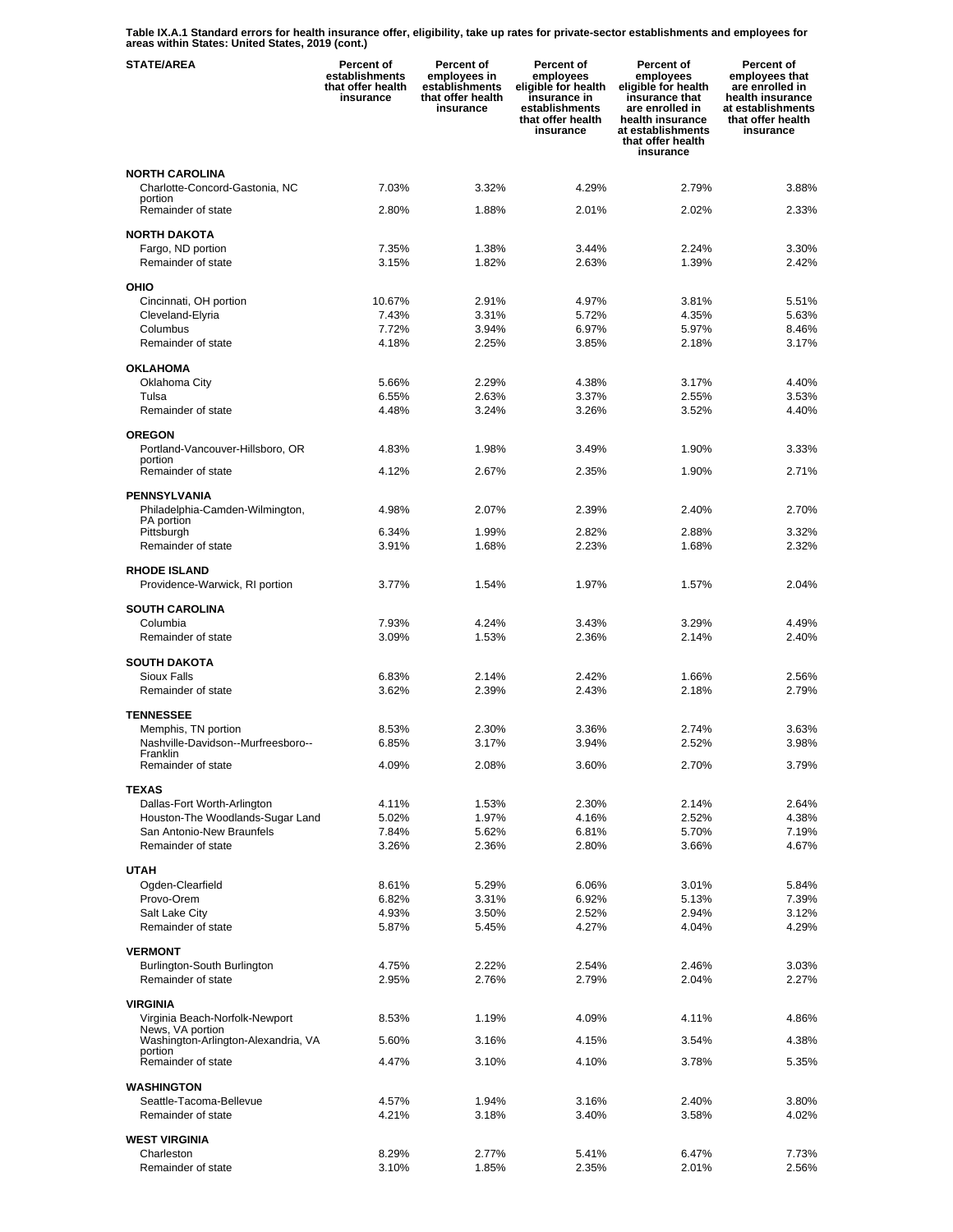**Table IX.A.1 Standard errors for health insurance offer, eligibility, take up rates for private-sector establishments and employees for areas within States: United States, 2019 (cont.)** 

| <b>STATE/AREA</b>                                  | <b>Percent of</b><br>establishments<br>that offer health<br>insurance | Percent of<br>employees in<br>establishments<br>that offer health<br>insurance | Percent of<br>employees<br>eligible for health<br>insurance in<br>establishments<br>that offer health<br>insurance | Percent of<br>employees<br>eligible for health<br>insurance that<br>are enrolled in<br>health insurance<br>at establishments<br>that offer health<br>insurance | Percent of<br>employees that<br>are enrolled in<br>health insurance<br>at establishments<br>that offer health<br>insurance |
|----------------------------------------------------|-----------------------------------------------------------------------|--------------------------------------------------------------------------------|--------------------------------------------------------------------------------------------------------------------|----------------------------------------------------------------------------------------------------------------------------------------------------------------|----------------------------------------------------------------------------------------------------------------------------|
| <b>NORTH CAROLINA</b>                              |                                                                       |                                                                                |                                                                                                                    |                                                                                                                                                                |                                                                                                                            |
| Charlotte-Concord-Gastonia, NC<br>portion          | 7.03%                                                                 | 3.32%                                                                          | 4.29%                                                                                                              | 2.79%                                                                                                                                                          | 3.88%                                                                                                                      |
| Remainder of state                                 | 2.80%                                                                 | 1.88%                                                                          | 2.01%                                                                                                              | 2.02%                                                                                                                                                          | 2.33%                                                                                                                      |
| <b>NORTH DAKOTA</b><br>Fargo, ND portion           | 7.35%                                                                 | 1.38%                                                                          | 3.44%                                                                                                              | 2.24%                                                                                                                                                          | 3.30%                                                                                                                      |
| Remainder of state                                 | 3.15%                                                                 | 1.82%                                                                          | 2.63%                                                                                                              | 1.39%                                                                                                                                                          | 2.42%                                                                                                                      |
| OHIO                                               |                                                                       |                                                                                |                                                                                                                    |                                                                                                                                                                |                                                                                                                            |
| Cincinnati, OH portion                             | 10.67%                                                                | 2.91%                                                                          | 4.97%                                                                                                              | 3.81%                                                                                                                                                          | 5.51%                                                                                                                      |
| Cleveland-Elyria                                   | 7.43%                                                                 | 3.31%                                                                          | 5.72%                                                                                                              | 4.35%                                                                                                                                                          | 5.63%                                                                                                                      |
| Columbus<br>Remainder of state                     | 7.72%<br>4.18%                                                        | 3.94%<br>2.25%                                                                 | 6.97%<br>3.85%                                                                                                     | 5.97%<br>2.18%                                                                                                                                                 | 8.46%<br>3.17%                                                                                                             |
| <b>OKLAHOMA</b>                                    |                                                                       |                                                                                |                                                                                                                    |                                                                                                                                                                |                                                                                                                            |
| Oklahoma City                                      | 5.66%                                                                 | 2.29%                                                                          | 4.38%                                                                                                              | 3.17%                                                                                                                                                          | 4.40%                                                                                                                      |
| Tulsa                                              | 6.55%                                                                 | 2.63%                                                                          | 3.37%                                                                                                              | 2.55%                                                                                                                                                          | 3.53%                                                                                                                      |
| Remainder of state                                 | 4.48%                                                                 | 3.24%                                                                          | 3.26%                                                                                                              | 3.52%                                                                                                                                                          | 4.40%                                                                                                                      |
| <b>OREGON</b><br>Portland-Vancouver-Hillsboro, OR  | 4.83%                                                                 | 1.98%                                                                          | 3.49%                                                                                                              | 1.90%                                                                                                                                                          | 3.33%                                                                                                                      |
| portion                                            |                                                                       |                                                                                |                                                                                                                    |                                                                                                                                                                |                                                                                                                            |
| Remainder of state                                 | 4.12%                                                                 | 2.67%                                                                          | 2.35%                                                                                                              | 1.90%                                                                                                                                                          | 2.71%                                                                                                                      |
| PENNSYLVANIA<br>Philadelphia-Camden-Wilmington,    | 4.98%                                                                 | 2.07%                                                                          | 2.39%                                                                                                              | 2.40%                                                                                                                                                          | 2.70%                                                                                                                      |
| PA portion                                         |                                                                       |                                                                                |                                                                                                                    |                                                                                                                                                                |                                                                                                                            |
| Pittsburgh<br>Remainder of state                   | 6.34%<br>3.91%                                                        | 1.99%<br>1.68%                                                                 | 2.82%<br>2.23%                                                                                                     | 2.88%<br>1.68%                                                                                                                                                 | 3.32%<br>2.32%                                                                                                             |
| <b>RHODE ISLAND</b>                                |                                                                       |                                                                                |                                                                                                                    |                                                                                                                                                                |                                                                                                                            |
| Providence-Warwick, RI portion                     | 3.77%                                                                 | 1.54%                                                                          | 1.97%                                                                                                              | 1.57%                                                                                                                                                          | 2.04%                                                                                                                      |
| <b>SOUTH CAROLINA</b>                              |                                                                       |                                                                                |                                                                                                                    |                                                                                                                                                                |                                                                                                                            |
| Columbia                                           | 7.93%                                                                 | 4.24%                                                                          | 3.43%                                                                                                              | 3.29%                                                                                                                                                          | 4.49%                                                                                                                      |
| Remainder of state                                 | 3.09%                                                                 | 1.53%                                                                          | 2.36%                                                                                                              | 2.14%                                                                                                                                                          | 2.40%                                                                                                                      |
| <b>SOUTH DAKOTA</b>                                |                                                                       |                                                                                |                                                                                                                    |                                                                                                                                                                |                                                                                                                            |
| Sioux Falls<br>Remainder of state                  | 6.83%<br>3.62%                                                        | 2.14%<br>2.39%                                                                 | 2.42%<br>2.43%                                                                                                     | 1.66%<br>2.18%                                                                                                                                                 | 2.56%<br>2.79%                                                                                                             |
|                                                    |                                                                       |                                                                                |                                                                                                                    |                                                                                                                                                                |                                                                                                                            |
| <b>TENNESSEE</b><br>Memphis, TN portion            | 8.53%                                                                 | 2.30%                                                                          | 3.36%                                                                                                              | 2.74%                                                                                                                                                          | 3.63%                                                                                                                      |
| Nashville-Davidson--Murfreesboro--                 | 6.85%                                                                 | 3.17%                                                                          | 3.94%                                                                                                              | 2.52%                                                                                                                                                          | 3.98%                                                                                                                      |
| Franklin<br>Remainder of state                     | 4.09%                                                                 | 2.08%                                                                          | 3.60%                                                                                                              | 2.70%                                                                                                                                                          | 3.79%                                                                                                                      |
| <b>TEXAS</b>                                       |                                                                       |                                                                                |                                                                                                                    |                                                                                                                                                                |                                                                                                                            |
| Dallas-Fort Worth-Arlington                        | 4.11%                                                                 | 1.53%                                                                          | 2.30%                                                                                                              | 2.14%                                                                                                                                                          | 2.64%                                                                                                                      |
| Houston-The Woodlands-Sugar Land                   | 5.02%                                                                 | 1.97%                                                                          | 4.16%                                                                                                              | 2.52%                                                                                                                                                          | 4.38%                                                                                                                      |
| San Antonio-New Braunfels                          | 7.84%                                                                 | 5.62%                                                                          | 6.81%                                                                                                              | 5.70%                                                                                                                                                          | 7.19%                                                                                                                      |
| Remainder of state                                 | 3.26%                                                                 | 2.36%                                                                          | 2.80%                                                                                                              | 3.66%                                                                                                                                                          | 4.67%                                                                                                                      |
| <b>UTAH</b><br>Ogden-Clearfield                    | 8.61%                                                                 | 5.29%                                                                          | 6.06%                                                                                                              | 3.01%                                                                                                                                                          | 5.84%                                                                                                                      |
| Provo-Orem                                         | 6.82%                                                                 | 3.31%                                                                          | 6.92%                                                                                                              | 5.13%                                                                                                                                                          | 7.39%                                                                                                                      |
| Salt Lake City                                     | 4.93%                                                                 | 3.50%                                                                          | 2.52%                                                                                                              | 2.94%                                                                                                                                                          | 3.12%                                                                                                                      |
| Remainder of state                                 | 5.87%                                                                 | 5.45%                                                                          | 4.27%                                                                                                              | 4.04%                                                                                                                                                          | 4.29%                                                                                                                      |
| <b>VERMONT</b>                                     |                                                                       |                                                                                |                                                                                                                    |                                                                                                                                                                |                                                                                                                            |
| Burlington-South Burlington<br>Remainder of state  | 4.75%<br>2.95%                                                        | 2.22%<br>2.76%                                                                 | 2.54%<br>2.79%                                                                                                     | 2.46%<br>2.04%                                                                                                                                                 | 3.03%<br>2.27%                                                                                                             |
|                                                    |                                                                       |                                                                                |                                                                                                                    |                                                                                                                                                                |                                                                                                                            |
| <b>VIRGINIA</b>                                    |                                                                       |                                                                                |                                                                                                                    |                                                                                                                                                                |                                                                                                                            |
| Virginia Beach-Norfolk-Newport<br>News, VA portion | 8.53%                                                                 | 1.19%                                                                          | 4.09%                                                                                                              | 4.11%                                                                                                                                                          | 4.86%                                                                                                                      |
| Washington-Arlington-Alexandria, VA<br>portion     | 5.60%                                                                 | 3.16%                                                                          | 4.15%                                                                                                              | 3.54%                                                                                                                                                          | 4.38%                                                                                                                      |
| Remainder of state                                 | 4.47%                                                                 | 3.10%                                                                          | 4.10%                                                                                                              | 3.78%                                                                                                                                                          | 5.35%                                                                                                                      |
| WASHINGTON                                         |                                                                       |                                                                                |                                                                                                                    |                                                                                                                                                                |                                                                                                                            |
| Seattle-Tacoma-Bellevue<br>Remainder of state      | 4.57%<br>4.21%                                                        | 1.94%<br>3.18%                                                                 | 3.16%<br>3.40%                                                                                                     | 2.40%<br>3.58%                                                                                                                                                 | 3.80%<br>4.02%                                                                                                             |
| <b>WEST VIRGINIA</b>                               |                                                                       |                                                                                |                                                                                                                    |                                                                                                                                                                |                                                                                                                            |
| Charleston                                         | 8.29%                                                                 | 2.77%                                                                          | 5.41%                                                                                                              | 6.47%                                                                                                                                                          | 7.73%                                                                                                                      |
| Remainder of state                                 | 3.10%                                                                 | 1.85%                                                                          | 2.35%                                                                                                              | 2.01%                                                                                                                                                          | 2.56%                                                                                                                      |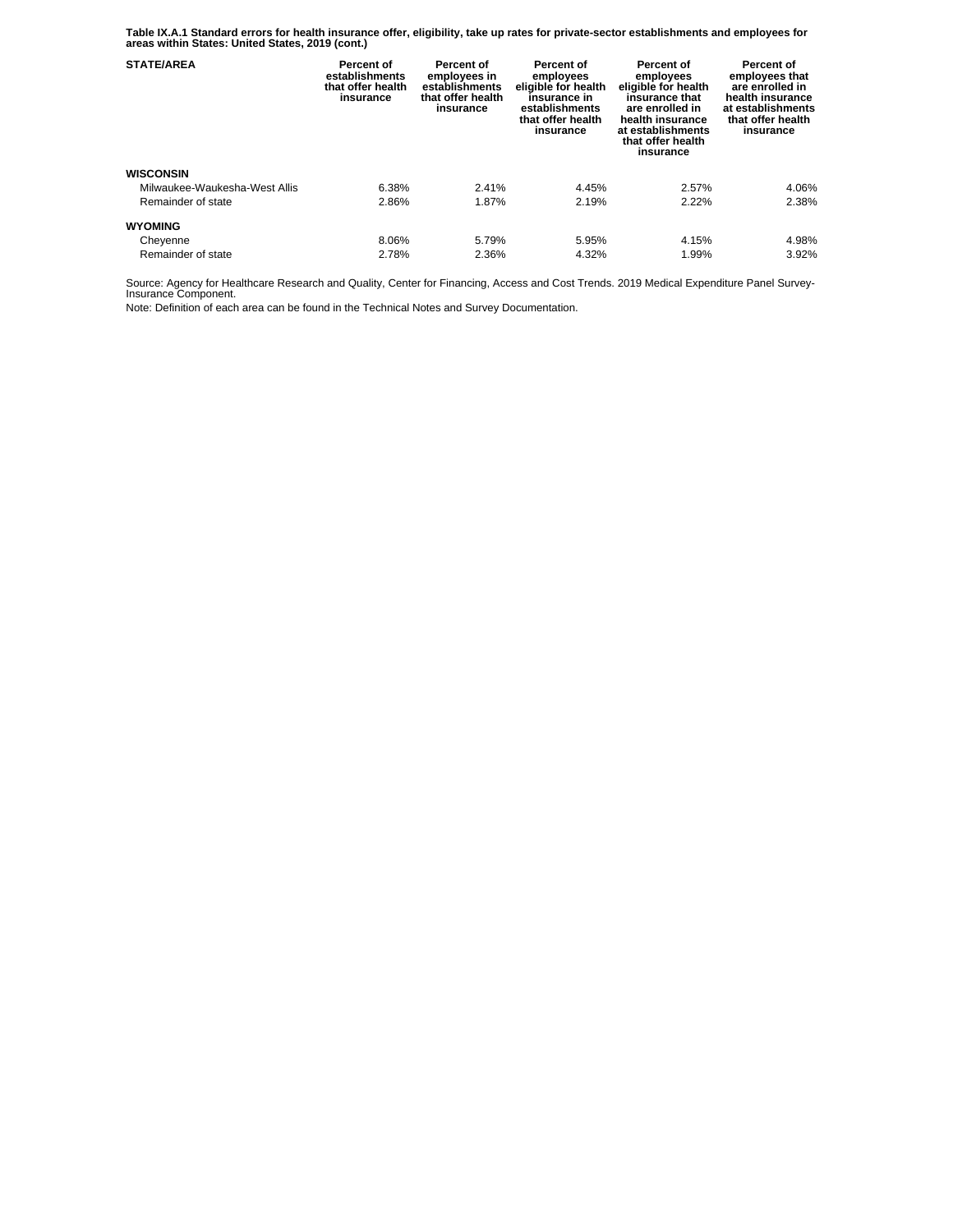**Table IX.A.1 Standard errors for health insurance offer, eligibility, take up rates for private-sector establishments and employees for areas within States: United States, 2019 (cont.)** 

| <b>STATE/AREA</b>             | Percent of<br>establishments<br>that offer health<br>insurance | Percent of<br>employees in<br>establishments<br>that offer health<br>insurance | Percent of<br>employees<br>eligible for health<br>insurance in<br>establishments<br>that offer health<br>insurance | Percent of<br>employees<br>eligible for health<br>insurance that<br>are enrolled in<br>health insurance<br>at establishments<br>that offer health<br>insurance | Percent of<br>employees that<br>are enrolled in<br>health insurance<br>at establishments<br>that offer health<br>insurance |
|-------------------------------|----------------------------------------------------------------|--------------------------------------------------------------------------------|--------------------------------------------------------------------------------------------------------------------|----------------------------------------------------------------------------------------------------------------------------------------------------------------|----------------------------------------------------------------------------------------------------------------------------|
| <b>WISCONSIN</b>              |                                                                |                                                                                |                                                                                                                    |                                                                                                                                                                |                                                                                                                            |
| Milwaukee-Waukesha-West Allis | 6.38%                                                          | 2.41%                                                                          | 4.45%                                                                                                              | 2.57%                                                                                                                                                          | 4.06%                                                                                                                      |
| Remainder of state            | 2.86%                                                          | 1.87%                                                                          | 2.19%                                                                                                              | 2.22%                                                                                                                                                          | 2.38%                                                                                                                      |
| <b>WYOMING</b>                |                                                                |                                                                                |                                                                                                                    |                                                                                                                                                                |                                                                                                                            |
| Cheyenne                      | 8.06%                                                          | 5.79%                                                                          | 5.95%                                                                                                              | 4.15%                                                                                                                                                          | 4.98%                                                                                                                      |
| Remainder of state            | 2.78%                                                          | 2.36%                                                                          | 4.32%                                                                                                              | 1.99%                                                                                                                                                          | 3.92%                                                                                                                      |

Source: Agency for Healthcare Research and Quality, Center for Financing, Access and Cost Trends. 2019 Medical Expenditure Panel Survey-Insurance Component.

Note: Definition of each area can be found in the Technical Notes and Survey Documentation.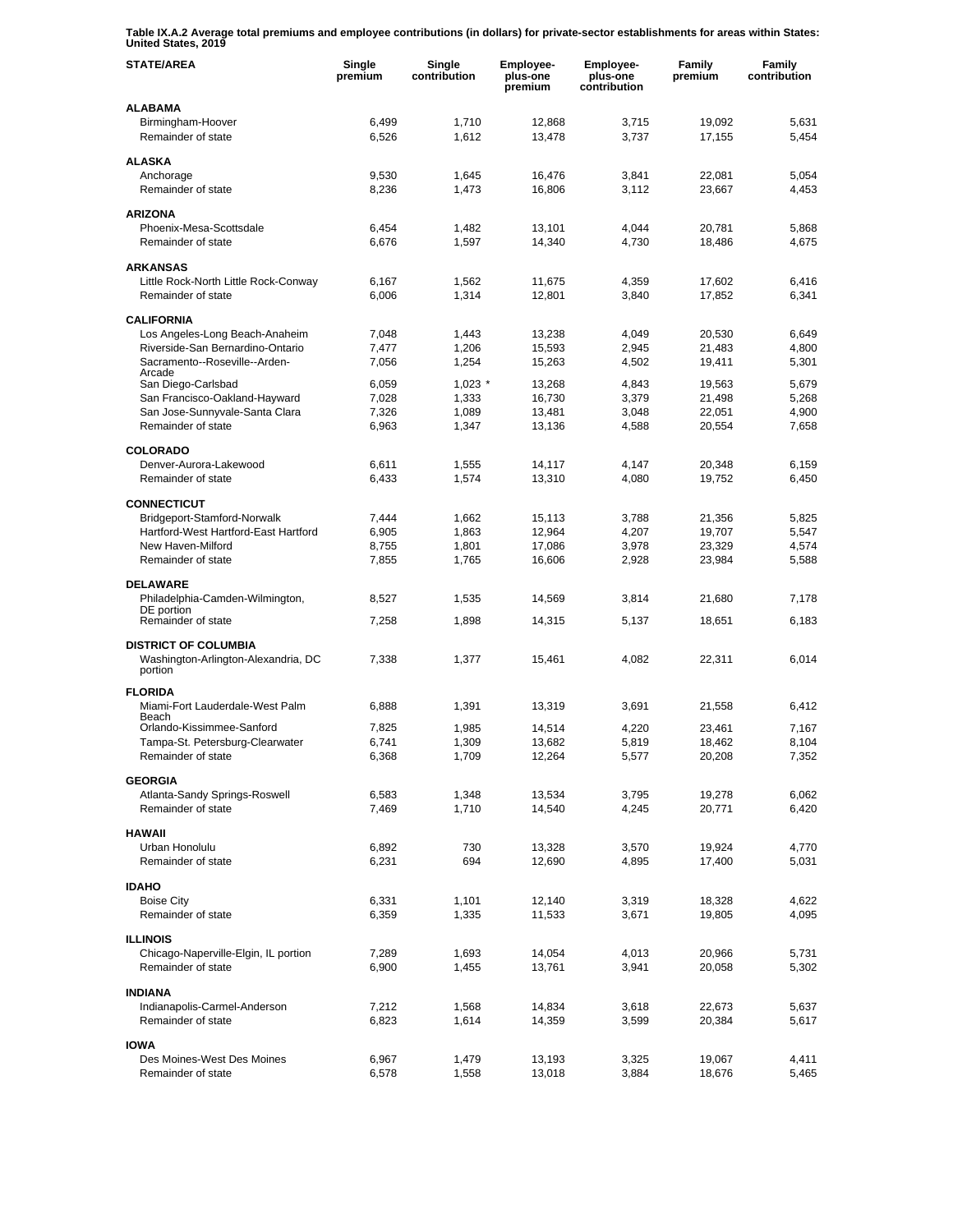**Table IX.A.2 Average total premiums and employee contributions (in dollars) for private-sector establishments for areas within States: United States, 2019** 

| <b>STATE/AREA</b>                                  | Single<br>premium | Single<br>contribution | Employee-<br>plus-one<br>premium | Employee-<br>plus-one<br>contribution | Family<br>premium | Family<br>contribution |
|----------------------------------------------------|-------------------|------------------------|----------------------------------|---------------------------------------|-------------------|------------------------|
| <b>ALABAMA</b>                                     |                   |                        |                                  |                                       |                   |                        |
| Birmingham-Hoover<br>Remainder of state            | 6,499<br>6,526    | 1,710<br>1,612         | 12,868<br>13,478                 | 3,715<br>3,737                        | 19,092<br>17,155  | 5,631<br>5,454         |
|                                                    |                   |                        |                                  |                                       |                   |                        |
| <b>ALASKA</b>                                      |                   |                        |                                  |                                       |                   |                        |
| Anchorage                                          | 9,530             | 1,645                  | 16,476                           | 3,841<br>3,112                        | 22,081            | 5,054                  |
| Remainder of state                                 | 8,236             | 1,473                  | 16,806                           |                                       | 23,667            | 4,453                  |
| <b>ARIZONA</b>                                     |                   |                        |                                  |                                       |                   |                        |
| Phoenix-Mesa-Scottsdale                            | 6,454             | 1,482                  | 13.101                           | 4,044                                 | 20,781            | 5,868                  |
| Remainder of state                                 | 6,676             | 1,597                  | 14,340                           | 4,730                                 | 18,486            | 4,675                  |
| <b>ARKANSAS</b>                                    |                   |                        |                                  |                                       |                   |                        |
| Little Rock-North Little Rock-Conway               | 6,167             | 1,562                  | 11,675                           | 4,359                                 | 17,602            | 6,416                  |
| Remainder of state                                 | 6,006             | 1,314                  | 12,801                           | 3,840                                 | 17,852            | 6,341                  |
| <b>CALIFORNIA</b>                                  |                   |                        |                                  |                                       |                   |                        |
| Los Angeles-Long Beach-Anaheim                     | 7,048             | 1,443                  | 13,238                           | 4,049                                 | 20,530            | 6,649                  |
| Riverside-San Bernardino-Ontario                   | 7,477             | 1,206                  | 15,593                           | 2,945                                 | 21,483            | 4,800                  |
| Sacramento--Roseville--Arden-<br>Arcade            | 7,056             | 1,254                  | 15,263                           | 4,502                                 | 19,411            | 5,301                  |
| San Diego-Carlsbad                                 | 6.059             | $1,023$ *              | 13,268                           | 4,843                                 | 19,563            | 5,679                  |
| San Francisco-Oakland-Hayward                      | 7,028             | 1,333                  | 16,730                           | 3,379                                 | 21,498            | 5,268                  |
| San Jose-Sunnyvale-Santa Clara                     | 7,326             | 1,089                  | 13,481                           | 3,048                                 | 22,051            | 4,900                  |
| Remainder of state                                 | 6,963             | 1,347                  | 13,136                           | 4,588                                 | 20,554            | 7,658                  |
| <b>COLORADO</b>                                    |                   |                        |                                  |                                       |                   |                        |
| Denver-Aurora-Lakewood                             | 6,611             | 1,555                  | 14,117                           | 4,147                                 | 20,348            | 6,159                  |
| Remainder of state                                 | 6,433             | 1,574                  | 13,310                           | 4,080                                 | 19,752            | 6,450                  |
| <b>CONNECTICUT</b>                                 |                   |                        |                                  |                                       |                   |                        |
| Bridgeport-Stamford-Norwalk                        | 7,444             | 1,662                  | 15,113                           | 3,788                                 | 21,356            | 5,825                  |
| Hartford-West Hartford-East Hartford               | 6,905             | 1,863                  | 12,964                           | 4,207                                 | 19,707            | 5,547                  |
| New Haven-Milford                                  | 8,755             | 1,801                  | 17,086                           | 3,978                                 | 23,329            | 4,574                  |
| Remainder of state                                 | 7,855             | 1,765                  | 16,606                           | 2,928                                 | 23,984            | 5,588                  |
| <b>DELAWARE</b>                                    |                   |                        |                                  |                                       |                   |                        |
| Philadelphia-Camden-Wilmington,                    | 8,527             | 1,535                  | 14,569                           | 3,814                                 | 21,680            | 7,178                  |
| DE portion<br>Remainder of state                   | 7,258             | 1,898                  | 14,315                           | 5,137                                 | 18,651            | 6,183                  |
|                                                    |                   |                        |                                  |                                       |                   |                        |
| <b>DISTRICT OF COLUMBIA</b>                        |                   |                        |                                  |                                       |                   |                        |
| Washington-Arlington-Alexandria, DC<br>portion     | 7,338             | 1,377                  | 15,461                           | 4,082                                 | 22,311            | 6,014                  |
|                                                    |                   |                        |                                  |                                       |                   |                        |
| <b>FLORIDA</b><br>Miami-Fort Lauderdale-West Palm  | 6,888             | 1,391                  | 13,319                           | 3,691                                 | 21,558            | 6,412                  |
| Beach                                              |                   |                        |                                  |                                       |                   |                        |
| Orlando-Kissimmee-Sanford                          | 7,825             | 1,985                  | 14,514                           | 4,220                                 | 23.461            | 7.167                  |
| Tampa-St. Petersburg-Clearwater                    | 6,741             | 1,309                  | 13,682                           | 5,819                                 | 18,462            | 8,104                  |
| Remainder of state                                 | 6,368             | 1,709                  | 12,264                           | 5,577                                 | 20,208            | 7,352                  |
| <b>GEORGIA</b>                                     |                   |                        |                                  |                                       |                   |                        |
| Atlanta-Sandy Springs-Roswell                      | 6,583             | 1,348                  | 13,534                           | 3,795                                 | 19,278            | 6,062                  |
| Remainder of state                                 | 7,469             | 1,710                  | 14,540                           | 4,245                                 | 20,771            | 6,420                  |
| <b>HAWAII</b>                                      |                   |                        |                                  |                                       |                   |                        |
| Urban Honolulu                                     | 6,892             | 730                    | 13,328                           | 3,570                                 | 19,924            | 4,770                  |
| Remainder of state                                 | 6,231             | 694                    | 12,690                           | 4,895                                 | 17,400            | 5,031                  |
| <b>IDAHO</b>                                       |                   |                        |                                  |                                       |                   |                        |
| <b>Boise City</b>                                  | 6,331             | 1,101                  | 12,140                           | 3,319                                 | 18,328            | 4,622                  |
| Remainder of state                                 | 6,359             | 1,335                  | 11,533                           | 3,671                                 | 19,805            | 4,095                  |
| <b>ILLINOIS</b>                                    |                   |                        |                                  |                                       |                   |                        |
| Chicago-Naperville-Elgin, IL portion               | 7,289             | 1,693                  | 14,054                           | 4,013                                 | 20,966            | 5,731                  |
| Remainder of state                                 | 6,900             | 1,455                  | 13,761                           | 3,941                                 | 20,058            | 5,302                  |
|                                                    |                   |                        |                                  |                                       |                   |                        |
| <b>INDIANA</b>                                     |                   |                        |                                  |                                       |                   |                        |
| Indianapolis-Carmel-Anderson<br>Remainder of state | 7,212<br>6,823    | 1,568<br>1,614         | 14,834<br>14,359                 | 3,618<br>3,599                        | 22,673<br>20,384  | 5,637<br>5,617         |
|                                                    |                   |                        |                                  |                                       |                   |                        |
| <b>IOWA</b>                                        |                   |                        |                                  |                                       |                   |                        |
| Des Moines-West Des Moines<br>Remainder of state   | 6,967<br>6,578    | 1,479<br>1,558         | 13,193<br>13,018                 | 3,325<br>3,884                        | 19,067<br>18,676  | 4,411<br>5,465         |
|                                                    |                   |                        |                                  |                                       |                   |                        |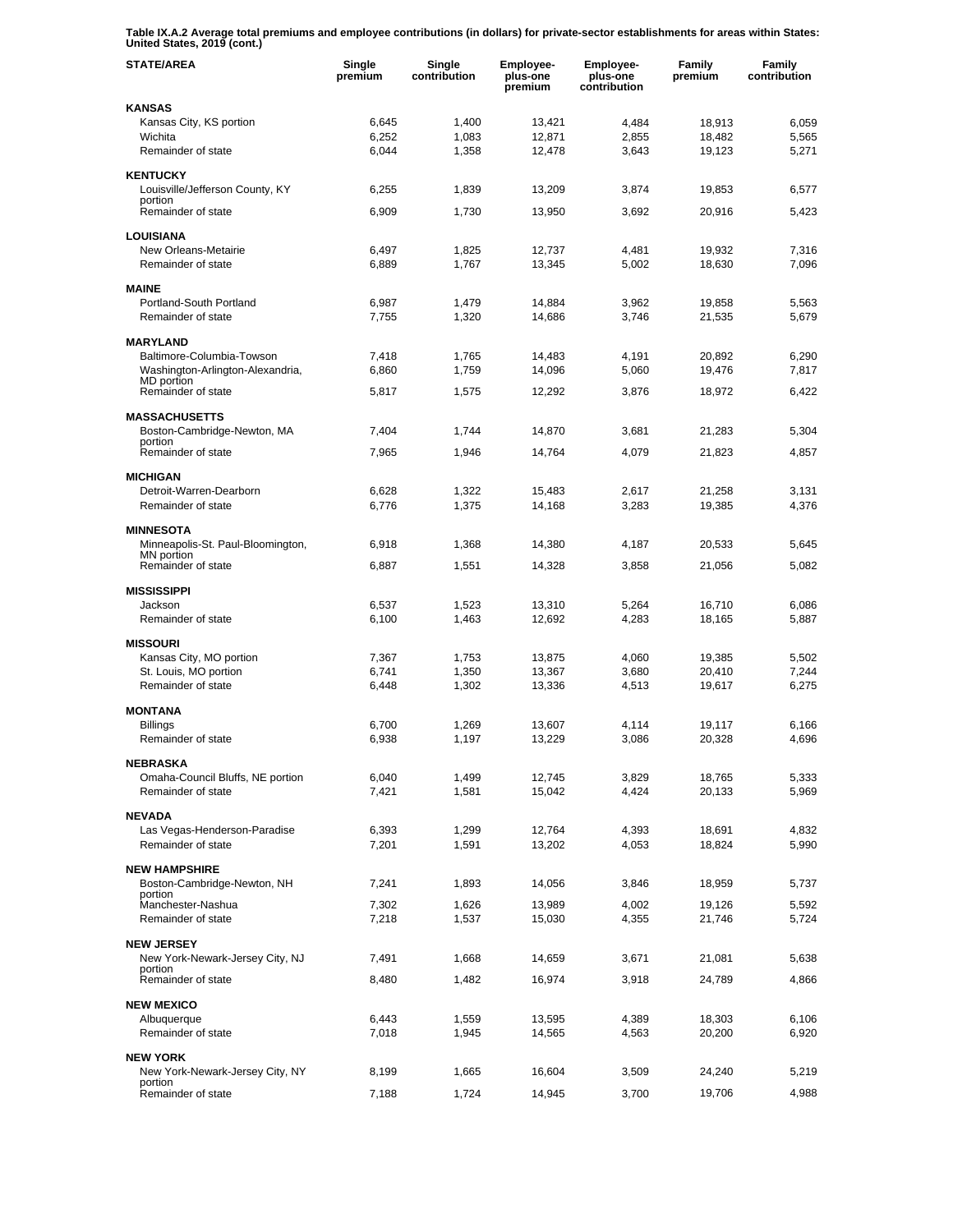**Table IX.A.2 Average total premiums and employee contributions (in dollars) for private-sector establishments for areas within States: United States, 2019 (cont.)** 

| <b>STATE/AREA</b>                            | Single<br>premium | Single<br>contribution | Employee-<br>plus-one<br>premium | <b>Employee-</b><br>plus-one<br>contribution | Family<br>premium | Family<br>contribution |
|----------------------------------------------|-------------------|------------------------|----------------------------------|----------------------------------------------|-------------------|------------------------|
| <b>KANSAS</b>                                |                   |                        |                                  |                                              |                   |                        |
| Kansas City, KS portion                      | 6,645             | 1,400                  | 13,421                           | 4,484                                        | 18,913            | 6,059                  |
| Wichita                                      | 6,252             | 1,083                  | 12,871                           | 2,855                                        | 18,482            | 5,565                  |
| Remainder of state                           | 6,044             | 1,358                  | 12,478                           | 3,643                                        | 19,123            | 5,271                  |
| <b>KENTUCKY</b>                              |                   |                        |                                  |                                              |                   |                        |
| Louisville/Jefferson County, KY              | 6,255             | 1,839                  | 13,209                           | 3,874                                        | 19,853            | 6,577                  |
| portion<br>Remainder of state                | 6,909             | 1,730                  | 13,950                           | 3,692                                        | 20.916            | 5,423                  |
|                                              |                   |                        |                                  |                                              |                   |                        |
| <b>LOUISIANA</b>                             |                   |                        |                                  |                                              |                   |                        |
| New Orleans-Metairie                         | 6,497             | 1,825                  | 12,737                           | 4,481                                        | 19,932            | 7,316                  |
| Remainder of state                           | 6,889             | 1,767                  | 13,345                           | 5,002                                        | 18,630            | 7,096                  |
| <b>MAINE</b>                                 |                   |                        |                                  |                                              |                   |                        |
| Portland-South Portland                      | 6,987             | 1,479                  | 14,884                           | 3,962                                        | 19,858            | 5,563                  |
| Remainder of state                           | 7,755             | 1,320                  | 14,686                           | 3,746                                        | 21,535            | 5,679                  |
|                                              |                   |                        |                                  |                                              |                   |                        |
| <b>MARYLAND</b><br>Baltimore-Columbia-Towson | 7,418             | 1,765                  | 14,483                           | 4,191                                        | 20,892            | 6,290                  |
| Washington-Arlington-Alexandria,             | 6,860             | 1,759                  | 14,096                           | 5,060                                        | 19,476            | 7,817                  |
| <b>MD</b> portion                            |                   |                        |                                  |                                              |                   |                        |
| Remainder of state                           | 5,817             | 1,575                  | 12,292                           | 3,876                                        | 18,972            | 6,422                  |
| <b>MASSACHUSETTS</b>                         |                   |                        |                                  |                                              |                   |                        |
| Boston-Cambridge-Newton, MA                  | 7,404             | 1,744                  | 14,870                           | 3,681                                        | 21,283            | 5,304                  |
| portion                                      |                   |                        |                                  |                                              |                   |                        |
| Remainder of state                           | 7,965             | 1,946                  | 14,764                           | 4,079                                        | 21,823            | 4,857                  |
| <b>MICHIGAN</b>                              |                   |                        |                                  |                                              |                   |                        |
| Detroit-Warren-Dearborn                      | 6,628             | 1,322                  | 15,483                           | 2,617                                        | 21,258            | 3,131                  |
| Remainder of state                           | 6,776             | 1,375                  | 14,168                           | 3,283                                        | 19,385            | 4,376                  |
| <b>MINNESOTA</b>                             |                   |                        |                                  |                                              |                   |                        |
| Minneapolis-St. Paul-Bloomington,            | 6,918             | 1,368                  | 14,380                           | 4,187                                        | 20,533            | 5,645                  |
| MN portion                                   |                   |                        |                                  |                                              |                   |                        |
| Remainder of state                           | 6,887             | 1,551                  | 14,328                           | 3,858                                        | 21,056            | 5,082                  |
| <b>MISSISSIPPI</b>                           |                   |                        |                                  |                                              |                   |                        |
| Jackson                                      | 6,537             | 1,523                  | 13,310                           | 5,264                                        | 16,710            | 6,086                  |
| Remainder of state                           | 6,100             | 1,463                  | 12,692                           | 4,283                                        | 18,165            | 5,887                  |
| <b>MISSOURI</b>                              |                   |                        |                                  |                                              |                   |                        |
| Kansas City, MO portion                      | 7,367             | 1,753                  | 13,875                           | 4,060                                        | 19,385            | 5,502                  |
| St. Louis, MO portion                        | 6,741             | 1,350                  | 13,367                           | 3,680                                        | 20,410            | 7,244                  |
| Remainder of state                           | 6,448             | 1,302                  | 13,336                           | 4,513                                        | 19,617            | 6,275                  |
|                                              |                   |                        |                                  |                                              |                   |                        |
| <b>MONTANA</b><br><b>Billings</b>            | 6.700             | 1.269                  | 13,607                           | 4,114                                        | 19,117            | 6,166                  |
| Remainder of state                           | 6,938             | 1,197                  | 13,229                           | 3,086                                        | 20,328            | 4,696                  |
|                                              |                   |                        |                                  |                                              |                   |                        |
| <b>NEBRASKA</b>                              |                   |                        |                                  |                                              |                   |                        |
| Omaha-Council Bluffs, NE portion             | 6,040             | 1,499                  | 12,745                           | 3,829                                        | 18,765            | 5,333                  |
| Remainder of state                           | 7,421             | 1,581                  | 15,042                           | 4,424                                        | 20,133            | 5,969                  |
| <b>NEVADA</b>                                |                   |                        |                                  |                                              |                   |                        |
| Las Vegas-Henderson-Paradise                 | 6,393             | 1,299                  | 12,764                           | 4,393                                        | 18,691            | 4,832                  |
| Remainder of state                           | 7,201             | 1,591                  | 13,202                           | 4,053                                        | 18,824            | 5,990                  |
| <b>NEW HAMPSHIRE</b>                         |                   |                        |                                  |                                              |                   |                        |
| Boston-Cambridge-Newton, NH                  | 7,241             | 1,893                  | 14,056                           | 3,846                                        | 18,959            | 5,737                  |
| portion                                      |                   |                        |                                  |                                              |                   |                        |
| Manchester-Nashua                            | 7,302             | 1,626                  | 13,989                           | 4,002                                        | 19,126            | 5,592                  |
| Remainder of state                           | 7,218             | 1,537                  | 15,030                           | 4,355                                        | 21,746            | 5,724                  |
| <b>NEW JERSEY</b>                            |                   |                        |                                  |                                              |                   |                        |
| New York-Newark-Jersey City, NJ              | 7,491             | 1,668                  | 14,659                           | 3,671                                        | 21,081            | 5,638                  |
| portion<br>Remainder of state                | 8,480             | 1,482                  | 16,974                           | 3,918                                        | 24,789            | 4,866                  |
|                                              |                   |                        |                                  |                                              |                   |                        |
| <b>NEW MEXICO</b>                            |                   |                        |                                  |                                              |                   |                        |
| Albuquerque                                  | 6,443             | 1,559                  | 13,595                           | 4,389                                        | 18,303            | 6,106                  |
| Remainder of state                           | 7,018             | 1,945                  | 14,565                           | 4,563                                        | 20,200            | 6,920                  |
| <b>NEW YORK</b>                              |                   |                        |                                  |                                              |                   |                        |
| New York-Newark-Jersey City, NY              | 8,199             | 1,665                  | 16,604                           | 3,509                                        | 24,240            | 5,219                  |
| portion<br>Remainder of state                | 7,188             | 1,724                  | 14,945                           | 3,700                                        | 19,706            | 4,988                  |
|                                              |                   |                        |                                  |                                              |                   |                        |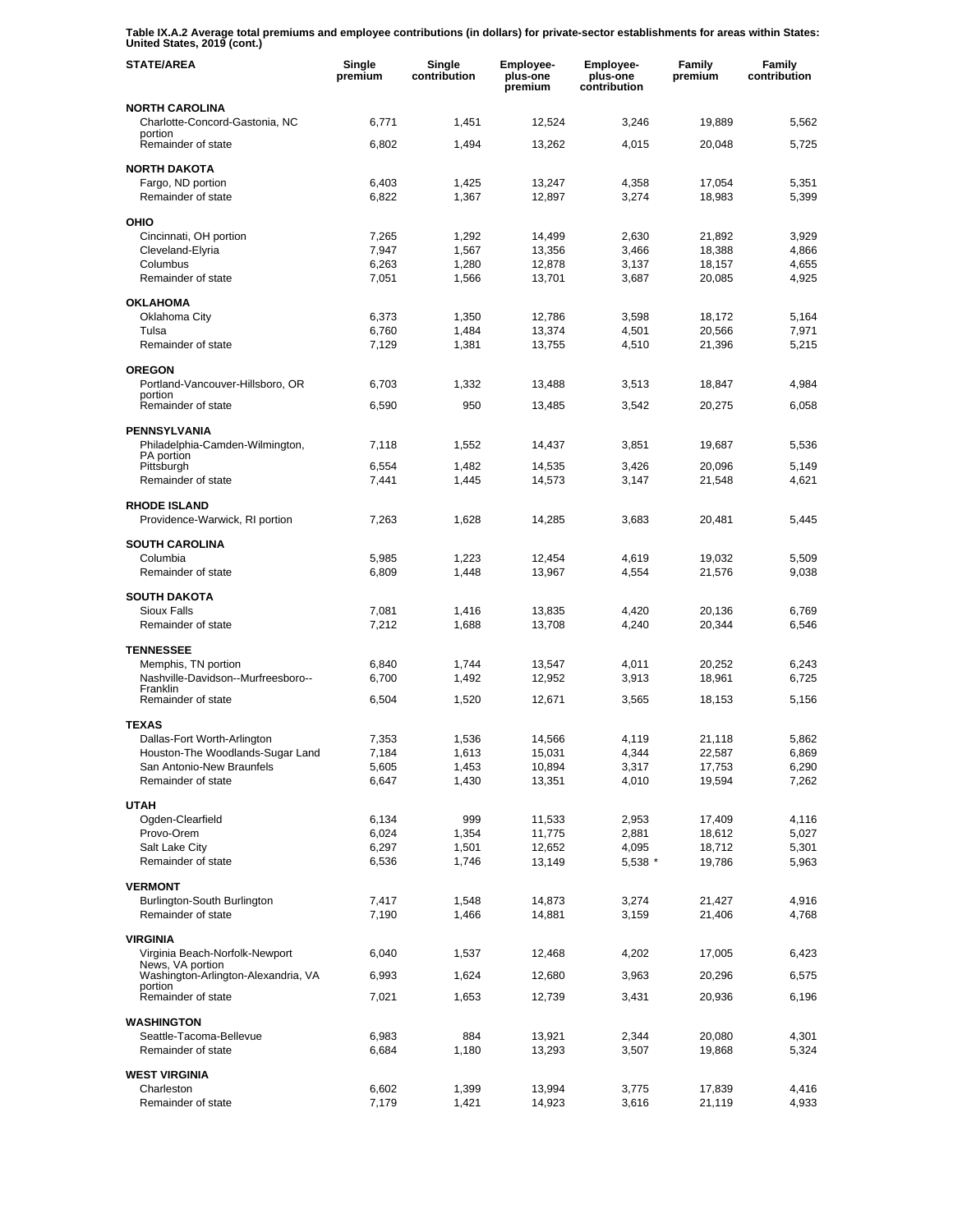**Table IX.A.2 Average total premiums and employee contributions (in dollars) for private-sector establishments for areas within States: United States, 2019 (cont.)** 

| <b>STATE/AREA</b>                                             | Single<br>premium | Single<br>contribution | Employee-<br>plus-one<br>premium | Employee-<br>plus-one<br>contribution | Family<br>premium | Family<br>contribution |
|---------------------------------------------------------------|-------------------|------------------------|----------------------------------|---------------------------------------|-------------------|------------------------|
| NORTH CAROLINA<br>Charlotte-Concord-Gastonia, NC              | 6,771             | 1,451                  | 12,524                           | 3,246                                 | 19,889            | 5,562                  |
| portion<br>Remainder of state                                 | 6,802             | 1,494                  | 13,262                           | 4,015                                 | 20,048            | 5,725                  |
| <b>NORTH DAKOTA</b>                                           |                   |                        |                                  |                                       |                   |                        |
| Fargo, ND portion<br>Remainder of state                       | 6,403<br>6,822    | 1,425<br>1,367         | 13,247<br>12,897                 | 4,358<br>3,274                        | 17,054<br>18,983  | 5,351<br>5,399         |
| OHIO                                                          |                   |                        |                                  |                                       |                   |                        |
| Cincinnati, OH portion                                        | 7,265             | 1,292                  | 14,499                           | 2,630                                 | 21,892            | 3,929                  |
| Cleveland-Elyria                                              | 7,947             | 1,567                  | 13,356                           | 3,466                                 | 18,388            | 4,866                  |
| Columbus<br>Remainder of state                                | 6,263<br>7,051    | 1,280<br>1,566         | 12,878<br>13,701                 | 3,137<br>3,687                        | 18,157<br>20,085  | 4,655<br>4,925         |
| <b>OKLAHOMA</b>                                               |                   |                        |                                  |                                       |                   |                        |
| Oklahoma City                                                 | 6,373             | 1,350                  | 12,786                           | 3,598                                 | 18,172            | 5,164                  |
| Tulsa                                                         | 6,760             | 1,484                  | 13,374                           | 4,501                                 | 20,566            | 7,971                  |
| Remainder of state                                            | 7,129             | 1,381                  | 13,755                           | 4,510                                 | 21,396            | 5,215                  |
| <b>OREGON</b>                                                 |                   |                        |                                  |                                       |                   |                        |
| Portland-Vancouver-Hillsboro, OR<br>portion                   | 6,703             | 1,332                  | 13,488                           | 3,513                                 | 18,847            | 4,984                  |
| Remainder of state                                            | 6,590             | 950                    | 13,485                           | 3,542                                 | 20,275            | 6,058                  |
| <b>PENNSYLVANIA</b>                                           |                   |                        |                                  |                                       |                   |                        |
| Philadelphia-Camden-Wilmington,<br>PA portion                 | 7,118             | 1,552                  | 14,437                           | 3,851                                 | 19,687            | 5,536                  |
| Pittsburgh<br>Remainder of state                              | 6,554<br>7,441    | 1,482<br>1,445         | 14,535<br>14,573                 | 3,426<br>3,147                        | 20,096<br>21,548  | 5,149<br>4,621         |
| <b>RHODE ISLAND</b>                                           |                   |                        |                                  |                                       |                   |                        |
| Providence-Warwick, RI portion                                | 7,263             | 1,628                  | 14,285                           | 3,683                                 | 20,481            | 5,445                  |
| <b>SOUTH CAROLINA</b>                                         |                   |                        |                                  |                                       |                   |                        |
| Columbia<br>Remainder of state                                | 5,985<br>6,809    | 1,223<br>1,448         | 12,454<br>13,967                 | 4,619<br>4,554                        | 19,032<br>21,576  | 5,509<br>9,038         |
| <b>SOUTH DAKOTA</b>                                           |                   |                        |                                  |                                       |                   |                        |
| <b>Sioux Falls</b>                                            | 7,081             | 1,416                  | 13,835                           | 4,420                                 | 20,136            | 6,769                  |
| Remainder of state                                            | 7,212             | 1,688                  | 13,708                           | 4,240                                 | 20,344            | 6,546                  |
| <b>TENNESSEE</b>                                              |                   |                        |                                  |                                       |                   |                        |
| Memphis, TN portion                                           | 6,840             | 1,744                  | 13,547                           | 4,011                                 | 20,252            | 6,243                  |
| Nashville-Davidson--Murfreesboro--<br>Franklin                | 6,700             | 1,492                  | 12,952                           | 3,913                                 | 18,961            | 6,725                  |
| Remainder of state                                            | 6,504             | 1,520                  | 12,671                           | 3,565                                 | 18,153            | 5,156                  |
| <b>TEXAS</b>                                                  |                   |                        |                                  |                                       |                   |                        |
| Dallas-Fort Worth-Arlington                                   | 7,353             | 1,536                  | 14,566                           | 4,119                                 | 21,118            | 5,862                  |
| Houston-The Woodlands-Sugar Land<br>San Antonio-New Braunfels | 7,184<br>5,605    | 1,613                  | 15,031                           | 4,344<br>3,317                        | 22,587<br>17,753  | 6,869                  |
| Remainder of state                                            | 6,647             | 1,453<br>1,430         | 10,894<br>13,351                 | 4,010                                 | 19,594            | 6,290<br>7,262         |
| <b>UTAH</b>                                                   |                   |                        |                                  |                                       |                   |                        |
| Ogden-Clearfield                                              | 6,134             | 999                    | 11,533                           | 2,953                                 | 17,409            | 4,116                  |
| Provo-Orem                                                    | 6,024             | 1,354                  | 11,775                           | 2,881                                 | 18,612            | 5,027                  |
| Salt Lake City                                                | 6,297             | 1,501                  | 12,652                           | 4,095                                 | 18,712            | 5,301                  |
| Remainder of state                                            | 6,536             | 1,746                  | 13,149                           | 5,538 *                               | 19,786            | 5,963                  |
| <b>VERMONT</b>                                                |                   |                        |                                  |                                       |                   |                        |
| Burlington-South Burlington<br>Remainder of state             | 7,417             | 1,548                  | 14,873                           | 3,274                                 | 21,427<br>21,406  | 4,916                  |
|                                                               | 7,190             | 1,466                  | 14,881                           | 3,159                                 |                   | 4,768                  |
| <b>VIRGINIA</b><br>Virginia Beach-Norfolk-Newport             | 6,040             | 1,537                  | 12,468                           | 4,202                                 | 17,005            | 6,423                  |
| News, VA portion<br>Washington-Arlington-Alexandria, VA       | 6,993             | 1,624                  | 12,680                           | 3,963                                 | 20,296            | 6,575                  |
| portion<br>Remainder of state                                 | 7,021             | 1,653                  | 12,739                           | 3,431                                 | 20,936            | 6,196                  |
|                                                               |                   |                        |                                  |                                       |                   |                        |
| <b>WASHINGTON</b><br>Seattle-Tacoma-Bellevue                  | 6,983             | 884                    | 13,921                           | 2,344                                 | 20,080            | 4,301                  |
| Remainder of state                                            | 6,684             | 1,180                  | 13,293                           | 3,507                                 | 19,868            | 5,324                  |
| <b>WEST VIRGINIA</b>                                          |                   |                        |                                  |                                       |                   |                        |
| Charleston                                                    | 6,602             | 1,399                  | 13,994                           | 3,775                                 | 17,839            | 4,416                  |
| Remainder of state                                            | 7,179             | 1,421                  | 14,923                           | 3,616                                 | 21,119            | 4,933                  |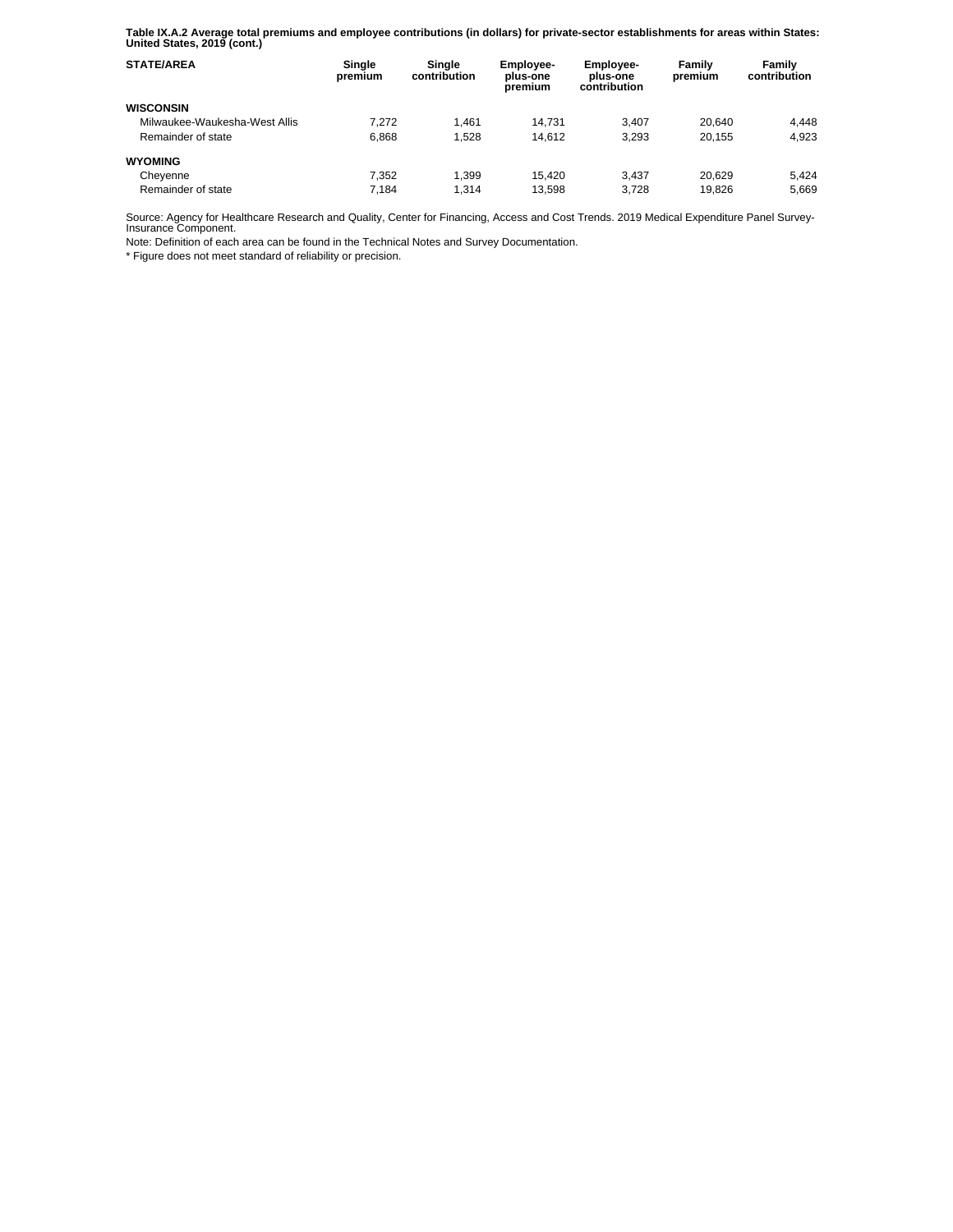**Table IX.A.2 Average total premiums and employee contributions (in dollars) for private-sector establishments for areas within States: United States, 2019 (cont.)** 

| <b>STATE/AREA</b>             | Single<br>premium | Single<br>contribution | Employee-<br>plus-one<br>premium | <b>Employee-</b><br>plus-one<br>contribution | Family<br>premium | Family<br>contribution |
|-------------------------------|-------------------|------------------------|----------------------------------|----------------------------------------------|-------------------|------------------------|
| <b>WISCONSIN</b>              |                   |                        |                                  |                                              |                   |                        |
| Milwaukee-Waukesha-West Allis | 7.272             | 1.461                  | 14.731                           | 3.407                                        | 20.640            | 4.448                  |
| Remainder of state            | 6.868             | 1.528                  | 14.612                           | 3.293                                        | 20.155            | 4.923                  |
| <b>WYOMING</b>                |                   |                        |                                  |                                              |                   |                        |
| Cheyenne                      | 7.352             | 1.399                  | 15.420                           | 3.437                                        | 20.629            | 5.424                  |
| Remainder of state            | 7.184             | 1.314                  | 13.598                           | 3.728                                        | 19.826            | 5.669                  |

Source: Agency for Healthcare Research and Quality, Center for Financing, Access and Cost Trends. 2019 Medical Expenditure Panel Survey-Insurance Component.

Note: Definition of each area can be found in the Technical Notes and Survey Documentation.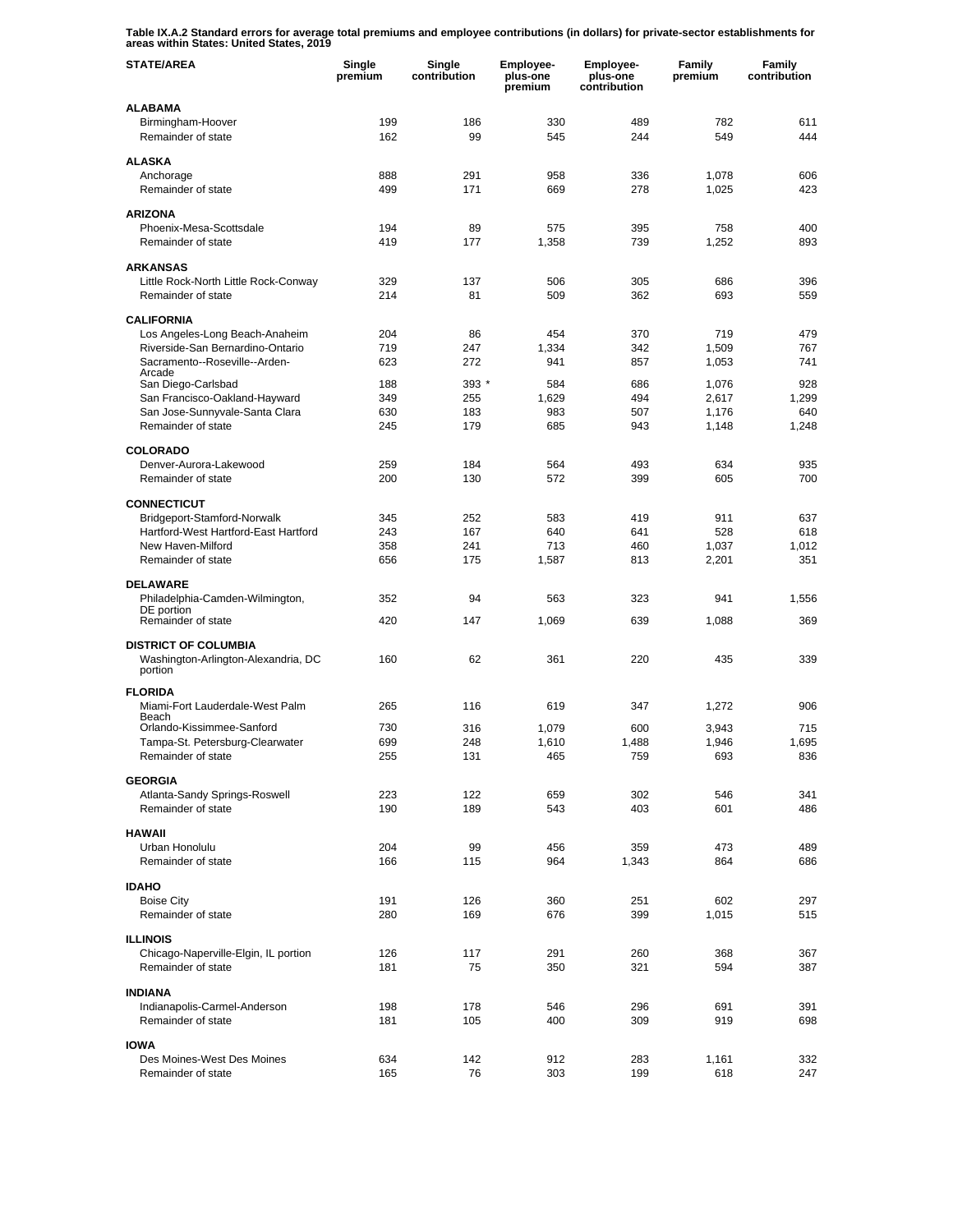**Table IX.A.2 Standard errors for average total premiums and employee contributions (in dollars) for private-sector establishments for areas within States: United States, 2019** 

| <b>STATE/AREA</b>                                                             | Single<br>premium | Single<br>contribution | Employee-<br>plus-one<br>premium | Employee-<br>plus-one<br>contribution | Family<br>premium | Family<br>contribution |
|-------------------------------------------------------------------------------|-------------------|------------------------|----------------------------------|---------------------------------------|-------------------|------------------------|
| <b>ALABAMA</b>                                                                |                   |                        |                                  |                                       |                   |                        |
| Birmingham-Hoover<br>Remainder of state                                       | 199<br>162        | 186<br>99              | 330<br>545                       | 489<br>244                            | 782<br>549        | 611<br>444             |
| <b>ALASKA</b>                                                                 |                   |                        |                                  |                                       |                   |                        |
| Anchorage<br>Remainder of state                                               | 888<br>499        | 291<br>171             | 958<br>669                       | 336<br>278                            | 1,078<br>1,025    | 606<br>423             |
|                                                                               |                   |                        |                                  |                                       |                   |                        |
| <b>ARIZONA</b><br>Phoenix-Mesa-Scottsdale                                     | 194               | 89                     | 575                              | 395                                   | 758               | 400                    |
| Remainder of state                                                            | 419               | 177                    | 1,358                            | 739                                   | 1,252             | 893                    |
| <b>ARKANSAS</b>                                                               |                   |                        |                                  |                                       |                   |                        |
| Little Rock-North Little Rock-Conway                                          | 329               | 137                    | 506                              | 305                                   | 686               | 396                    |
| Remainder of state                                                            | 214               | 81                     | 509                              | 362                                   | 693               | 559                    |
| <b>CALIFORNIA</b>                                                             |                   |                        |                                  |                                       |                   |                        |
| Los Angeles-Long Beach-Anaheim                                                | 204               | 86                     | 454                              | 370                                   | 719               | 479                    |
| Riverside-San Bernardino-Ontario                                              | 719               | 247                    | 1,334                            | 342                                   | 1,509             | 767                    |
| Sacramento--Roseville--Arden-<br>Arcade                                       | 623               | 272                    | 941                              | 857                                   | 1,053             | 741                    |
| San Diego-Carlsbad                                                            | 188               | $393*$                 | 584                              | 686                                   | 1,076             | 928                    |
| San Francisco-Oakland-Hayward<br>San Jose-Sunnyvale-Santa Clara               | 349<br>630        | 255<br>183             | 1,629<br>983                     | 494<br>507                            | 2,617<br>1,176    | 1,299<br>640           |
| Remainder of state                                                            | 245               | 179                    | 685                              | 943                                   | 1,148             | 1,248                  |
| <b>COLORADO</b>                                                               |                   |                        |                                  |                                       |                   |                        |
| Denver-Aurora-Lakewood                                                        | 259               | 184                    | 564                              | 493                                   | 634               | 935                    |
| Remainder of state                                                            | 200               | 130                    | 572                              | 399                                   | 605               | 700                    |
| <b>CONNECTICUT</b>                                                            |                   |                        |                                  |                                       |                   |                        |
| Bridgeport-Stamford-Norwalk                                                   | 345               | 252                    | 583                              | 419                                   | 911               | 637                    |
| Hartford-West Hartford-East Hartford                                          | 243               | 167                    | 640                              | 641                                   | 528               | 618                    |
| New Haven-Milford<br>Remainder of state                                       | 358<br>656        | 241<br>175             | 713<br>1,587                     | 460<br>813                            | 1,037<br>2,201    | 1,012<br>351           |
|                                                                               |                   |                        |                                  |                                       |                   |                        |
| <b>DELAWARE</b><br>Philadelphia-Camden-Wilmington,                            | 352               | 94                     | 563                              | 323                                   | 941               | 1,556                  |
| DE portion                                                                    |                   |                        |                                  |                                       |                   |                        |
| Remainder of state                                                            | 420               | 147                    | 1,069                            | 639                                   | 1,088             | 369                    |
| <b>DISTRICT OF COLUMBIA</b><br>Washington-Arlington-Alexandria, DC<br>portion | 160               | 62                     | 361                              | 220                                   | 435               | 339                    |
|                                                                               |                   |                        |                                  |                                       |                   |                        |
| <b>FLORIDA</b><br>Miami-Fort Lauderdale-West Palm                             | 265               | 116                    | 619                              | 347                                   | 1,272             | 906                    |
| Beach<br>Orlando-Kissimmee-Sanford                                            | 730               | 316                    | 1,079                            | 600                                   | 3,943             | 715                    |
| Tampa-St. Petersburg-Clearwater                                               | 699               | 248                    | 1,610                            | 1,488                                 | 1,946             | 1.695                  |
| Remainder of state                                                            | 255               | 131                    | 465                              | 759                                   | 693               | 836                    |
| <b>GEORGIA</b>                                                                |                   |                        |                                  |                                       |                   |                        |
| Atlanta-Sandy Springs-Roswell                                                 | 223               | 122                    | 659                              | 302                                   | 546               | 341                    |
| Remainder of state                                                            | 190               | 189                    | 543                              | 403                                   | 601               | 486                    |
| <b>HAWAII</b>                                                                 |                   |                        |                                  |                                       |                   |                        |
| Urban Honolulu                                                                | 204               | 99                     | 456                              | 359                                   | 473               | 489                    |
| Remainder of state                                                            | 166               | 115                    | 964                              | 1,343                                 | 864               | 686                    |
| <b>IDAHO</b>                                                                  |                   |                        |                                  |                                       |                   |                        |
| <b>Boise City</b><br>Remainder of state                                       | 191<br>280        | 126<br>169             | 360<br>676                       | 251<br>399                            | 602<br>1,015      | 297<br>515             |
|                                                                               |                   |                        |                                  |                                       |                   |                        |
| <b>ILLINOIS</b><br>Chicago-Naperville-Elgin, IL portion                       | 126               | 117                    | 291                              | 260                                   | 368               | 367                    |
| Remainder of state                                                            | 181               | 75                     | 350                              | 321                                   | 594               | 387                    |
|                                                                               |                   |                        |                                  |                                       |                   |                        |
| <b>INDIANA</b><br>Indianapolis-Carmel-Anderson                                | 198               | 178                    | 546                              | 296                                   | 691               | 391                    |
| Remainder of state                                                            | 181               | 105                    | 400                              | 309                                   | 919               | 698                    |
| <b>IOWA</b>                                                                   |                   |                        |                                  |                                       |                   |                        |
| Des Moines-West Des Moines                                                    | 634               | 142                    | 912                              | 283                                   | 1,161             | 332                    |
| Remainder of state                                                            | 165               | 76                     | 303                              | 199                                   | 618               | 247                    |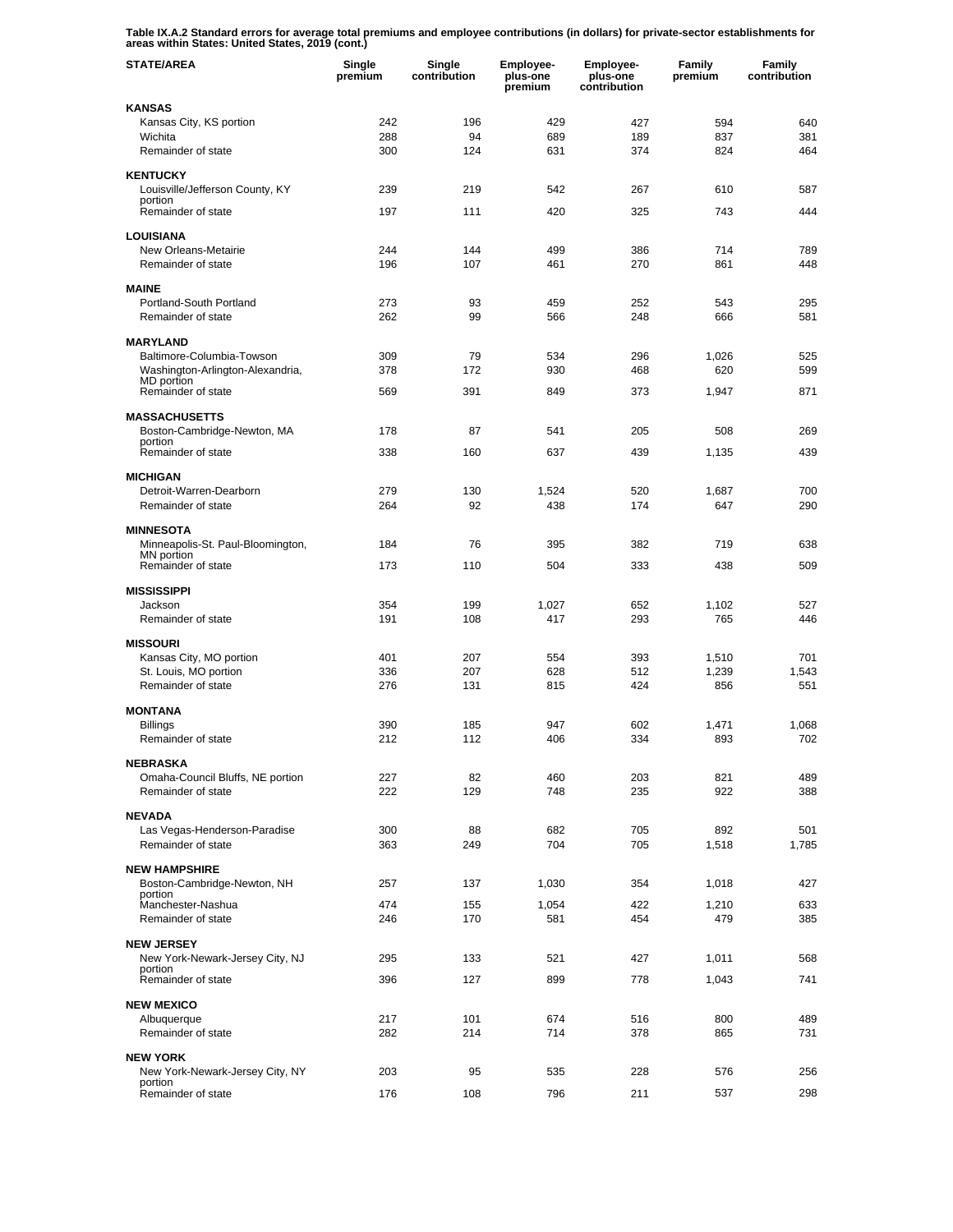**Table IX.A.2 Standard errors for average total premiums and employee contributions (in dollars) for private-sector establishments for areas within States: United States, 2019 (cont.)** 

| <b>STATE/AREA</b>                                   | Single<br>premium | Single<br>contribution | Employee-<br>plus-one<br>premium | Employee-<br>plus-one<br>contribution | Family<br>premium | Family<br>contribution |
|-----------------------------------------------------|-------------------|------------------------|----------------------------------|---------------------------------------|-------------------|------------------------|
| <b>KANSAS</b>                                       |                   |                        |                                  |                                       |                   |                        |
| Kansas City, KS portion                             | 242               | 196                    | 429                              | 427                                   | 594               | 640                    |
| Wichita<br>Remainder of state                       | 288<br>300        | 94<br>124              | 689<br>631                       | 189<br>374                            | 837<br>824        | 381<br>464             |
|                                                     |                   |                        |                                  |                                       |                   |                        |
| <b>KENTUCKY</b>                                     |                   |                        |                                  |                                       |                   | 587                    |
| Louisville/Jefferson County, KY<br>portion          | 239               | 219                    | 542                              | 267                                   | 610               |                        |
| Remainder of state                                  | 197               | 111                    | 420                              | 325                                   | 743               | 444                    |
| <b>LOUISIANA</b>                                    |                   |                        |                                  |                                       |                   |                        |
| New Orleans-Metairie                                | 244               | 144                    | 499                              | 386                                   | 714               | 789                    |
| Remainder of state                                  | 196               | 107                    | 461                              | 270                                   | 861               | 448                    |
| <b>MAINE</b>                                        |                   |                        |                                  |                                       |                   |                        |
| Portland-South Portland<br>Remainder of state       | 273<br>262        | 93<br>99               | 459<br>566                       | 252<br>248                            | 543<br>666        | 295<br>581             |
|                                                     |                   |                        |                                  |                                       |                   |                        |
| <b>MARYLAND</b><br>Baltimore-Columbia-Towson        | 309               | 79                     | 534                              | 296                                   |                   | 525                    |
| Washington-Arlington-Alexandria,                    | 378               | 172                    | 930                              | 468                                   | 1,026<br>620      | 599                    |
| MD portion<br>Remainder of state                    | 569               | 391                    | 849                              | 373                                   | 1,947             | 871                    |
|                                                     |                   |                        |                                  |                                       |                   |                        |
| <b>MASSACHUSETTS</b>                                |                   |                        |                                  |                                       |                   |                        |
| Boston-Cambridge-Newton, MA<br>portion              | 178               | 87                     | 541                              | 205                                   | 508               | 269                    |
| Remainder of state                                  | 338               | 160                    | 637                              | 439                                   | 1,135             | 439                    |
| <b>MICHIGAN</b>                                     |                   |                        |                                  |                                       |                   |                        |
| Detroit-Warren-Dearborn                             | 279               | 130                    | 1,524                            | 520                                   | 1,687             | 700                    |
| Remainder of state                                  | 264               | 92                     | 438                              | 174                                   | 647               | 290                    |
| <b>MINNESOTA</b>                                    |                   |                        |                                  |                                       |                   |                        |
| Minneapolis-St. Paul-Bloomington,<br>MN portion     | 184               | 76                     | 395                              | 382                                   | 719               | 638                    |
| Remainder of state                                  | 173               | 110                    | 504                              | 333                                   | 438               | 509                    |
| <b>MISSISSIPPI</b>                                  |                   |                        |                                  |                                       |                   |                        |
| Jackson                                             | 354               | 199                    | 1,027                            | 652                                   | 1,102             | 527                    |
| Remainder of state                                  | 191               | 108                    | 417                              | 293                                   | 765               | 446                    |
| <b>MISSOURI</b>                                     |                   |                        |                                  |                                       |                   |                        |
| Kansas City, MO portion                             | 401               | 207                    | 554                              | 393                                   | 1,510             | 701                    |
| St. Louis, MO portion<br>Remainder of state         | 336<br>276        | 207<br>131             | 628<br>815                       | 512<br>424                            | 1,239<br>856      | 1,543<br>551           |
|                                                     |                   |                        |                                  |                                       |                   |                        |
| <b>MONTANA</b>                                      |                   |                        |                                  |                                       |                   |                        |
| <b>Billings</b><br>Remainder of state               | 390<br>212        | 185<br>112             | 947<br>406                       | 602<br>334                            | 1,471<br>893      | 1,068<br>702           |
|                                                     |                   |                        |                                  |                                       |                   |                        |
| <b>NEBRASKA</b><br>Omaha-Council Bluffs, NE portion | 227               | 82                     | 460                              | 203                                   | 821               | 489                    |
| Remainder of state                                  | 222               | 129                    | 748                              | 235                                   | 922               | 388                    |
| <b>NEVADA</b>                                       |                   |                        |                                  |                                       |                   |                        |
| Las Vegas-Henderson-Paradise                        | 300               | 88                     | 682                              | 705                                   | 892               | 501                    |
| Remainder of state                                  | 363               | 249                    | 704                              | 705                                   | 1,518             | 1,785                  |
| <b>NEW HAMPSHIRE</b>                                |                   |                        |                                  |                                       |                   |                        |
| Boston-Cambridge-Newton, NH                         | 257               | 137                    | 1,030                            | 354                                   | 1,018             | 427                    |
| portion<br>Manchester-Nashua                        | 474               | 155                    | 1,054                            | 422                                   | 1,210             | 633                    |
| Remainder of state                                  | 246               | 170                    | 581                              | 454                                   | 479               | 385                    |
| <b>NEW JERSEY</b>                                   |                   |                        |                                  |                                       |                   |                        |
| New York-Newark-Jersey City, NJ                     | 295               | 133                    | 521                              | 427                                   | 1,011             | 568                    |
| portion<br>Remainder of state                       | 396               | 127                    | 899                              | 778                                   | 1,043             | 741                    |
|                                                     |                   |                        |                                  |                                       |                   |                        |
| <b>NEW MEXICO</b><br>Albuquerque                    | 217               | 101                    | 674                              | 516                                   | 800               | 489                    |
| Remainder of state                                  | 282               | 214                    | 714                              | 378                                   | 865               | 731                    |
|                                                     |                   |                        |                                  |                                       |                   |                        |
| <b>NEW YORK</b><br>New York-Newark-Jersey City, NY  | 203               | 95                     | 535                              | 228                                   | 576               | 256                    |
| portion<br>Remainder of state                       | 176               | 108                    | 796                              | 211                                   | 537               | 298                    |
|                                                     |                   |                        |                                  |                                       |                   |                        |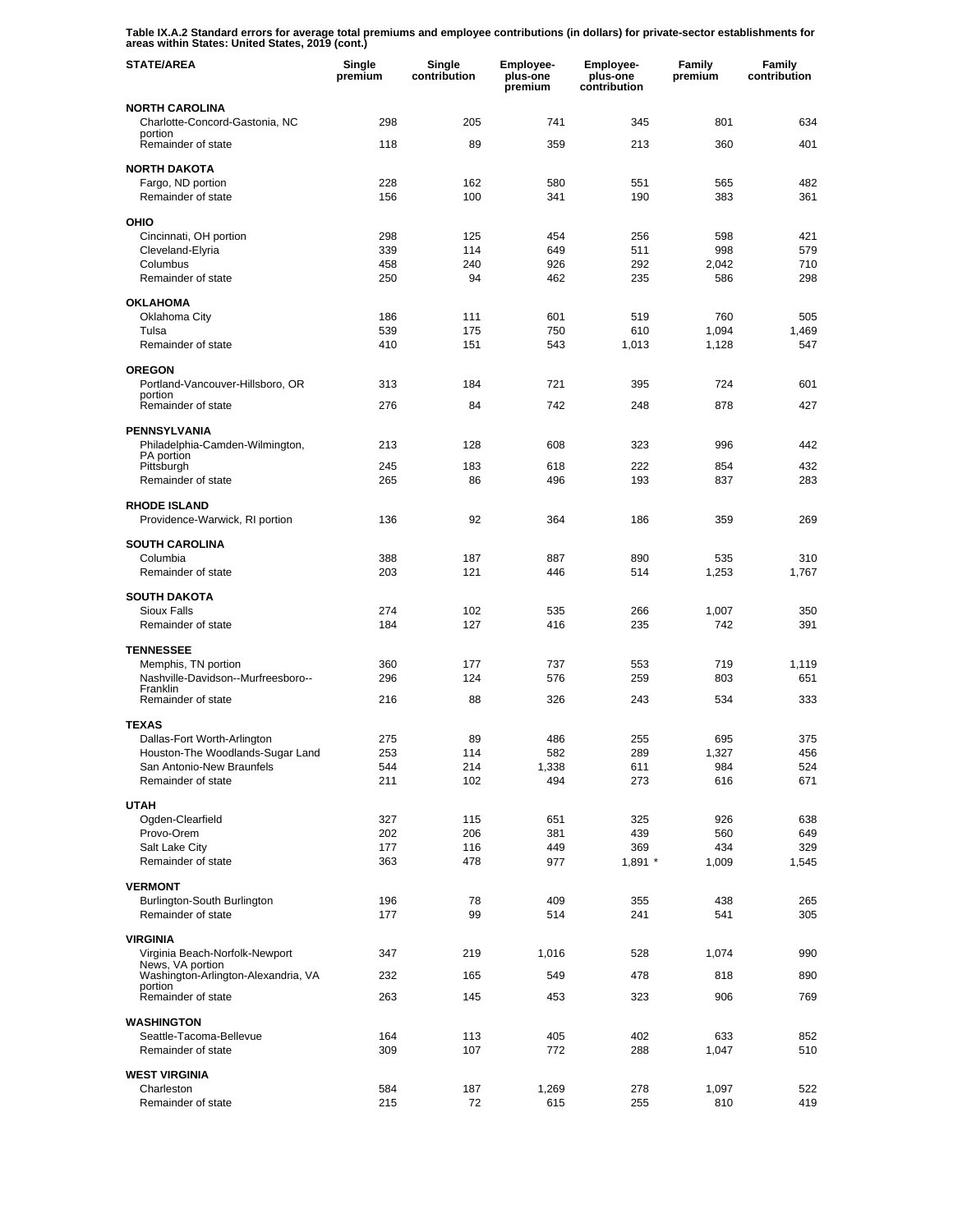**Table IX.A.2 Standard errors for average total premiums and employee contributions (in dollars) for private-sector establishments for areas within States: United States, 2019 (cont.)** 

| <b>STATE/AREA</b>                                       | Single<br>premium | Single<br>contribution | <b>Employee-</b><br>plus-one<br>premium | <b>Employee-</b><br>plus-one<br>contribution | Family<br>premium | Family<br>contribution |
|---------------------------------------------------------|-------------------|------------------------|-----------------------------------------|----------------------------------------------|-------------------|------------------------|
| <b>NORTH CAROLINA</b>                                   |                   |                        |                                         |                                              |                   |                        |
| Charlotte-Concord-Gastonia, NC<br>portion               | 298               | 205                    | 741                                     | 345                                          | 801               | 634                    |
| Remainder of state                                      | 118               | 89                     | 359                                     | 213                                          | 360               | 401                    |
| <b>NORTH DAKOTA</b>                                     |                   |                        |                                         |                                              |                   |                        |
| Fargo, ND portion                                       | 228               | 162                    | 580                                     | 551                                          | 565               | 482                    |
| Remainder of state                                      | 156               | 100                    | 341                                     | 190                                          | 383               | 361                    |
| OHIO                                                    |                   |                        |                                         |                                              |                   |                        |
| Cincinnati, OH portion<br>Cleveland-Elyria              | 298<br>339        | 125<br>114             | 454                                     | 256<br>511                                   | 598<br>998        | 421<br>579             |
| Columbus                                                | 458               | 240                    | 649<br>926                              | 292                                          | 2,042             | 710                    |
| Remainder of state                                      | 250               | 94                     | 462                                     | 235                                          | 586               | 298                    |
| <b>OKLAHOMA</b>                                         |                   |                        |                                         |                                              |                   |                        |
| Oklahoma City                                           | 186               | 111                    | 601                                     | 519                                          | 760               | 505                    |
| Tulsa<br>Remainder of state                             | 539<br>410        | 175<br>151             | 750<br>543                              | 610<br>1,013                                 | 1,094<br>1,128    | 1,469<br>547           |
|                                                         |                   |                        |                                         |                                              |                   |                        |
| <b>OREGON</b>                                           |                   |                        |                                         |                                              |                   |                        |
| Portland-Vancouver-Hillsboro, OR<br>portion             | 313               | 184                    | 721                                     | 395                                          | 724               | 601                    |
| Remainder of state                                      | 276               | 84                     | 742                                     | 248                                          | 878               | 427                    |
| <b>PENNSYLVANIA</b>                                     |                   |                        |                                         |                                              |                   |                        |
| Philadelphia-Camden-Wilmington,<br>PA portion           | 213               | 128                    | 608                                     | 323                                          | 996               | 442                    |
| Pittsburgh                                              | 245               | 183                    | 618                                     | 222                                          | 854               | 432                    |
| Remainder of state                                      | 265               | 86                     | 496                                     | 193                                          | 837               | 283                    |
| <b>RHODE ISLAND</b><br>Providence-Warwick, RI portion   | 136               | 92                     | 364                                     | 186                                          | 359               | 269                    |
| <b>SOUTH CAROLINA</b>                                   |                   |                        |                                         |                                              |                   |                        |
| Columbia                                                | 388               | 187                    | 887                                     | 890                                          | 535               | 310                    |
| Remainder of state                                      | 203               | 121                    | 446                                     | 514                                          | 1,253             | 1,767                  |
| <b>SOUTH DAKOTA</b>                                     |                   |                        |                                         |                                              |                   |                        |
| <b>Sioux Falls</b><br>Remainder of state                | 274<br>184        | 102<br>127             | 535<br>416                              | 266<br>235                                   | 1,007<br>742      | 350<br>391             |
|                                                         |                   |                        |                                         |                                              |                   |                        |
| <b>TENNESSEE</b><br>Memphis, TN portion                 | 360               | 177                    | 737                                     | 553                                          | 719               | 1,119                  |
| Nashville-Davidson--Murfreesboro--                      | 296               | 124                    | 576                                     | 259                                          | 803               | 651                    |
| Franklin<br>Remainder of state                          | 216               | 88                     | 326                                     | 243                                          | 534               | 333                    |
|                                                         |                   |                        |                                         |                                              |                   |                        |
| <b>TEXAS</b><br>Dallas-Fort Worth-Arlington             | 275               | 89                     | 486                                     | 255                                          | 695               | 375                    |
| Houston-The Woodlands-Sugar Land                        | 253               | 114                    | 582                                     | 289                                          | 1,327             | 456                    |
| San Antonio-New Braunfels                               | 544               | 214                    | 1,338                                   | 611                                          | 984               | 524                    |
| Remainder of state                                      | 211               | 102                    | 494                                     | 273                                          | 616               | 671                    |
| <b>UTAH</b>                                             |                   |                        |                                         |                                              |                   |                        |
| Ogden-Clearfield                                        | 327               | 115                    | 651                                     | 325                                          | 926               | 638                    |
| Provo-Orem<br>Salt Lake City                            | 202<br>177        | 206<br>116             | 381<br>449                              | 439<br>369                                   | 560<br>434        | 649<br>329             |
| Remainder of state                                      | 363               | 478                    | 977                                     | $1,891$ *                                    | 1,009             | 1,545                  |
| <b>VERMONT</b>                                          |                   |                        |                                         |                                              |                   |                        |
| Burlington-South Burlington                             | 196               | 78                     | 409                                     | 355                                          | 438               | 265                    |
| Remainder of state                                      | 177               | 99                     | 514                                     | 241                                          | 541               | 305                    |
| <b>VIRGINIA</b>                                         |                   |                        |                                         |                                              |                   |                        |
| Virginia Beach-Norfolk-Newport                          | 347               | 219                    | 1,016                                   | 528                                          | 1,074             | 990                    |
| News, VA portion<br>Washington-Arlington-Alexandria, VA | 232               | 165                    | 549                                     | 478                                          | 818               | 890                    |
| portion<br>Remainder of state                           | 263               | 145                    | 453                                     | 323                                          | 906               | 769                    |
| <b>WASHINGTON</b>                                       |                   |                        |                                         |                                              |                   |                        |
| Seattle-Tacoma-Bellevue                                 | 164               | 113                    | 405                                     | 402                                          | 633               | 852                    |
| Remainder of state                                      | 309               | 107                    | 772                                     | 288                                          | 1,047             | 510                    |
| <b>WEST VIRGINIA</b>                                    |                   |                        |                                         |                                              |                   |                        |
| Charleston                                              | 584               | 187                    | 1,269                                   | 278                                          | 1,097             | 522                    |
| Remainder of state                                      | 215               | 72                     | 615                                     | 255                                          | 810               | 419                    |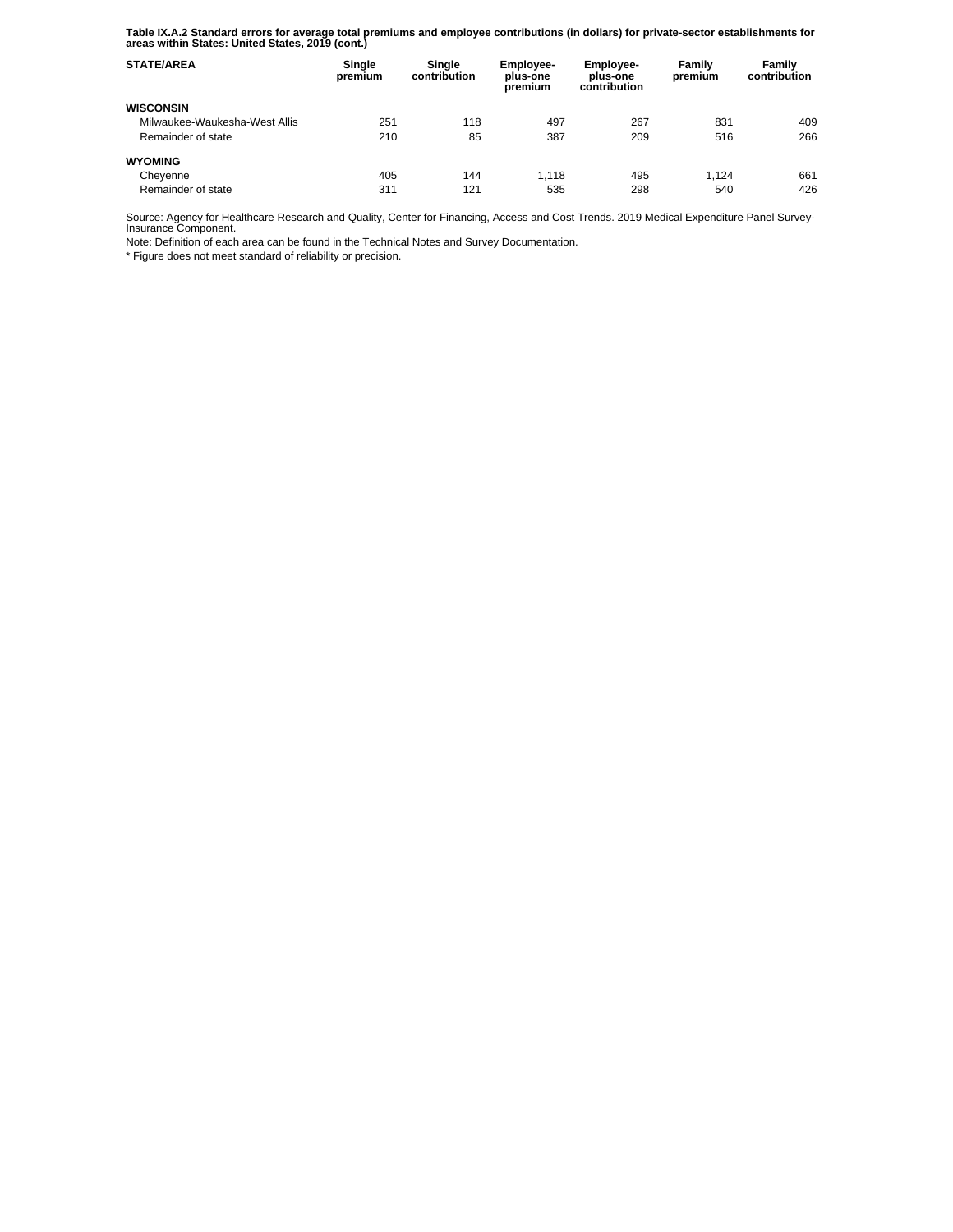**Table IX.A.2 Standard errors for average total premiums and employee contributions (in dollars) for private-sector establishments for areas within States: United States, 2019 (cont.)** 

| <b>STATE/AREA</b>             | Single<br>premium | Single<br>contribution | Employee-<br>plus-one<br>premium | <b>Employee-</b><br>plus-one<br>contribution | Family<br>premium | Family<br>contribution |
|-------------------------------|-------------------|------------------------|----------------------------------|----------------------------------------------|-------------------|------------------------|
| <b>WISCONSIN</b>              |                   |                        |                                  |                                              |                   |                        |
| Milwaukee-Waukesha-West Allis | 251               | 118                    | 497                              | 267                                          | 831               | 409                    |
| Remainder of state            | 210               | 85                     | 387                              | 209                                          | 516               | 266                    |
| <b>WYOMING</b>                |                   |                        |                                  |                                              |                   |                        |
| Cheyenne                      | 405               | 144                    | 1.118                            | 495                                          | 1.124             | 661                    |
| Remainder of state            | 311               | 121                    | 535                              | 298                                          | 540               | 426                    |

Source: Agency for Healthcare Research and Quality, Center for Financing, Access and Cost Trends. 2019 Medical Expenditure Panel Survey-Insurance Component.

Note: Definition of each area can be found in the Technical Notes and Survey Documentation.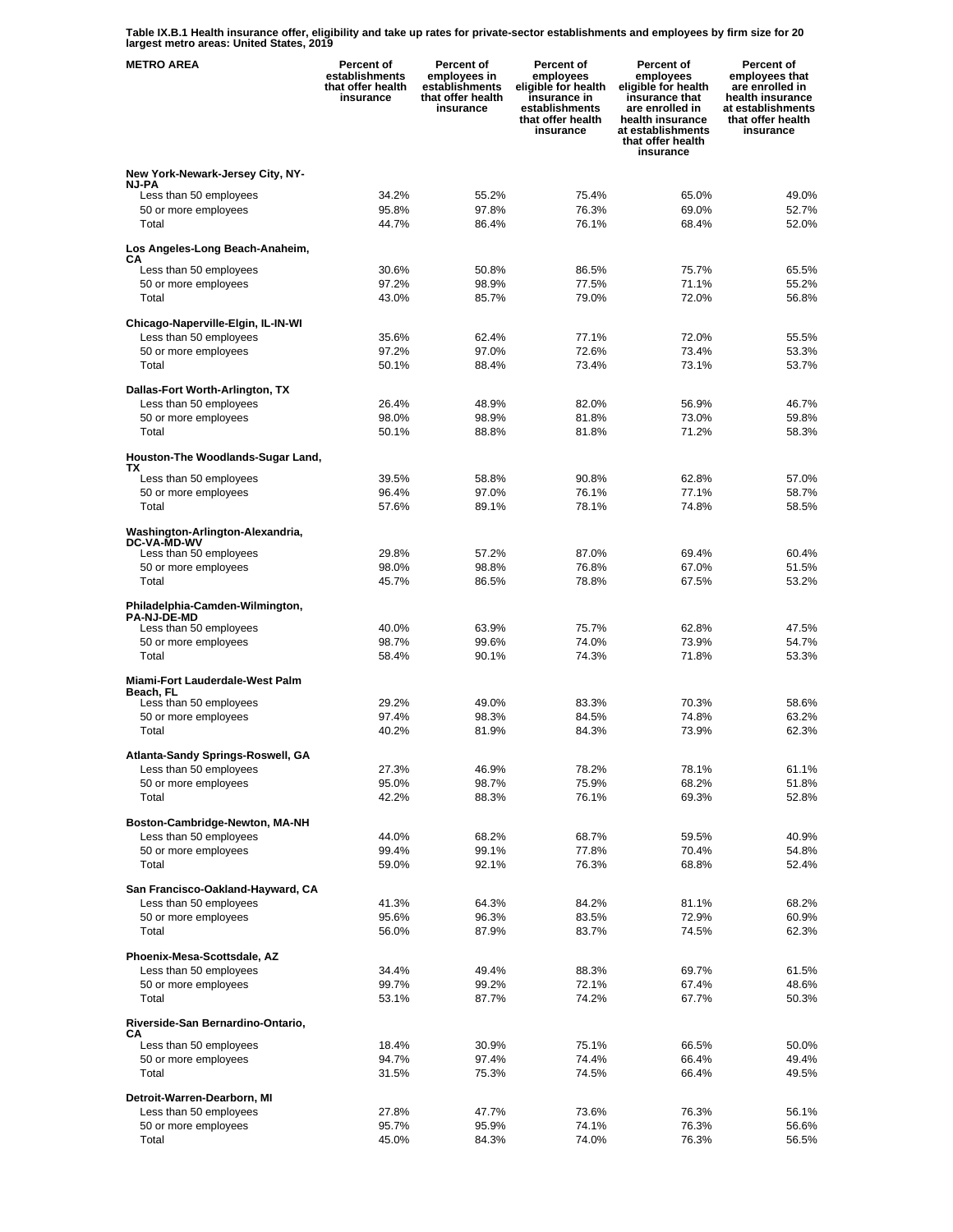**Table IX.B.1 Health insurance offer, eligibility and take up rates for private-sector establishments and employees by firm size for 20 largest metro areas: United States, 2019** 

| <b>METRO AREA</b>                                                               | <b>Percent of</b><br>establishments<br>that offer health<br>insurance | Percent of<br>employees in<br>establishments<br>that offer health<br>insurance | Percent of<br>employees<br>eligible for health<br>insurance in<br>establishments<br>that offer health<br>insurance | <b>Percent of</b><br>employees<br>eligible for health<br>insurance that<br>are enrolled in<br>health insurance<br>at establishments<br>that offer health<br>insurance | <b>Percent of</b><br>employees that<br>are enrolled in<br>health insurance<br>at establishments<br>that offer health<br>insurance |
|---------------------------------------------------------------------------------|-----------------------------------------------------------------------|--------------------------------------------------------------------------------|--------------------------------------------------------------------------------------------------------------------|-----------------------------------------------------------------------------------------------------------------------------------------------------------------------|-----------------------------------------------------------------------------------------------------------------------------------|
| New York-Newark-Jersey City, NY-                                                |                                                                       |                                                                                |                                                                                                                    |                                                                                                                                                                       |                                                                                                                                   |
| <b>NJ-PA</b><br>Less than 50 employees                                          | 34.2%                                                                 | 55.2%                                                                          | 75.4%                                                                                                              | 65.0%                                                                                                                                                                 | 49.0%                                                                                                                             |
| 50 or more employees                                                            | 95.8%                                                                 | 97.8%                                                                          | 76.3%                                                                                                              | 69.0%                                                                                                                                                                 | 52.7%                                                                                                                             |
| Total                                                                           | 44.7%                                                                 | 86.4%                                                                          | 76.1%                                                                                                              | 68.4%                                                                                                                                                                 | 52.0%                                                                                                                             |
| Los Angeles-Long Beach-Anaheim,<br>CА                                           |                                                                       |                                                                                |                                                                                                                    |                                                                                                                                                                       |                                                                                                                                   |
| Less than 50 employees                                                          | 30.6%                                                                 | 50.8%                                                                          | 86.5%                                                                                                              | 75.7%                                                                                                                                                                 | 65.5%                                                                                                                             |
| 50 or more employees<br>Total                                                   | 97.2%<br>43.0%                                                        | 98.9%<br>85.7%                                                                 | 77.5%<br>79.0%                                                                                                     | 71.1%<br>72.0%                                                                                                                                                        | 55.2%<br>56.8%                                                                                                                    |
|                                                                                 |                                                                       |                                                                                |                                                                                                                    |                                                                                                                                                                       |                                                                                                                                   |
| Chicago-Naperville-Elgin, IL-IN-WI                                              | 35.6%                                                                 | 62.4%                                                                          | 77.1%                                                                                                              | 72.0%                                                                                                                                                                 | 55.5%                                                                                                                             |
| Less than 50 employees<br>50 or more employees                                  | 97.2%                                                                 | 97.0%                                                                          | 72.6%                                                                                                              | 73.4%                                                                                                                                                                 | 53.3%                                                                                                                             |
| Total                                                                           | 50.1%                                                                 | 88.4%                                                                          | 73.4%                                                                                                              | 73.1%                                                                                                                                                                 | 53.7%                                                                                                                             |
| Dallas-Fort Worth-Arlington, TX                                                 |                                                                       |                                                                                |                                                                                                                    |                                                                                                                                                                       |                                                                                                                                   |
| Less than 50 employees                                                          | 26.4%                                                                 | 48.9%                                                                          | 82.0%                                                                                                              | 56.9%                                                                                                                                                                 | 46.7%                                                                                                                             |
| 50 or more employees                                                            | 98.0%                                                                 | 98.9%                                                                          | 81.8%                                                                                                              | 73.0%                                                                                                                                                                 | 59.8%                                                                                                                             |
| Total                                                                           | 50.1%                                                                 | 88.8%                                                                          | 81.8%                                                                                                              | 71.2%                                                                                                                                                                 | 58.3%                                                                                                                             |
| Houston-The Woodlands-Sugar Land,<br>ТX                                         |                                                                       |                                                                                |                                                                                                                    |                                                                                                                                                                       |                                                                                                                                   |
| Less than 50 employees                                                          | 39.5%                                                                 | 58.8%                                                                          | 90.8%                                                                                                              | 62.8%                                                                                                                                                                 | 57.0%                                                                                                                             |
| 50 or more employees<br>Total                                                   | 96.4%<br>57.6%                                                        | 97.0%<br>89.1%                                                                 | 76.1%<br>78.1%                                                                                                     | 77.1%<br>74.8%                                                                                                                                                        | 58.7%<br>58.5%                                                                                                                    |
| Washington-Arlington-Alexandria,                                                |                                                                       |                                                                                |                                                                                                                    |                                                                                                                                                                       |                                                                                                                                   |
| <b>DC-VA-MD-WV</b><br>Less than 50 employees                                    | 29.8%                                                                 | 57.2%                                                                          | 87.0%                                                                                                              | 69.4%                                                                                                                                                                 | 60.4%                                                                                                                             |
| 50 or more employees                                                            | 98.0%                                                                 | 98.8%                                                                          | 76.8%                                                                                                              | 67.0%                                                                                                                                                                 | 51.5%                                                                                                                             |
| Total                                                                           | 45.7%                                                                 | 86.5%                                                                          | 78.8%                                                                                                              | 67.5%                                                                                                                                                                 | 53.2%                                                                                                                             |
| Philadelphia-Camden-Wilmington,<br><b>PA-NJ-DE-MD</b><br>Less than 50 employees | 40.0%                                                                 | 63.9%                                                                          | 75.7%                                                                                                              | 62.8%                                                                                                                                                                 | 47.5%                                                                                                                             |
| 50 or more employees                                                            | 98.7%                                                                 | 99.6%                                                                          | 74.0%                                                                                                              | 73.9%                                                                                                                                                                 | 54.7%                                                                                                                             |
| Total                                                                           | 58.4%                                                                 | 90.1%                                                                          | 74.3%                                                                                                              | 71.8%                                                                                                                                                                 | 53.3%                                                                                                                             |
| Miami-Fort Lauderdale-West Palm<br>Beach. FL                                    |                                                                       |                                                                                |                                                                                                                    |                                                                                                                                                                       |                                                                                                                                   |
| Less than 50 employees                                                          | 29.2%                                                                 | 49.0%                                                                          | 83.3%                                                                                                              | 70.3%                                                                                                                                                                 | 58.6%                                                                                                                             |
| 50 or more employees<br>Total                                                   | 97.4%<br>40.2%                                                        | 98.3%<br>81.9%                                                                 | 84.5%<br>84.3%                                                                                                     | 74.8%<br>73.9%                                                                                                                                                        | 63.2%<br>62.3%                                                                                                                    |
|                                                                                 |                                                                       |                                                                                |                                                                                                                    |                                                                                                                                                                       |                                                                                                                                   |
| Atlanta-Sandy Springs-Roswell, GA                                               |                                                                       |                                                                                |                                                                                                                    |                                                                                                                                                                       |                                                                                                                                   |
| Less than 50 employees<br>50 or more employees                                  | 27.3%<br>95.0%                                                        | 46.9%<br>98.7%                                                                 | 78.2%<br>75.9%                                                                                                     | 78.1%<br>68.2%                                                                                                                                                        | 61.1%<br>51.8%                                                                                                                    |
| Total                                                                           | 42.2%                                                                 | 88.3%                                                                          | 76.1%                                                                                                              | 69.3%                                                                                                                                                                 | 52.8%                                                                                                                             |
|                                                                                 |                                                                       |                                                                                |                                                                                                                    |                                                                                                                                                                       |                                                                                                                                   |
| Boston-Cambridge-Newton, MA-NH<br>Less than 50 employees                        | 44.0%                                                                 | 68.2%                                                                          | 68.7%                                                                                                              | 59.5%                                                                                                                                                                 | 40.9%                                                                                                                             |
| 50 or more employees                                                            | 99.4%                                                                 | 99.1%                                                                          | 77.8%                                                                                                              | 70.4%                                                                                                                                                                 | 54.8%                                                                                                                             |
| Total                                                                           | 59.0%                                                                 | 92.1%                                                                          | 76.3%                                                                                                              | 68.8%                                                                                                                                                                 | 52.4%                                                                                                                             |
| San Francisco-Oakland-Hayward, CA                                               |                                                                       |                                                                                |                                                                                                                    |                                                                                                                                                                       |                                                                                                                                   |
| Less than 50 employees                                                          | 41.3%                                                                 | 64.3%                                                                          | 84.2%                                                                                                              | 81.1%                                                                                                                                                                 | 68.2%                                                                                                                             |
| 50 or more employees                                                            | 95.6%                                                                 | 96.3%                                                                          | 83.5%                                                                                                              | 72.9%                                                                                                                                                                 | 60.9%                                                                                                                             |
| Total                                                                           | 56.0%                                                                 | 87.9%                                                                          | 83.7%                                                                                                              | 74.5%                                                                                                                                                                 | 62.3%                                                                                                                             |
| Phoenix-Mesa-Scottsdale, AZ                                                     |                                                                       |                                                                                |                                                                                                                    |                                                                                                                                                                       |                                                                                                                                   |
| Less than 50 employees                                                          | 34.4%                                                                 | 49.4%<br>99.2%                                                                 | 88.3%<br>72.1%                                                                                                     | 69.7%                                                                                                                                                                 | 61.5%                                                                                                                             |
| 50 or more employees<br>Total                                                   | 99.7%<br>53.1%                                                        | 87.7%                                                                          | 74.2%                                                                                                              | 67.4%<br>67.7%                                                                                                                                                        | 48.6%<br>50.3%                                                                                                                    |
| Riverside-San Bernardino-Ontario,                                               |                                                                       |                                                                                |                                                                                                                    |                                                                                                                                                                       |                                                                                                                                   |
| CА                                                                              |                                                                       |                                                                                |                                                                                                                    |                                                                                                                                                                       |                                                                                                                                   |
| Less than 50 employees<br>50 or more employees                                  | 18.4%<br>94.7%                                                        | 30.9%<br>97.4%                                                                 | 75.1%<br>74.4%                                                                                                     | 66.5%<br>66.4%                                                                                                                                                        | 50.0%<br>49.4%                                                                                                                    |
| Total                                                                           | 31.5%                                                                 | 75.3%                                                                          | 74.5%                                                                                                              | 66.4%                                                                                                                                                                 | 49.5%                                                                                                                             |
|                                                                                 |                                                                       |                                                                                |                                                                                                                    |                                                                                                                                                                       |                                                                                                                                   |
| Detroit-Warren-Dearborn, MI<br>Less than 50 employees                           | 27.8%                                                                 | 47.7%                                                                          | 73.6%                                                                                                              | 76.3%                                                                                                                                                                 | 56.1%                                                                                                                             |
| 50 or more employees                                                            | 95.7%                                                                 | 95.9%                                                                          | 74.1%                                                                                                              | 76.3%                                                                                                                                                                 | 56.6%                                                                                                                             |
| Total                                                                           | 45.0%                                                                 | 84.3%                                                                          | 74.0%                                                                                                              | 76.3%                                                                                                                                                                 | 56.5%                                                                                                                             |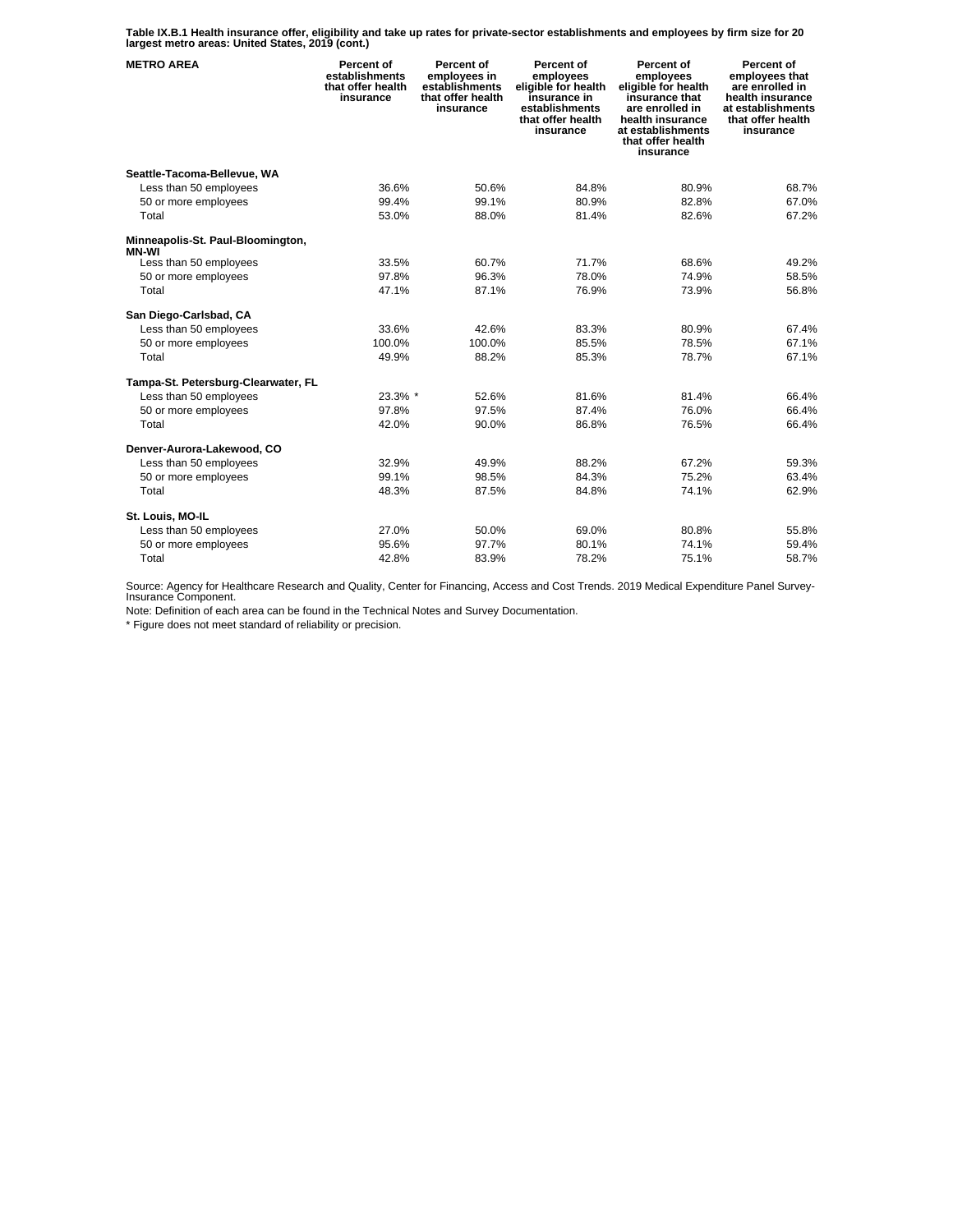**Table IX.B.1 Health insurance offer, eligibility and take up rates for private-sector establishments and employees by firm size for 20 largest metro areas: United States, 2019 (cont.)** 

| <b>METRO AREA</b>                                 | Percent of<br>establishments<br>that offer health<br>insurance | Percent of<br>employees in<br>establishments<br>that offer health<br>insurance | Percent of<br>employees<br>eligible for health<br>insurance in<br>establishments<br>that offer health<br>insurance | Percent of<br>employees<br>eligible for health<br>insurance that<br>are enrolled in<br>health insurance<br>at establishments<br>that offer health<br>insurance | Percent of<br>employees that<br>are enrolled in<br>health insurance<br>at establishments<br>that offer health<br>insurance |
|---------------------------------------------------|----------------------------------------------------------------|--------------------------------------------------------------------------------|--------------------------------------------------------------------------------------------------------------------|----------------------------------------------------------------------------------------------------------------------------------------------------------------|----------------------------------------------------------------------------------------------------------------------------|
| Seattle-Tacoma-Bellevue, WA                       |                                                                |                                                                                |                                                                                                                    |                                                                                                                                                                |                                                                                                                            |
| Less than 50 employees                            | 36.6%                                                          | 50.6%                                                                          | 84.8%                                                                                                              | 80.9%                                                                                                                                                          | 68.7%                                                                                                                      |
| 50 or more employees                              | 99.4%                                                          | 99.1%                                                                          | 80.9%                                                                                                              | 82.8%                                                                                                                                                          | 67.0%                                                                                                                      |
| Total                                             | 53.0%                                                          | 88.0%                                                                          | 81.4%                                                                                                              | 82.6%                                                                                                                                                          | 67.2%                                                                                                                      |
| Minneapolis-St. Paul-Bloomington,<br><b>MN-WI</b> |                                                                |                                                                                |                                                                                                                    |                                                                                                                                                                |                                                                                                                            |
| Less than 50 employees                            | 33.5%                                                          | 60.7%                                                                          | 71.7%                                                                                                              | 68.6%                                                                                                                                                          | 49.2%                                                                                                                      |
| 50 or more employees                              | 97.8%                                                          | 96.3%                                                                          | 78.0%                                                                                                              | 74.9%                                                                                                                                                          | 58.5%                                                                                                                      |
| Total                                             | 47.1%                                                          | 87.1%                                                                          | 76.9%                                                                                                              | 73.9%                                                                                                                                                          | 56.8%                                                                                                                      |
| San Diego-Carlsbad, CA                            |                                                                |                                                                                |                                                                                                                    |                                                                                                                                                                |                                                                                                                            |
| Less than 50 employees                            | 33.6%                                                          | 42.6%                                                                          | 83.3%                                                                                                              | 80.9%                                                                                                                                                          | 67.4%                                                                                                                      |
| 50 or more employees                              | 100.0%                                                         | 100.0%                                                                         | 85.5%                                                                                                              | 78.5%                                                                                                                                                          | 67.1%                                                                                                                      |
| Total                                             | 49.9%                                                          | 88.2%                                                                          | 85.3%                                                                                                              | 78.7%                                                                                                                                                          | 67.1%                                                                                                                      |
| Tampa-St. Petersburg-Clearwater, FL               |                                                                |                                                                                |                                                                                                                    |                                                                                                                                                                |                                                                                                                            |
| Less than 50 employees                            | 23.3% *                                                        | 52.6%                                                                          | 81.6%                                                                                                              | 81.4%                                                                                                                                                          | 66.4%                                                                                                                      |
| 50 or more employees                              | 97.8%                                                          | 97.5%                                                                          | 87.4%                                                                                                              | 76.0%                                                                                                                                                          | 66.4%                                                                                                                      |
| Total                                             | 42.0%                                                          | 90.0%                                                                          | 86.8%                                                                                                              | 76.5%                                                                                                                                                          | 66.4%                                                                                                                      |
| Denver-Aurora-Lakewood, CO                        |                                                                |                                                                                |                                                                                                                    |                                                                                                                                                                |                                                                                                                            |
| Less than 50 employees                            | 32.9%                                                          | 49.9%                                                                          | 88.2%                                                                                                              | 67.2%                                                                                                                                                          | 59.3%                                                                                                                      |
| 50 or more employees                              | 99.1%                                                          | 98.5%                                                                          | 84.3%                                                                                                              | 75.2%                                                                                                                                                          | 63.4%                                                                                                                      |
| Total                                             | 48.3%                                                          | 87.5%                                                                          | 84.8%                                                                                                              | 74.1%                                                                                                                                                          | 62.9%                                                                                                                      |
| St. Louis, MO-IL                                  |                                                                |                                                                                |                                                                                                                    |                                                                                                                                                                |                                                                                                                            |
| Less than 50 employees                            | 27.0%                                                          | 50.0%                                                                          | 69.0%                                                                                                              | 80.8%                                                                                                                                                          | 55.8%                                                                                                                      |
| 50 or more employees                              | 95.6%                                                          | 97.7%                                                                          | 80.1%                                                                                                              | 74.1%                                                                                                                                                          | 59.4%                                                                                                                      |
| Total                                             | 42.8%                                                          | 83.9%                                                                          | 78.2%                                                                                                              | 75.1%                                                                                                                                                          | 58.7%                                                                                                                      |

Source: Agency for Healthcare Research and Quality, Center for Financing, Access and Cost Trends. 2019 Medical Expenditure Panel Survey-Insurance Component.

Note: Definition of each area can be found in the Technical Notes and Survey Documentation.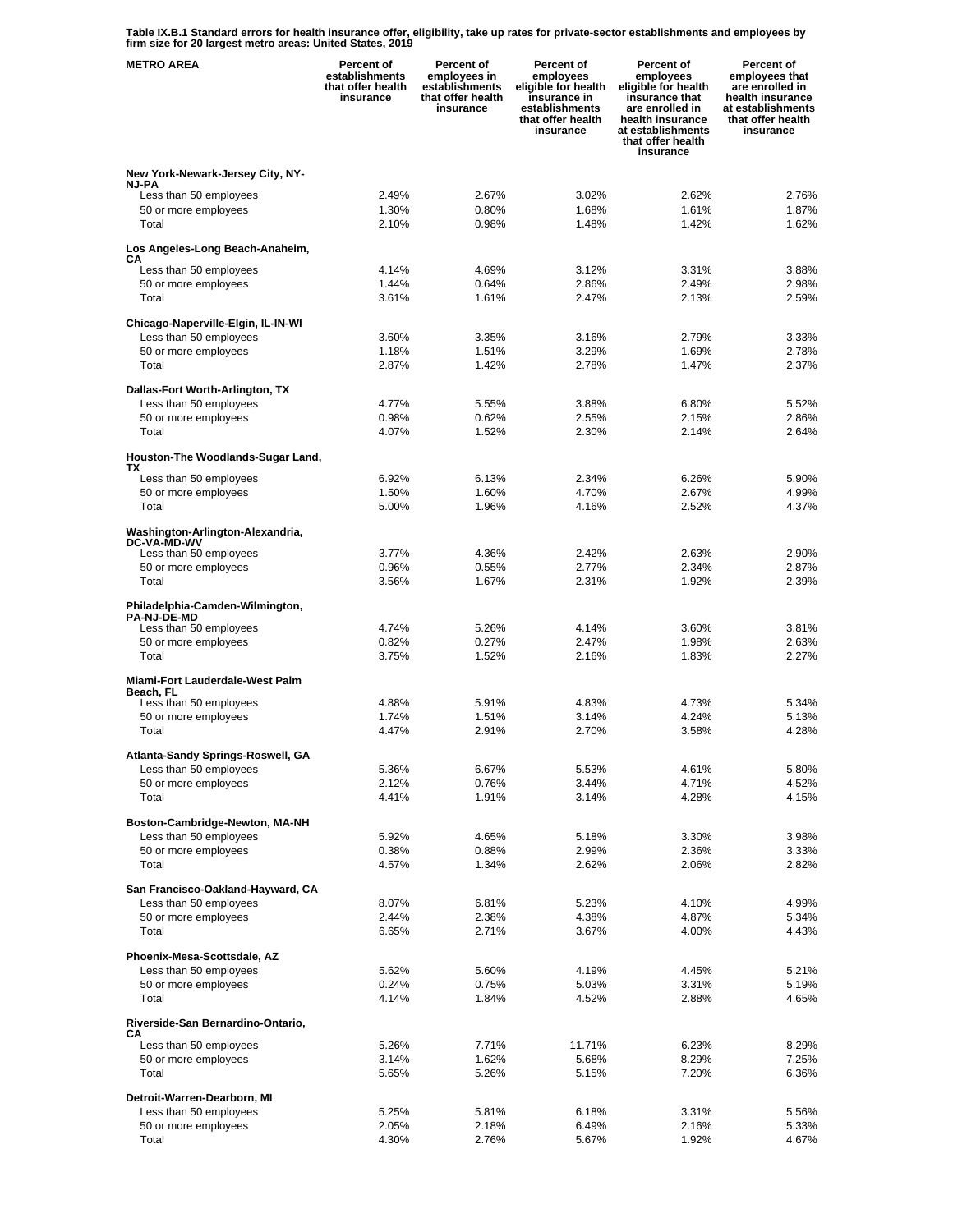**Table IX.B.1 Standard errors for health insurance offer, eligibility, take up rates for private-sector establishments and employees by firm size for 20 largest metro areas: United States, 2019** 

| <b>METRO AREA</b>                                     | Percent of<br>establishments<br>that offer health<br>insurance | Percent of<br>employees in<br>establishments<br>that offer health<br>insurance | Percent of<br>employees<br>eligible for health<br>insurance in<br>establishments<br>that offer health<br>insurance | Percent of<br>employees<br>eligible for health<br>insurance that<br>are enrolled in<br>health insurance<br>at establishments<br>that offer health<br>insurance | Percent of<br>employees that<br>are enrolled in<br>health insurance<br>at establishments<br>that offer health<br>insurance |
|-------------------------------------------------------|----------------------------------------------------------------|--------------------------------------------------------------------------------|--------------------------------------------------------------------------------------------------------------------|----------------------------------------------------------------------------------------------------------------------------------------------------------------|----------------------------------------------------------------------------------------------------------------------------|
| New York-Newark-Jersey City, NY-                      |                                                                |                                                                                |                                                                                                                    |                                                                                                                                                                |                                                                                                                            |
| <b>NJ-PA</b>                                          | 2.49%                                                          |                                                                                |                                                                                                                    |                                                                                                                                                                |                                                                                                                            |
| Less than 50 employees<br>50 or more employees        | 1.30%                                                          | 2.67%<br>0.80%                                                                 | 3.02%<br>1.68%                                                                                                     | 2.62%<br>1.61%                                                                                                                                                 | 2.76%<br>1.87%                                                                                                             |
| Total                                                 | 2.10%                                                          | 0.98%                                                                          | 1.48%                                                                                                              | 1.42%                                                                                                                                                          | 1.62%                                                                                                                      |
| Los Angeles-Long Beach-Anaheim,                       |                                                                |                                                                                |                                                                                                                    |                                                                                                                                                                |                                                                                                                            |
| CА<br>Less than 50 employees                          | 4.14%                                                          | 4.69%                                                                          | 3.12%                                                                                                              | 3.31%                                                                                                                                                          | 3.88%                                                                                                                      |
| 50 or more employees                                  | 1.44%                                                          | 0.64%                                                                          | 2.86%                                                                                                              | 2.49%                                                                                                                                                          | 2.98%                                                                                                                      |
| Total                                                 | 3.61%                                                          | 1.61%                                                                          | 2.47%                                                                                                              | 2.13%                                                                                                                                                          | 2.59%                                                                                                                      |
| Chicago-Naperville-Elgin, IL-IN-WI                    |                                                                |                                                                                |                                                                                                                    |                                                                                                                                                                |                                                                                                                            |
| Less than 50 employees                                | 3.60%                                                          | 3.35%                                                                          | 3.16%                                                                                                              | 2.79%                                                                                                                                                          | 3.33%                                                                                                                      |
| 50 or more employees<br>Total                         | 1.18%<br>2.87%                                                 | 1.51%<br>1.42%                                                                 | 3.29%<br>2.78%                                                                                                     | 1.69%<br>1.47%                                                                                                                                                 | 2.78%<br>2.37%                                                                                                             |
|                                                       |                                                                |                                                                                |                                                                                                                    |                                                                                                                                                                |                                                                                                                            |
| Dallas-Fort Worth-Arlington, TX                       |                                                                |                                                                                |                                                                                                                    |                                                                                                                                                                |                                                                                                                            |
| Less than 50 employees<br>50 or more employees        | 4.77%<br>0.98%                                                 | 5.55%<br>0.62%                                                                 | 3.88%<br>2.55%                                                                                                     | 6.80%<br>2.15%                                                                                                                                                 | 5.52%<br>2.86%                                                                                                             |
| Total                                                 | 4.07%                                                          | 1.52%                                                                          | 2.30%                                                                                                              | 2.14%                                                                                                                                                          | 2.64%                                                                                                                      |
| Houston-The Woodlands-Sugar Land,                     |                                                                |                                                                                |                                                                                                                    |                                                                                                                                                                |                                                                                                                            |
| ТX                                                    |                                                                |                                                                                |                                                                                                                    |                                                                                                                                                                |                                                                                                                            |
| Less than 50 employees                                | 6.92%<br>1.50%                                                 | 6.13%<br>1.60%                                                                 | 2.34%<br>4.70%                                                                                                     | 6.26%<br>2.67%                                                                                                                                                 | 5.90%<br>4.99%                                                                                                             |
| 50 or more employees<br>Total                         | 5.00%                                                          | 1.96%                                                                          | 4.16%                                                                                                              | 2.52%                                                                                                                                                          | 4.37%                                                                                                                      |
| Washington-Arlington-Alexandria,                      |                                                                |                                                                                |                                                                                                                    |                                                                                                                                                                |                                                                                                                            |
| DC-VA-MD-WV<br>Less than 50 employees                 | 3.77%                                                          | 4.36%                                                                          | 2.42%                                                                                                              | 2.63%                                                                                                                                                          | 2.90%                                                                                                                      |
| 50 or more employees                                  | 0.96%                                                          | 0.55%                                                                          | 2.77%                                                                                                              | 2.34%                                                                                                                                                          | 2.87%                                                                                                                      |
| Total                                                 | 3.56%                                                          | 1.67%                                                                          | 2.31%                                                                                                              | 1.92%                                                                                                                                                          | 2.39%                                                                                                                      |
| Philadelphia-Camden-Wilmington,<br><b>PA-NJ-DE-MD</b> |                                                                |                                                                                |                                                                                                                    |                                                                                                                                                                |                                                                                                                            |
| Less than 50 employees                                | 4.74%                                                          | 5.26%                                                                          | 4.14%                                                                                                              | 3.60%                                                                                                                                                          | 3.81%                                                                                                                      |
| 50 or more employees<br>Total                         | 0.82%<br>3.75%                                                 | 0.27%<br>1.52%                                                                 | 2.47%<br>2.16%                                                                                                     | 1.98%<br>1.83%                                                                                                                                                 | 2.63%<br>2.27%                                                                                                             |
|                                                       |                                                                |                                                                                |                                                                                                                    |                                                                                                                                                                |                                                                                                                            |
| Miami-Fort Lauderdale-West Palm<br>Beach, FL          |                                                                |                                                                                |                                                                                                                    |                                                                                                                                                                |                                                                                                                            |
| Less than 50 employees                                | 4.88%                                                          | 5.91%                                                                          | 4.83%                                                                                                              | 4.73%                                                                                                                                                          | 5.34%                                                                                                                      |
| 50 or more employees                                  | 1.74%                                                          | 1.51%                                                                          | 3.14%                                                                                                              | 4.24%                                                                                                                                                          | 5.13%                                                                                                                      |
| Total                                                 | 4.47%                                                          | 2.91%                                                                          | 2.70%                                                                                                              | 3.58%                                                                                                                                                          | 4.28%                                                                                                                      |
| Atlanta-Sandy Springs-Roswell, GA                     |                                                                |                                                                                |                                                                                                                    |                                                                                                                                                                |                                                                                                                            |
| Less than 50 employees<br>50 or more employees        | 5.36%<br>2.12%                                                 | 6.67%<br>0.76%                                                                 | 5.53%<br>3.44%                                                                                                     | 4.61%<br>4.71%                                                                                                                                                 | 5.80%<br>4.52%                                                                                                             |
| Total                                                 | 4.41%                                                          | 1.91%                                                                          | 3.14%                                                                                                              | 4.28%                                                                                                                                                          | 4.15%                                                                                                                      |
| Boston-Cambridge-Newton, MA-NH                        |                                                                |                                                                                |                                                                                                                    |                                                                                                                                                                |                                                                                                                            |
| Less than 50 employees                                | 5.92%                                                          | 4.65%                                                                          | 5.18%                                                                                                              | 3.30%                                                                                                                                                          | 3.98%                                                                                                                      |
| 50 or more employees                                  | 0.38%                                                          | 0.88%                                                                          | 2.99%                                                                                                              | 2.36%                                                                                                                                                          | 3.33%                                                                                                                      |
| Total                                                 | 4.57%                                                          | 1.34%                                                                          | 2.62%                                                                                                              | 2.06%                                                                                                                                                          | 2.82%                                                                                                                      |
| San Francisco-Oakland-Hayward, CA                     |                                                                |                                                                                |                                                                                                                    |                                                                                                                                                                |                                                                                                                            |
| Less than 50 employees                                | 8.07%                                                          | 6.81%                                                                          | 5.23%                                                                                                              | 4.10%                                                                                                                                                          | 4.99%                                                                                                                      |
| 50 or more employees                                  | 2.44%                                                          | 2.38%                                                                          | 4.38%                                                                                                              | 4.87%                                                                                                                                                          | 5.34%                                                                                                                      |
| Total                                                 | 6.65%                                                          | 2.71%                                                                          | 3.67%                                                                                                              | 4.00%                                                                                                                                                          | 4.43%                                                                                                                      |
| Phoenix-Mesa-Scottsdale, AZ                           |                                                                |                                                                                |                                                                                                                    |                                                                                                                                                                |                                                                                                                            |
| Less than 50 employees<br>50 or more employees        | 5.62%<br>0.24%                                                 | 5.60%<br>0.75%                                                                 | 4.19%<br>5.03%                                                                                                     | 4.45%<br>3.31%                                                                                                                                                 | 5.21%<br>5.19%                                                                                                             |
| Total                                                 | 4.14%                                                          | 1.84%                                                                          | 4.52%                                                                                                              | 2.88%                                                                                                                                                          | 4.65%                                                                                                                      |
| Riverside-San Bernardino-Ontario,                     |                                                                |                                                                                |                                                                                                                    |                                                                                                                                                                |                                                                                                                            |
| CА<br>Less than 50 employees                          | 5.26%                                                          | 7.71%                                                                          | 11.71%                                                                                                             | 6.23%                                                                                                                                                          | 8.29%                                                                                                                      |
| 50 or more employees                                  | 3.14%                                                          | 1.62%                                                                          | 5.68%                                                                                                              | 8.29%                                                                                                                                                          | 7.25%                                                                                                                      |
| Total                                                 | 5.65%                                                          | 5.26%                                                                          | 5.15%                                                                                                              | 7.20%                                                                                                                                                          | 6.36%                                                                                                                      |
| Detroit-Warren-Dearborn, MI                           |                                                                |                                                                                |                                                                                                                    |                                                                                                                                                                |                                                                                                                            |
| Less than 50 employees                                | 5.25%                                                          | 5.81%                                                                          | 6.18%                                                                                                              | 3.31%                                                                                                                                                          | 5.56%                                                                                                                      |
| 50 or more employees                                  | 2.05%                                                          | 2.18%                                                                          | 6.49%                                                                                                              | 2.16%                                                                                                                                                          | 5.33%                                                                                                                      |
| Total                                                 | 4.30%                                                          | 2.76%                                                                          | 5.67%                                                                                                              | 1.92%                                                                                                                                                          | 4.67%                                                                                                                      |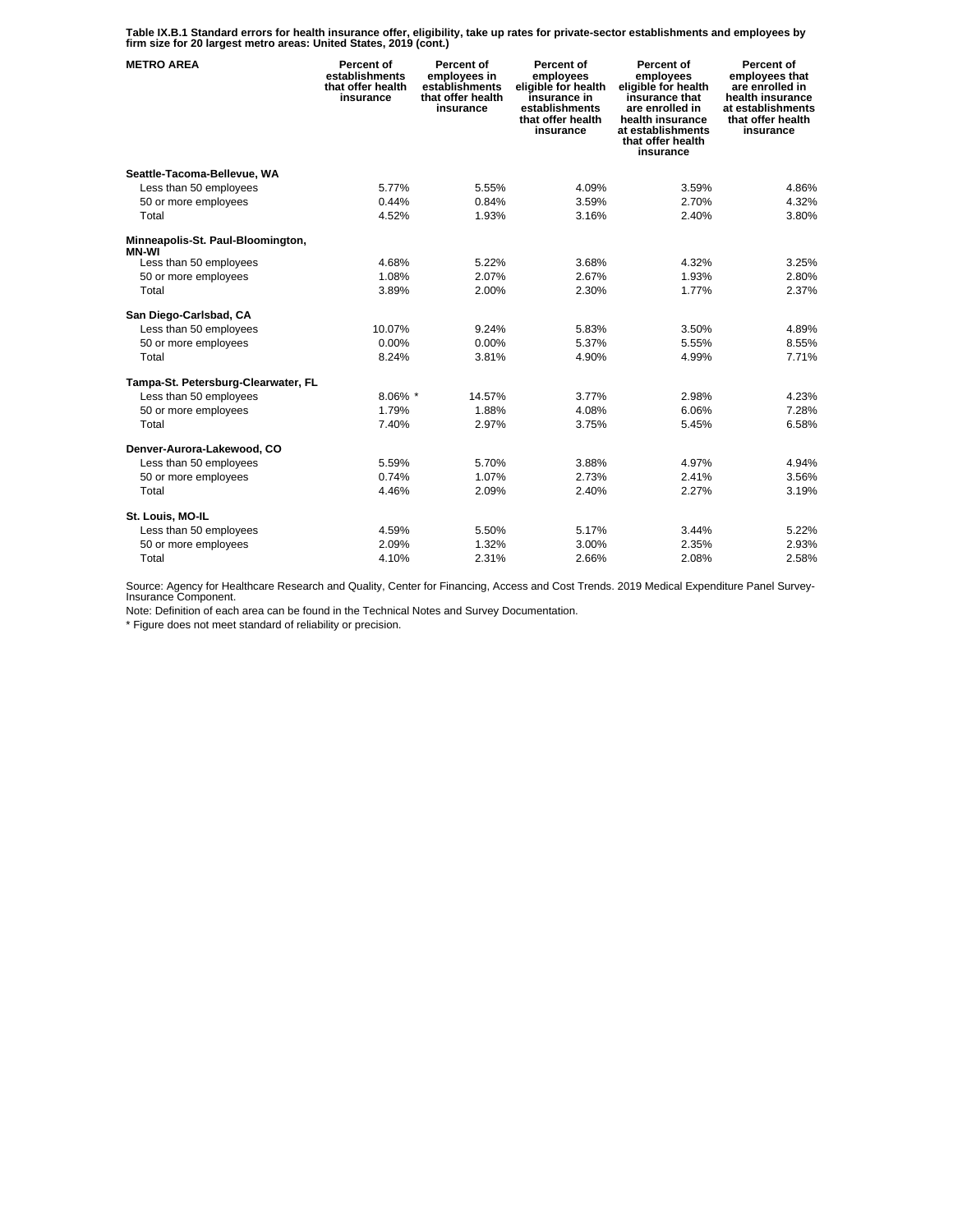**Table IX.B.1 Standard errors for health insurance offer, eligibility, take up rates for private-sector establishments and employees by firm size for 20 largest metro areas: United States, 2019 (cont.)** 

| <b>METRO AREA</b>                                 | Percent of<br>establishments<br>that offer health<br>insurance | Percent of<br>employees in<br>establishments<br>that offer health<br>insurance | Percent of<br>employees<br>eligible for health<br>insurance in<br>establishments<br>that offer health<br>insurance | Percent of<br>employees<br>eligible for health<br>insurance that<br>are enrolled in<br>health insurance<br>at establishments<br>that offer health<br>insurance | Percent of<br>employees that<br>are enrolled in<br>health insurance<br>at establishments<br>that offer health<br>insurance |
|---------------------------------------------------|----------------------------------------------------------------|--------------------------------------------------------------------------------|--------------------------------------------------------------------------------------------------------------------|----------------------------------------------------------------------------------------------------------------------------------------------------------------|----------------------------------------------------------------------------------------------------------------------------|
| Seattle-Tacoma-Bellevue, WA                       |                                                                |                                                                                |                                                                                                                    |                                                                                                                                                                |                                                                                                                            |
| Less than 50 employees                            | 5.77%                                                          | 5.55%                                                                          | 4.09%                                                                                                              | 3.59%                                                                                                                                                          | 4.86%                                                                                                                      |
| 50 or more employees                              | 0.44%                                                          | 0.84%                                                                          | 3.59%                                                                                                              | 2.70%                                                                                                                                                          | 4.32%                                                                                                                      |
| Total                                             | 4.52%                                                          | 1.93%                                                                          | 3.16%                                                                                                              | 2.40%                                                                                                                                                          | 3.80%                                                                                                                      |
| Minneapolis-St. Paul-Bloomington,<br><b>MN-WI</b> |                                                                |                                                                                |                                                                                                                    |                                                                                                                                                                |                                                                                                                            |
| Less than 50 employees                            | 4.68%                                                          | 5.22%                                                                          | 3.68%                                                                                                              | 4.32%                                                                                                                                                          | 3.25%                                                                                                                      |
| 50 or more employees                              | 1.08%                                                          | 2.07%                                                                          | 2.67%                                                                                                              | 1.93%                                                                                                                                                          | 2.80%                                                                                                                      |
| Total                                             | 3.89%                                                          | 2.00%                                                                          | 2.30%                                                                                                              | 1.77%                                                                                                                                                          | 2.37%                                                                                                                      |
| San Diego-Carlsbad, CA                            |                                                                |                                                                                |                                                                                                                    |                                                                                                                                                                |                                                                                                                            |
| Less than 50 employees                            | 10.07%                                                         | 9.24%                                                                          | 5.83%                                                                                                              | 3.50%                                                                                                                                                          | 4.89%                                                                                                                      |
| 50 or more employees                              | 0.00%                                                          | 0.00%                                                                          | 5.37%                                                                                                              | 5.55%                                                                                                                                                          | 8.55%                                                                                                                      |
| Total                                             | 8.24%                                                          | 3.81%                                                                          | 4.90%                                                                                                              | 4.99%                                                                                                                                                          | 7.71%                                                                                                                      |
| Tampa-St. Petersburg-Clearwater, FL               |                                                                |                                                                                |                                                                                                                    |                                                                                                                                                                |                                                                                                                            |
| Less than 50 employees                            | $8.06\%$ *                                                     | 14.57%                                                                         | 3.77%                                                                                                              | 2.98%                                                                                                                                                          | 4.23%                                                                                                                      |
| 50 or more employees                              | 1.79%                                                          | 1.88%                                                                          | 4.08%                                                                                                              | 6.06%                                                                                                                                                          | 7.28%                                                                                                                      |
| Total                                             | 7.40%                                                          | 2.97%                                                                          | 3.75%                                                                                                              | 5.45%                                                                                                                                                          | 6.58%                                                                                                                      |
| Denver-Aurora-Lakewood, CO                        |                                                                |                                                                                |                                                                                                                    |                                                                                                                                                                |                                                                                                                            |
| Less than 50 employees                            | 5.59%                                                          | 5.70%                                                                          | 3.88%                                                                                                              | 4.97%                                                                                                                                                          | 4.94%                                                                                                                      |
| 50 or more employees                              | 0.74%                                                          | 1.07%                                                                          | 2.73%                                                                                                              | 2.41%                                                                                                                                                          | 3.56%                                                                                                                      |
| Total                                             | 4.46%                                                          | 2.09%                                                                          | 2.40%                                                                                                              | 2.27%                                                                                                                                                          | 3.19%                                                                                                                      |
| St. Louis, MO-IL                                  |                                                                |                                                                                |                                                                                                                    |                                                                                                                                                                |                                                                                                                            |
| Less than 50 employees                            | 4.59%                                                          | 5.50%                                                                          | 5.17%                                                                                                              | 3.44%                                                                                                                                                          | 5.22%                                                                                                                      |
| 50 or more employees                              | 2.09%                                                          | 1.32%                                                                          | 3.00%                                                                                                              | 2.35%                                                                                                                                                          | 2.93%                                                                                                                      |
| Total                                             | 4.10%                                                          | 2.31%                                                                          | 2.66%                                                                                                              | 2.08%                                                                                                                                                          | 2.58%                                                                                                                      |

Source: Agency for Healthcare Research and Quality, Center for Financing, Access and Cost Trends. 2019 Medical Expenditure Panel Survey-Insurance Component.

Note: Definition of each area can be found in the Technical Notes and Survey Documentation.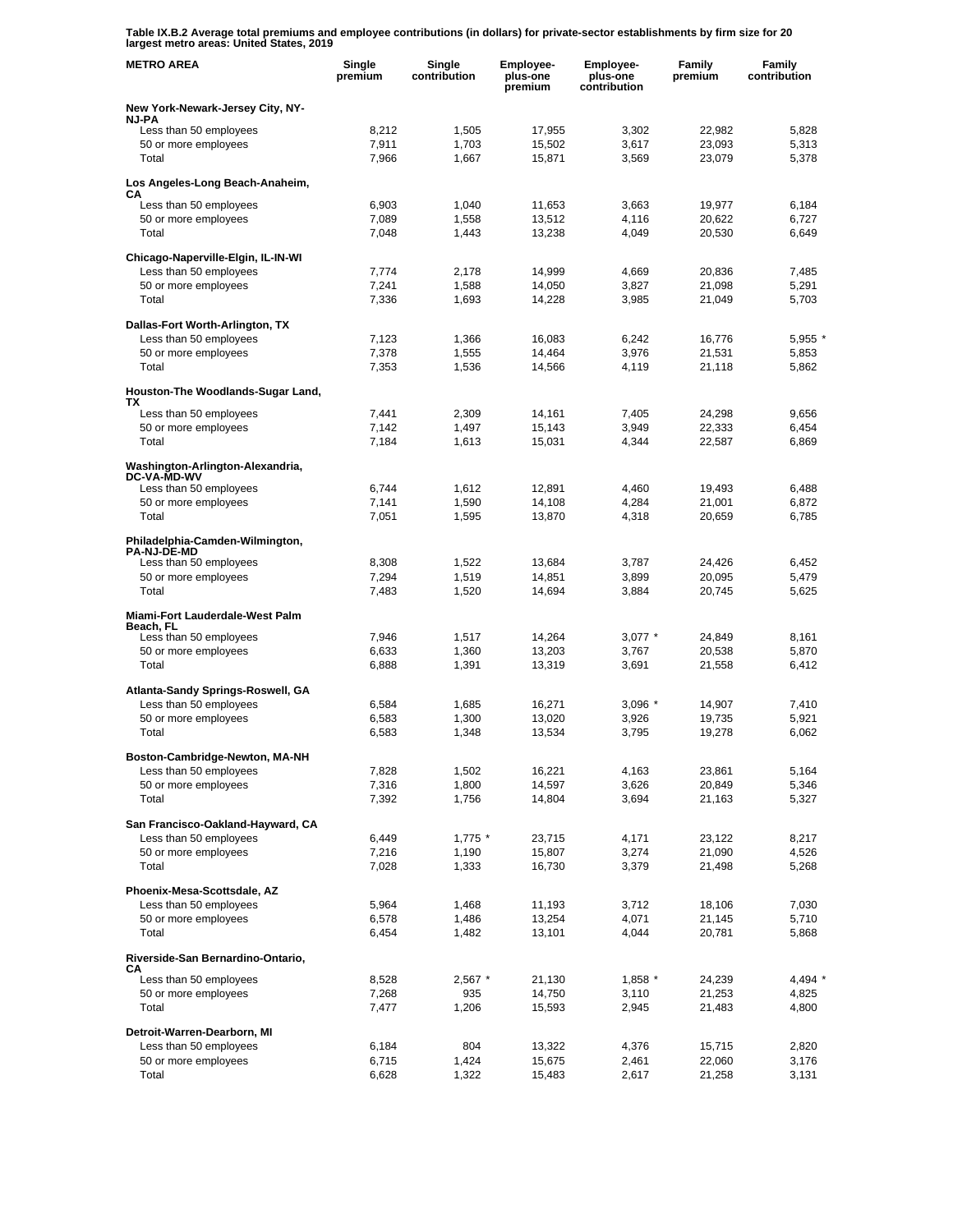**Table IX.B.2 Average total premiums and employee contributions (in dollars) for private-sector establishments by firm size for 20 largest metro areas: United States, 2019** 

| <b>METRO AREA</b>                                           | Single<br>premium | Single<br>contribution | Employee-<br>plus-one<br>premium | Employee-<br>plus-one<br>contribution | Family<br>premium | Family<br>contribution |
|-------------------------------------------------------------|-------------------|------------------------|----------------------------------|---------------------------------------|-------------------|------------------------|
| New York-Newark-Jersey City, NY-<br><b>NJ-PA</b>            |                   |                        |                                  |                                       |                   |                        |
| Less than 50 employees                                      | 8,212             | 1,505                  | 17,955                           | 3,302                                 | 22,982            | 5,828                  |
| 50 or more employees                                        | 7,911             | 1,703                  | 15,502                           | 3,617                                 | 23,093            | 5,313                  |
| Total                                                       | 7,966             | 1,667                  | 15,871                           | 3,569                                 | 23,079            | 5,378                  |
| Los Angeles-Long Beach-Anaheim,<br>CА                       |                   |                        |                                  |                                       |                   |                        |
| Less than 50 employees                                      | 6,903             | 1,040                  | 11,653                           | 3,663                                 | 19,977            | 6,184                  |
| 50 or more employees                                        | 7,089             | 1,558                  | 13,512                           | 4,116                                 | 20,622            | 6,727                  |
| Total                                                       | 7,048             | 1,443                  | 13,238                           | 4,049                                 | 20,530            | 6,649                  |
| Chicago-Naperville-Elgin, IL-IN-WI                          |                   |                        |                                  |                                       |                   |                        |
| Less than 50 employees<br>50 or more employees              | 7,774<br>7,241    | 2,178<br>1,588         | 14,999<br>14,050                 | 4.669<br>3,827                        | 20,836<br>21,098  | 7,485<br>5,291         |
| Total                                                       | 7,336             | 1,693                  | 14,228                           | 3,985                                 | 21,049            | 5,703                  |
|                                                             |                   |                        |                                  |                                       |                   |                        |
| Dallas-Fort Worth-Arlington, TX<br>Less than 50 employees   | 7,123             | 1,366                  | 16,083                           | 6,242                                 | 16,776            | 5,955 *                |
| 50 or more employees                                        | 7,378             | 1,555                  | 14,464                           | 3,976                                 | 21,531            | 5,853                  |
| Total                                                       | 7,353             | 1,536                  | 14,566                           | 4,119                                 | 21,118            | 5,862                  |
| Houston-The Woodlands-Sugar Land,<br>TХ                     |                   |                        |                                  |                                       |                   |                        |
| Less than 50 employees                                      | 7,441             | 2,309                  | 14,161                           | 7,405                                 | 24,298            | 9,656                  |
| 50 or more employees                                        | 7,142             | 1,497                  | 15,143                           | 3,949                                 | 22,333            | 6,454                  |
| Total                                                       | 7,184             | 1,613                  | 15,031                           | 4,344                                 | 22,587            | 6,869                  |
| Washington-Arlington-Alexandria,<br><b>DC-VA-MD-WV</b>      |                   |                        |                                  |                                       |                   |                        |
| Less than 50 employees                                      | 6,744             | 1,612                  | 12,891                           | 4.460                                 | 19,493            | 6.488                  |
| 50 or more employees<br>Total                               | 7,141             | 1,590                  | 14,108<br>13,870                 | 4,284                                 | 21,001            | 6,872<br>6,785         |
|                                                             | 7,051             | 1,595                  |                                  | 4,318                                 | 20,659            |                        |
| Philadelphia-Camden-Wilmington,<br><b>PA-NJ-DE-MD</b>       |                   |                        |                                  |                                       |                   |                        |
| Less than 50 employees                                      | 8,308             | 1,522                  | 13,684                           | 3,787                                 | 24,426            | 6,452                  |
| 50 or more employees<br>Total                               | 7,294<br>7,483    | 1,519<br>1,520         | 14,851<br>14,694                 | 3,899<br>3,884                        | 20,095<br>20,745  | 5,479<br>5,625         |
|                                                             |                   |                        |                                  |                                       |                   |                        |
| Miami-Fort Lauderdale-West Palm<br>Beach, FL                |                   |                        |                                  |                                       |                   |                        |
| Less than 50 employees                                      | 7,946             | 1,517                  | 14,264                           | $3,077$ *                             | 24,849            | 8,161                  |
| 50 or more employees<br>Total                               | 6,633<br>6,888    | 1,360<br>1,391         | 13,203<br>13,319                 | 3,767<br>3,691                        | 20,538<br>21,558  | 5,870<br>6.412         |
|                                                             |                   |                        |                                  |                                       |                   |                        |
| Atlanta-Sandy Springs-Roswell, GA<br>Less than 50 employees |                   |                        |                                  |                                       |                   | 7,410                  |
| 50 or more employees                                        | 6,584<br>6,583    | 1,685<br>1,300         | 16,271<br>13,020                 | $3,096$ *<br>3,926                    | 14,907<br>19,735  | 5,921                  |
| Total                                                       | 6,583             | 1,348                  | 13,534                           | 3,795                                 | 19,278            | 6,062                  |
| Boston-Cambridge-Newton, MA-NH                              |                   |                        |                                  |                                       |                   |                        |
| Less than 50 employees                                      | 7,828             | 1,502                  | 16,221                           | 4,163                                 | 23,861            | 5,164                  |
| 50 or more employees                                        | 7,316             | 1,800                  | 14,597                           | 3,626                                 | 20,849            | 5,346                  |
| Total                                                       | 7,392             | 1,756                  | 14,804                           | 3,694                                 | 21,163            | 5,327                  |
| San Francisco-Oakland-Hayward, CA                           |                   |                        |                                  |                                       |                   |                        |
| Less than 50 employees<br>50 or more employees              | 6,449             | $1,775$ *              | 23,715                           | 4,171                                 | 23,122<br>21,090  | 8,217                  |
| Total                                                       | 7,216<br>7,028    | 1,190<br>1,333         | 15,807<br>16,730                 | 3,274<br>3,379                        | 21,498            | 4,526<br>5,268         |
| Phoenix-Mesa-Scottsdale, AZ                                 |                   |                        |                                  |                                       |                   |                        |
| Less than 50 employees                                      | 5,964             | 1,468                  | 11,193                           | 3,712                                 | 18,106            | 7,030                  |
| 50 or more employees                                        | 6,578             | 1,486                  | 13,254                           | 4,071                                 | 21,145            | 5,710                  |
| Total                                                       | 6,454             | 1,482                  | 13,101                           | 4,044                                 | 20,781            | 5,868                  |
| Riverside-San Bernardino-Ontario,<br>CА                     |                   |                        |                                  |                                       |                   |                        |
| Less than 50 employees                                      | 8,528             | $2,567$ *              | 21,130                           | $1,858$ *                             | 24,239            | 4,494 *                |
| 50 or more employees<br>Total                               | 7,268             | 935                    | 14,750                           | 3,110                                 | 21,253            | 4,825                  |
|                                                             | 7,477             | 1,206                  | 15,593                           | 2,945                                 | 21,483            | 4,800                  |
| Detroit-Warren-Dearborn, MI                                 |                   |                        |                                  |                                       |                   |                        |
| Less than 50 employees<br>50 or more employees              | 6,184<br>6,715    | 804<br>1,424           | 13,322<br>15,675                 | 4,376<br>2,461                        | 15,715<br>22,060  | 2,820<br>3,176         |
| Total                                                       | 6,628             | 1,322                  | 15,483                           | 2,617                                 | 21,258            | 3,131                  |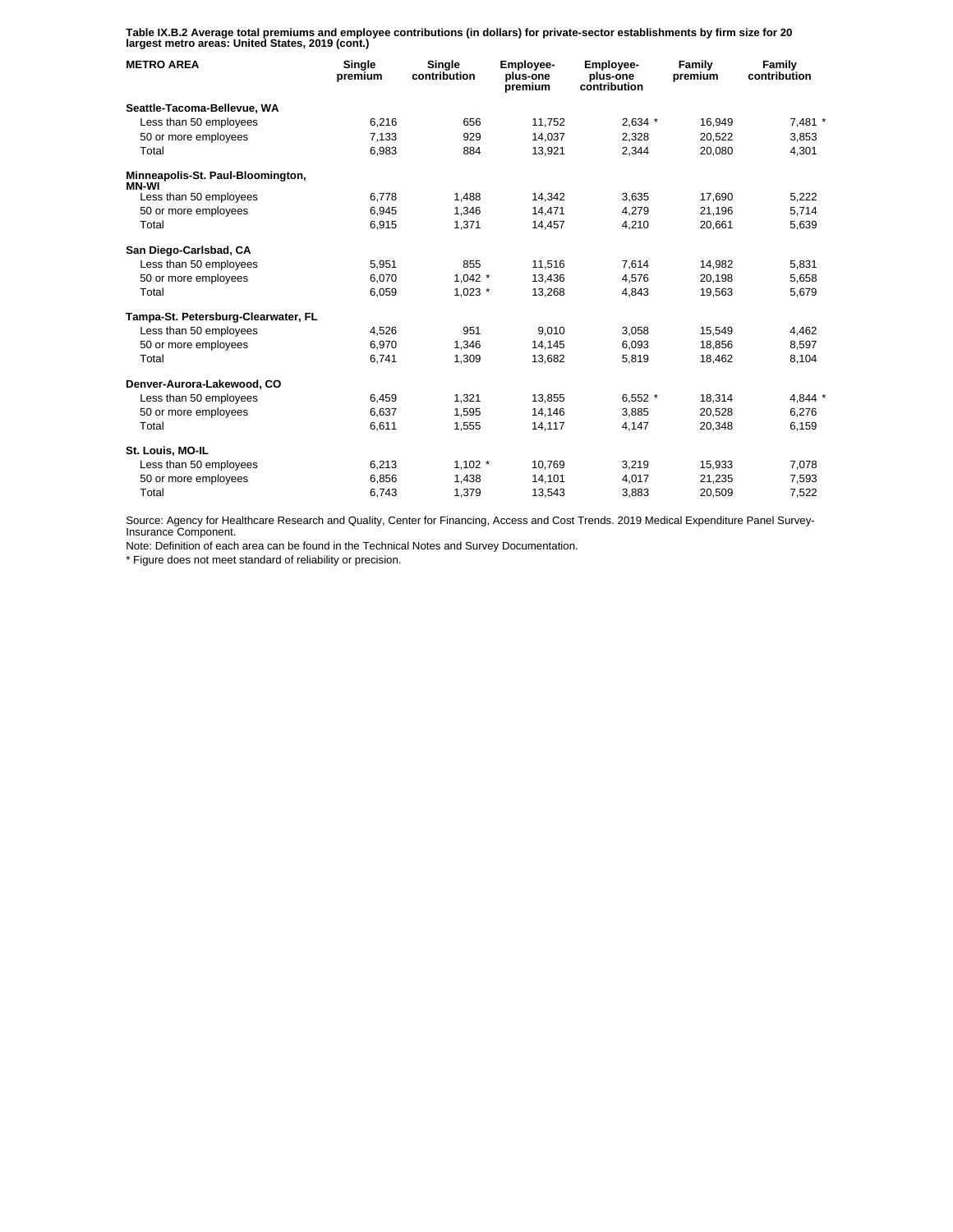**Table IX.B.2 Average total premiums and employee contributions (in dollars) for private-sector establishments by firm size for 20 largest metro areas: United States, 2019 (cont.)** 

| <b>METRO AREA</b>                          | Single<br>premium | Single<br>contribution | <b>Employee-</b><br>plus-one<br>premium | <b>Employee-</b><br>plus-one<br>contribution | Family<br>premium | Family<br>contribution |
|--------------------------------------------|-------------------|------------------------|-----------------------------------------|----------------------------------------------|-------------------|------------------------|
| Seattle-Tacoma-Bellevue, WA                |                   |                        |                                         |                                              |                   |                        |
| Less than 50 employees                     | 6,216             | 656                    | 11,752                                  | $2,634$ *                                    | 16,949            | 7,481 *                |
| 50 or more employees                       | 7.133             | 929                    | 14.037                                  | 2.328                                        | 20.522            | 3,853                  |
| Total                                      | 6,983             | 884                    | 13,921                                  | 2,344                                        | 20,080            | 4,301                  |
| Minneapolis-St. Paul-Bloomington,<br>MN-WI |                   |                        |                                         |                                              |                   |                        |
| Less than 50 employees                     | 6,778             | 1,488                  | 14,342                                  | 3,635                                        | 17,690            | 5,222                  |
| 50 or more employees                       | 6,945             | 1,346                  | 14.471                                  | 4,279                                        | 21,196            | 5,714                  |
| Total                                      | 6,915             | 1,371                  | 14,457                                  | 4,210                                        | 20,661            | 5,639                  |
| San Diego-Carlsbad, CA                     |                   |                        |                                         |                                              |                   |                        |
| Less than 50 employees                     | 5,951             | 855                    | 11,516                                  | 7,614                                        | 14,982            | 5,831                  |
| 50 or more employees                       | 6,070             | $1,042$ *              | 13,436                                  | 4,576                                        | 20.198            | 5,658                  |
| Total                                      | 6,059             | $1,023$ *              | 13,268                                  | 4,843                                        | 19,563            | 5,679                  |
| Tampa-St. Petersburg-Clearwater, FL        |                   |                        |                                         |                                              |                   |                        |
| Less than 50 employees                     | 4,526             | 951                    | 9,010                                   | 3,058                                        | 15,549            | 4,462                  |
| 50 or more employees                       | 6,970             | 1,346                  | 14,145                                  | 6,093                                        | 18,856            | 8,597                  |
| Total                                      | 6,741             | 1,309                  | 13,682                                  | 5,819                                        | 18,462            | 8,104                  |
| Denver-Aurora-Lakewood, CO                 |                   |                        |                                         |                                              |                   |                        |
| Less than 50 employees                     | 6,459             | 1,321                  | 13.855                                  | $6.552*$                                     | 18.314            | 4.844 *                |
| 50 or more employees                       | 6,637             | 1,595                  | 14,146                                  | 3,885                                        | 20,528            | 6,276                  |
| Total                                      | 6,611             | 1,555                  | 14,117                                  | 4.147                                        | 20,348            | 6.159                  |
| St. Louis, MO-IL                           |                   |                        |                                         |                                              |                   |                        |
| Less than 50 employees                     | 6,213             | $1,102$ *              | 10.769                                  | 3,219                                        | 15,933            | 7,078                  |
| 50 or more employees                       | 6,856             | 1,438                  | 14,101                                  | 4,017                                        | 21,235            | 7,593                  |
| Total                                      | 6,743             | 1,379                  | 13,543                                  | 3,883                                        | 20,509            | 7,522                  |

Source: Agency for Healthcare Research and Quality, Center for Financing, Access and Cost Trends. 2019 Medical Expenditure Panel Survey-Insurance Component.

Note: Definition of each area can be found in the Technical Notes and Survey Documentation.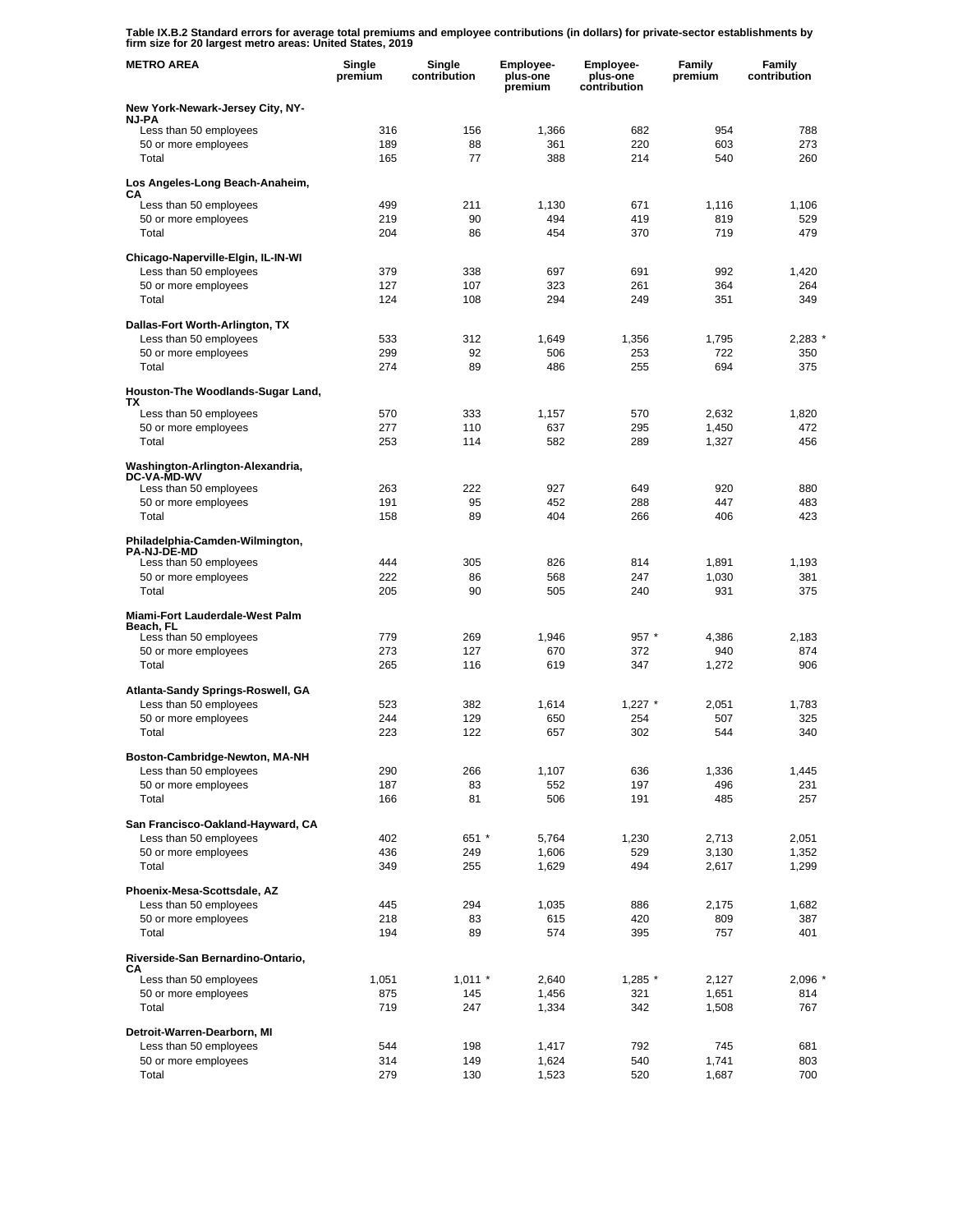**Table IX.B.2 Standard errors for average total premiums and employee contributions (in dollars) for private-sector establishments by firm size for 20 largest metro areas: United States, 2019** 

| <b>METRO AREA</b>                                           | Single<br>premium | Single<br>contribution | <b>Employee-</b><br>plus-one<br>premium | Employee-<br>plus-one<br>contribution | Family<br>premium | Family<br>contribution |
|-------------------------------------------------------------|-------------------|------------------------|-----------------------------------------|---------------------------------------|-------------------|------------------------|
| New York-Newark-Jersey City, NY-<br><b>NJ-PA</b>            |                   |                        |                                         |                                       |                   |                        |
| Less than 50 employees                                      | 316               | 156                    | 1,366                                   | 682                                   | 954               | 788                    |
| 50 or more employees                                        | 189               | 88                     | 361                                     | 220                                   | 603               | 273                    |
| Total                                                       | 165               | 77                     | 388                                     | 214                                   | 540               | 260                    |
| Los Angeles-Long Beach-Anaheim,<br>CА                       |                   |                        |                                         |                                       |                   |                        |
| Less than 50 employees                                      | 499               | 211                    | 1,130                                   | 671                                   | 1,116             | 1,106                  |
| 50 or more employees                                        | 219               | 90                     | 494                                     | 419                                   | 819               | 529                    |
| Total                                                       | 204               | 86                     | 454                                     | 370                                   | 719               | 479                    |
| Chicago-Naperville-Elgin, IL-IN-WI                          |                   |                        |                                         |                                       |                   |                        |
| Less than 50 employees                                      | 379<br>127        | 338                    | 697                                     | 691                                   | 992               | 1,420                  |
| 50 or more employees<br>Total                               | 124               | 107<br>108             | 323<br>294                              | 261<br>249                            | 364<br>351        | 264<br>349             |
|                                                             |                   |                        |                                         |                                       |                   |                        |
| Dallas-Fort Worth-Arlington, TX                             |                   |                        |                                         |                                       |                   |                        |
| Less than 50 employees<br>50 or more employees              | 533<br>299        | 312<br>92              | 1,649<br>506                            | 1,356<br>253                          | 1,795<br>722      | 2,283<br>350           |
| Total                                                       | 274               | 89                     | 486                                     | 255                                   | 694               | 375                    |
| Houston-The Woodlands-Sugar Land,                           |                   |                        |                                         |                                       |                   |                        |
| TХ                                                          |                   |                        |                                         |                                       |                   |                        |
| Less than 50 employees<br>50 or more employees              | 570<br>277        | 333<br>110             | 1,157<br>637                            | 570<br>295                            | 2,632<br>1,450    | 1,820<br>472           |
| Total                                                       | 253               | 114                    | 582                                     | 289                                   | 1,327             | 456                    |
| Washington-Arlington-Alexandria,<br><b>DC-VA-MD-WV</b>      |                   |                        |                                         |                                       |                   |                        |
| Less than 50 employees                                      | 263               | 222                    | 927                                     | 649                                   | 920               | 880                    |
| 50 or more employees                                        | 191               | 95                     | 452                                     | 288                                   | 447               | 483                    |
| Total                                                       | 158               | 89                     | 404                                     | 266                                   | 406               | 423                    |
| Philadelphia-Camden-Wilmington,<br><b>PA-NJ-DE-MD</b>       |                   |                        |                                         |                                       |                   |                        |
| Less than 50 employees                                      | 444               | 305                    | 826                                     | 814                                   | 1,891             | 1,193                  |
| 50 or more employees<br>Total                               | 222<br>205        | 86<br>90               | 568<br>505                              | 247<br>240                            | 1,030<br>931      | 381<br>375             |
| Miami-Fort Lauderdale-West Palm                             |                   |                        |                                         |                                       |                   |                        |
| Beach, FL                                                   |                   |                        |                                         |                                       |                   |                        |
| Less than 50 employees                                      | 779               | 269                    | 1,946                                   | $957 *$                               | 4,386             | 2,183                  |
| 50 or more employees<br>Total                               | 273<br>265        | 127<br>116             | 670<br>619                              | 372<br>347                            | 940<br>1,272      | 874<br>906             |
|                                                             |                   |                        |                                         |                                       |                   |                        |
| Atlanta-Sandy Springs-Roswell, GA<br>Less than 50 employees | 523               |                        |                                         |                                       |                   |                        |
| 50 or more employees                                        | 244               | 382<br>129             | 1,614<br>650                            | $1,227$ *<br>254                      | 2,051<br>507      | 1,783<br>325           |
| Total                                                       | 223               | 122                    | 657                                     | 302                                   | 544               | 340                    |
|                                                             |                   |                        |                                         |                                       |                   |                        |
| Boston-Cambridge-Newton, MA-NH<br>Less than 50 employees    | 290               | 266                    | 1,107                                   | 636                                   | 1,336             | 1,445                  |
| 50 or more employees                                        | 187               | 83                     | 552                                     | 197                                   | 496               | 231                    |
| Total                                                       | 166               | 81                     | 506                                     | 191                                   | 485               | 257                    |
| San Francisco-Oakland-Hayward, CA                           |                   |                        |                                         |                                       |                   |                        |
| Less than 50 employees                                      | 402               | 651 *                  | 5,764                                   | 1,230                                 | 2,713             | 2,051                  |
| 50 or more employees                                        | 436               | 249                    | 1,606                                   | 529                                   | 3,130             | 1,352                  |
| Total                                                       | 349               | 255                    | 1,629                                   | 494                                   | 2,617             | 1,299                  |
| Phoenix-Mesa-Scottsdale, AZ                                 |                   |                        |                                         |                                       |                   |                        |
| Less than 50 employees                                      | 445               | 294                    | 1,035                                   | 886                                   | 2,175             | 1,682                  |
| 50 or more employees<br>Total                               | 218<br>194        | 83<br>89               | 615<br>574                              | 420<br>395                            | 809<br>757        | 387<br>401             |
| Riverside-San Bernardino-Ontario,                           |                   |                        |                                         |                                       |                   |                        |
| CА                                                          |                   |                        |                                         |                                       |                   |                        |
| Less than 50 employees<br>50 or more employees              | 1,051<br>875      | $1,011$ *<br>145       | 2,640<br>1,456                          | $1,285$ *<br>321                      | 2,127<br>1,651    | $2,096$ *<br>814       |
| Total                                                       | 719               | 247                    | 1,334                                   | 342                                   | 1,508             | 767                    |
| Detroit-Warren-Dearborn, MI                                 |                   |                        |                                         |                                       |                   |                        |
| Less than 50 employees                                      | 544               | 198                    | 1,417                                   | 792                                   | 745               | 681                    |
| 50 or more employees                                        | 314               | 149                    | 1,624                                   | 540                                   | 1,741             | 803                    |
| Total                                                       | 279               | 130                    | 1,523                                   | 520                                   | 1,687             | 700                    |